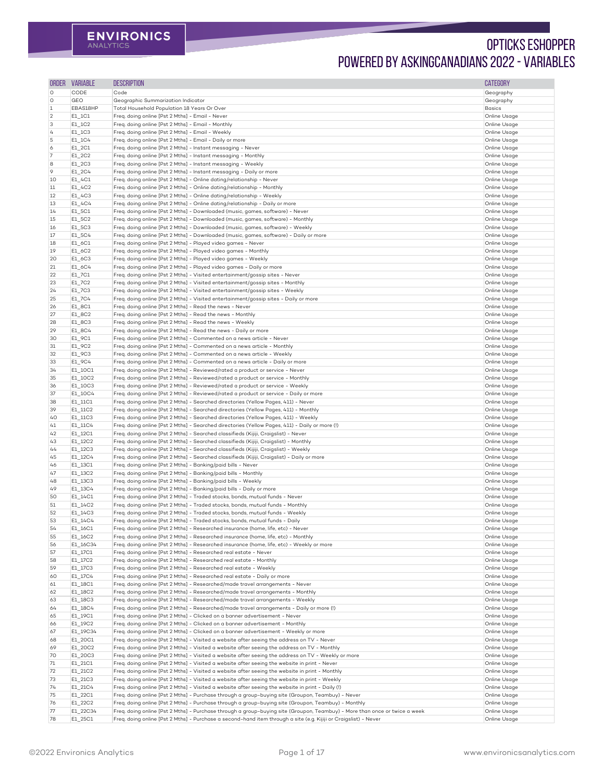| <b>ORDER</b>   | <b>VARIABLE</b>                   | <b>DESCRIPTION</b>                                                                                                         | <b>CATEGORY</b>     |
|----------------|-----------------------------------|----------------------------------------------------------------------------------------------------------------------------|---------------------|
| O              | <b>CODE</b>                       | Code                                                                                                                       | Geography           |
| O              | <b>GEO</b>                        | Geographic Summarization Indicator                                                                                         | Geography           |
| $\mathbf{1}$   | EBAS18HP                          | Total Household Population 18 Years Or Over                                                                                | <b>Basics</b>       |
| $\overline{2}$ | E1_1C1                            | Freq. doing online [Pst 2 Mths] - Email - Never                                                                            | Online Usage        |
| 3              | $E1$ <sub>_1</sub> C <sub>2</sub> | Freq. doing online [Pst 2 Mths] - Email - Monthly                                                                          | Online Usage        |
|                | E1_1C3                            | Freq. doing online [Pst 2 Mths] - Email - Weekly                                                                           | Online Usage        |
| 4              |                                   |                                                                                                                            |                     |
| 5              | E1_1C4                            | Freq. doing online [Pst 2 Mths] - Email - Daily or more                                                                    | Online Usage        |
| 6              | $E1_2C1$                          | Freq. doing online [Pst 2 Mths] - Instant messaging - Never                                                                | Online Usage        |
|                | E1_2C2                            | Freq. doing online [Pst 2 Mths] - Instant messaging - Monthly                                                              | Online Usage        |
| 8              | E1_2C3                            | Freq. doing online [Pst 2 Mths] - Instant messaging - Weekly                                                               | Online Usage        |
| 9.             | $E1_2C4$                          | Freq. doing online [Pst 2 Mths] - Instant messaging - Daily or more                                                        | Online Usage        |
| 10             | E1_4C1                            | Freq. doing online [Pst 2 Mths] - Online dating/relationship - Never                                                       | Online Usage        |
| 11             | E1_4C2                            | Freq. doing online [Pst 2 Mths] - Online dating/relationship - Monthly                                                     | Online Usage        |
| 12             | E1_4C3                            | Freq. doing online [Pst 2 Mths] - Online dating/relationship - Weekly                                                      | Online Usage        |
| 13             | $E1_4C4$                          | Freq. doing online [Pst 2 Mths] - Online dating/relationship - Daily or more                                               | Online Usage        |
| 14             | E1_5C1                            | Freq. doing online [Pst 2 Mths] - Downloaded (music, games, software) - Never                                              | Online Usage        |
| 15             | E1_5C2                            | Freq. doing online [Pst 2 Mths] - Downloaded (music, games, software) - Monthly                                            | Online Usage        |
| 16             | E1_5C3                            | Freq. doing online [Pst 2 Mths] - Downloaded (music, games, software) - Weekly                                             | Online Usage        |
| 17             | E1_5C4                            | Freq. doing online [Pst 2 Mths] - Downloaded (music, games, software) - Daily or more                                      | Online Usage        |
| 18             | E1_6C1                            | Freq. doing online [Pst 2 Mths] - Played video games - Never                                                               | Online Usage        |
| 19             | E1_6C2                            | Freq. doing online [Pst 2 Mths] - Played video games - Monthly                                                             | Online Usage        |
| 20             | E1_6C3                            | Freq. doing online [Pst 2 Mths] - Played video games - Weekly                                                              | Online Usage        |
| 21             | E1_6C4                            | Freq. doing online [Pst 2 Mths] - Played video games - Daily or more                                                       | Online Usage        |
| 22             | E1_7C1                            | Freq. doing online [Pst 2 Mths] - Visited entertainment/gossip sites - Never                                               | Online Usage        |
| 23             | E1_7C2                            | Freq. doing online [Pst 2 Mths] - Visited entertainment/gossip sites - Monthly                                             | Online Usage        |
|                |                                   |                                                                                                                            |                     |
| 24             | E1_7C3                            | Freq. doing online [Pst 2 Mths] - Visited entertainment/gossip sites - Weekly                                              | Online Usage        |
| 25             | E1_7C4                            | Freq. doing online [Pst 2 Mths] - Visited entertainment/gossip sites - Daily or more                                       | Online Usage        |
| 26             | E1_8C1                            | Freq. doing online [Pst 2 Mths] - Read the news - Never                                                                    | Online Usage        |
| 27             | E1_8C2                            | Freq. doing online [Pst 2 Mths] - Read the news - Monthly                                                                  | Online Usage        |
| 28             | E1_8C3                            | Freq. doing online [Pst 2 Mths] - Read the news - Weekly                                                                   | Online Usage        |
| 29             | E1_8C4                            | Freq. doing online [Pst 2 Mths] - Read the news - Daily or more                                                            | Online Usage        |
| 30             | E1_9C1                            | Freq. doing online [Pst 2 Mths] - Commented on a news article - Never                                                      | Online Usage        |
| 31             | E1_9C2                            | Freq. doing online [Pst 2 Mths] - Commented on a news article - Monthly                                                    | Online Usage        |
| 32             | E1_9C3                            | Freq. doing online [Pst 2 Mths] - Commented on a news article - Weekly                                                     | Online Usage        |
| 33             | E1_9C4                            | Freq. doing online [Pst 2 Mths] - Commented on a news article - Daily or more                                              | Online Usage        |
| 34             | E1_10C1                           | Freq. doing online [Pst 2 Mths] - Reviewed/rated a product or service - Never                                              | Online Usage        |
| 35             | E1_10C2                           | Freq. doing online [Pst 2 Mths] - Reviewed/rated a product or service - Monthly                                            | Online Usage        |
| 36             | E1_10C3                           | Freq. doing online [Pst 2 Mths] - Reviewed/rated a product or service - Weekly                                             | Online Usage        |
|                |                                   |                                                                                                                            |                     |
| 37             | E1_10C4                           | Freq. doing online [Pst 2 Mths] - Reviewed/rated a product or service - Daily or more                                      | Online Usage        |
| 38             | E1_11C1                           | Freq. doing online [Pst 2 Mths] - Searched directories (Yellow Pages, 411) - Never                                         | Online Usage        |
| 39             | E1_11C2                           | Freq. doing online [Pst 2 Mths] - Searched directories (Yellow Pages, 411) - Monthly                                       | Online Usage        |
| 40             | E1_11C3                           | Freq. doing online [Pst 2 Mths] - Searched directories (Yellow Pages, 411) - Weekly                                        | Online Usage        |
| 41             | E1_11C4                           | Freq. doing online [Pst 2 Mths] - Searched directories (Yellow Pages, 411) - Daily or more (!)                             | Online Usage        |
| 42             | E1_12C1                           | Freq. doing online [Pst 2 Mths] - Searched classifieds (Kijiji, Craigslist) - Never                                        | Online Usage        |
| 43             | E1_12C2                           | Freq. doing online [Pst 2 Mths] - Searched classifieds (Kijiji, Craigslist) - Monthly                                      | Online Usage        |
| 44             | E1_12C3                           | Freq. doing online [Pst 2 Mths] - Searched classifieds (Kijiji, Craigslist) - Weekly                                       | Online Usage        |
| 45             | E1_12C4                           | Freq. doing online [Pst 2 Mths] - Searched classifieds (Kijiji, Craigslist) - Daily or more                                | Online Usage        |
| 46             | E1_13C1                           | Freq. doing online [Pst 2 Mths] - Banking/paid bills - Never                                                               | Online Usage        |
| 47             | E1_13C2                           | Freq. doing online [Pst 2 Mths] - Banking/paid bills - Monthly                                                             | Online Usage        |
| 48             | E1_13C3                           | Freq. doing online [Pst 2 Mths] - Banking/paid bills - Weekly                                                              | Online Usage        |
| 49             | E1_13C4                           | Freq. doing online [Pst 2 Mths] - Banking/paid bills - Daily or more                                                       | Online Usage        |
| 50             | E1_14C1                           | Freq. doing online [Pst 2 Mths] - Traded stocks, bonds, mutual funds - Never                                               | Online Usage        |
| 51             | E1_14C2                           | Freq. doing online [Pst 2 Mths] - Traded stocks, bonds, mutual funds - Monthly                                             | Online Usage        |
| 52             | E1_14C3                           | Freq. doing online [Pst 2 Mths] - Traded stocks, bonds, mutual funds - Weekly                                              | Online Usage        |
| 53             | E1_14C4                           | Freq. doing online [Pst 2 Mths] - Traded stocks, bonds, mutual funds - Daily                                               | Online Usage        |
|                |                                   | Freq. doing online [Pst 2 Mths] - Researched insurance (home, life, etc) - Never                                           |                     |
| 54             | E1_16C1                           |                                                                                                                            | Online Usage        |
| 55             | E1_16C2                           | Freq. doing online [Pst 2 Mths] - Researched insurance (home, life, etc) - Monthly                                         | Online Usage        |
| 56             | E1_16C34                          | Freq. doing online [Pst 2 Mths] - Researched insurance (home, life, etc) - Weekly or more                                  | Online Usage        |
| 57             | E1_17C1                           | Freg. doing online [Pst 2 Mths] - Researched real estate - Never                                                           | Online Usage        |
| 58             | E1_17C2                           | Freq. doing online [Pst 2 Mths] - Researched real estate - Monthly                                                         | Online Usage        |
| 59             | E1_17C3                           | Freq. doing online [Pst 2 Mths] - Researched real estate - Weekly                                                          | Online Usage        |
| 60             | E1_17C4                           | Freq. doing online [Pst 2 Mths] - Researched real estate - Daily or more                                                   | Online Usage        |
| 61             | E1_18C1                           | Freq. doing online [Pst 2 Mths] - Researched/made travel arrangements - Never                                              | Online Usage        |
| 62             | E1_18C2                           | Freq. doing online [Pst 2 Mths] - Researched/made travel arrangements - Monthly                                            | Online Usage        |
| 63             | E1_18C3                           | Freq. doing online [Pst 2 Mths] - Researched/made travel arrangements - Weekly                                             | Online Usage        |
| 64             | E1_18C4                           | Freq. doing online [Pst 2 Mths] - Researched/made travel arrangements - Daily or more (!)                                  | Online Usage        |
| 65             | E1_19C1                           | Freq. doing online [Pst 2 Mths] - Clicked on a banner advertisement - Never                                                | Online Usage        |
| 66             | E1_19C2                           | Freq. doing online [Pst 2 Mths] - Clicked on a banner advertisement - Monthly                                              | Online Usage        |
| 67             | E1_19C34                          | Freq. doing online [Pst 2 Mths] - Clicked on a banner advertisement - Weekly or more                                       | <b>Online Usage</b> |
| 68             | E1_20C1                           | Freq. doing online [Pst 2 Mths] - Visited a website after seeing the address on TV - Never                                 | Online Usage        |
|                |                                   |                                                                                                                            |                     |
| 69             | E1_20C2                           | Freq. doing online [Pst 2 Mths] - Visited a website after seeing the address on TV - Monthly                               | Online Usage        |
| 70             | E1_20C3                           | Freq. doing online [Pst 2 Mths] - Visited a website after seeing the address on TV - Weekly or more                        | Online Usage        |
| 71             | E1_21C1                           | Freq. doing online [Pst 2 Mths] - Visited a website after seeing the website in print - Never                              | Online Usage        |
| 72             | E1_21C2                           | Freq. doing online [Pst 2 Mths] - Visited a website after seeing the website in print - Monthly                            | Online Usage        |
| 73             | E1_21C3                           | Freq. doing online [Pst 2 Mths] - Visited a website after seeing the website in print - Weekly                             | Online Usage        |
| 74             | E1_21C4                           | Freq. doing online [Pst 2 Mths] - Visited a website after seeing the website in print - Daily (!)                          | Online Usage        |
| 75             | E1_22C1                           | Freq. doing online [Pst 2 Mths] - Purchase through a group-buying site (Groupon, Teambuy) - Never                          | Online Usage        |
| 76             | E1_22C2                           | Freq. doing online [Pst 2 Mths] - Purchase through a group-buying site (Groupon, Teambuy) - Monthly                        | Online Usage        |
| 77             | E1_22C34                          | Freq. doing online [Pst 2 Mths] - Purchase through a group-buying site (Groupon, Teambuy) - More than once or twice a week | Online Usage        |
| 78             | $E1_25C1$                         | Freq. doing online [Pst 2 Mths] - Purchase a second-hand item through a site (e.g. Kijiji or Craigslist) - Never           | Online Usage        |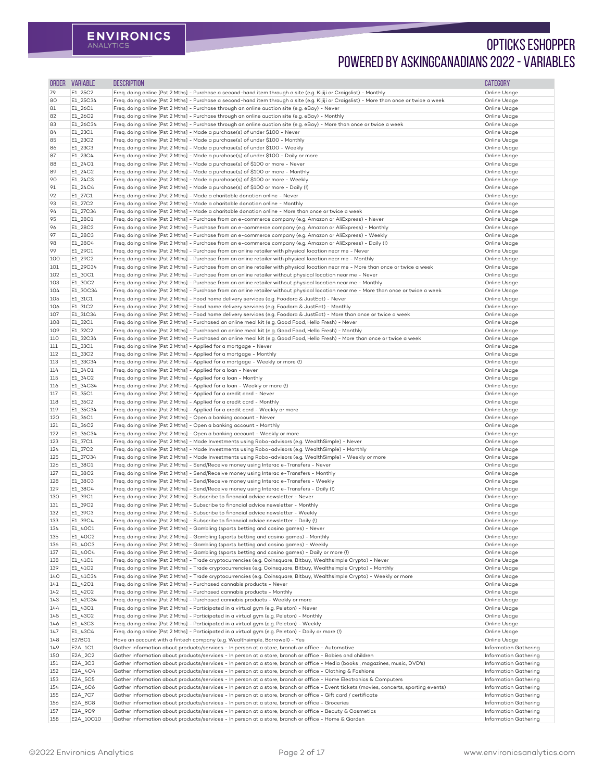| <b>ORDER</b> | <b>VARIABLE</b>     | <b>DESCRIPTION</b>                                                                                                                                                                                                             | <b>CATEGORY</b>              |
|--------------|---------------------|--------------------------------------------------------------------------------------------------------------------------------------------------------------------------------------------------------------------------------|------------------------------|
| 79           | E1_25C2             | Freq. doing online [Pst 2 Mths] - Purchase a second-hand item through a site (e.g. Kijiji or Craigslist) - Monthly                                                                                                             | Online Usage                 |
| 80           | E1_25C34            | Freq. doing online [Pst 2 Mths] - Purchase a second-hand item through a site (e.g. Kijiji or Craigslist) - More than once or twice a week                                                                                      | Online Usage                 |
| 81           | E1_26C1             | Freq. doing online [Pst 2 Mths] - Purchase through an online auction site (e.g. eBay) - Never                                                                                                                                  | Online Usage                 |
| 82           | E1_26C2             | Freq. doing online [Pst 2 Mths] - Purchase through an online auction site (e.g. eBay) - Monthly                                                                                                                                | Online Usage                 |
| 83           | E1_26C34            | Freq. doing online [Pst 2 Mths] - Purchase through an online auction site (e.g. eBay) - More than once or twice a week                                                                                                         | Online Usage                 |
| 84           | E1_23C1             | Freq. doing online [Pst 2 Mths] - Made a purchase(s) of under \$100 - Never                                                                                                                                                    | Online Usage                 |
| 85           | E1_23C2             | Freq. doing online [Pst 2 Mths] - Made a purchase(s) of under \$100 - Monthly                                                                                                                                                  | Online Usage                 |
| 86           | E1_23C3             | Freq. doing online [Pst 2 Mths] - Made a purchase(s) of under \$100 - Weekly                                                                                                                                                   | Online Usage                 |
| 87           | E1_23C4             | Freq. doing online [Pst 2 Mths] - Made a purchase(s) of under \$100 - Daily or more                                                                                                                                            | Online Usage                 |
| 88           | $E1_24C1$           | Freq. doing online [Pst 2 Mths] - Made a purchase(s) of \$100 or more - Never                                                                                                                                                  | Online Usage                 |
| 89           | $E1_24C2$           | Freq. doing online [Pst 2 Mths] - Made a purchase(s) of \$100 or more - Monthly                                                                                                                                                | Online Usage                 |
| 90           | $E1_24C3$           | Freq. doing online [Pst 2 Mths] - Made a purchase(s) of \$100 or more - Weekly                                                                                                                                                 | Online Usage                 |
| 91           | $E1_24C4$           | Freq. doing online [Pst 2 Mths] - Made a purchase(s) of \$100 or more - Daily (!)                                                                                                                                              | Online Usage                 |
| 92           | E1_27C1             | Freq. doing online [Pst 2 Mths] - Made a charitable donation online - Never                                                                                                                                                    | Online Usage                 |
| 93           | E1_27C2             | Freq. doing online [Pst 2 Mths] - Made a charitable donation online - Monthly                                                                                                                                                  | Online Usage                 |
| 94           | E1_27C34            | Freq. doing online [Pst 2 Mths] - Made a charitable donation online - More than once or twice a week                                                                                                                           | Online Usage                 |
| 95           | E1_28C1             | Freq. doing online [Pst 2 Mths] - Purchase from an e-commerce company (e.g. Amazon or AliExpress) - Never                                                                                                                      | Online Usage                 |
| 96           | E1_28C2             | Freq. doing online [Pst 2 Mths] - Purchase from an e-commerce company (e.g. Amazon or AliExpress) - Monthly                                                                                                                    | Online Usage                 |
| 97           | E1_28C3             | Freq. doing online [Pst 2 Mths] - Purchase from an e-commerce company (e.g. Amazon or AliExpress) - Weekly                                                                                                                     | Online Usage                 |
| 98           | E1_28C4             | Freq. doing online [Pst 2 Mths] - Purchase from an e-commerce company (e.g. Amazon or AliExpress) - Daily (!)                                                                                                                  | Online Usage                 |
| 99           | E1_29C1             | Freq. doing online [Pst 2 Mths] - Purchase from an online retailer with physical location near me - Never                                                                                                                      | Online Usage                 |
| 100          | E1_29C2             | Freq. doing online [Pst 2 Mths] - Purchase from an online retailer with physical location near me - Monthly                                                                                                                    | Online Usage                 |
| 101          | E1_29C34            | Freq. doing online [Pst 2 Mths] - Purchase from an online retailer with physical location near me - More than once or twice a week                                                                                             | Online Usage                 |
| 102<br>103   | E1_30C1<br>E1_30C2  | Freq. doing online [Pst 2 Mths] - Purchase from an online retailer without physical location near me - Never<br>Freq. doing online [Pst 2 Mths] - Purchase from an online retailer without physical location near me - Monthly | Online Usage<br>Online Usage |
|              |                     | Freq. doing online [Pst 2 Mths] - Purchase from an online retailer without physical location near me - More than once or twice a week                                                                                          | Online Usage                 |
| 104<br>105   | E1_30C34<br>E1_31C1 | Freq. doing online [Pst 2 Mths] - Food home delivery services (e.g. Foodora & JustEat) - Never                                                                                                                                 | Online Usage                 |
| 106          | E1_31C2             | Freq. doing online [Pst 2 Mths] - Food home delivery services (e.g. Foodora & JustEat) - Monthly                                                                                                                               | Online Usage                 |
| 107          | E1_31C34            | Freq. doing online [Pst 2 Mths] - Food home delivery services (e.g. Foodora & JustEat) - More than once or twice a week                                                                                                        | Online Usage                 |
| 108          | E1_32C1             | Freq. doing online [Pst 2 Mths] - Purchased an online meal kit (e.g. Good Food, Hello Fresh) - Never                                                                                                                           | Online Usage                 |
| 109          | E1_32C2             | Freq. doing online [Pst 2 Mths] - Purchased an online meal kit (e.g. Good Food, Hello Fresh) - Monthly                                                                                                                         | Online Usage                 |
| 110          | E1_32C34            | Freq. doing online [Pst 2 Mths] - Purchased an online meal kit (e.g. Good Food, Hello Fresh) - More than once or twice a week                                                                                                  | Online Usage                 |
| 111          | E1_33C1             | Freq. doing online [Pst 2 Mths] - Applied for a mortgage - Never                                                                                                                                                               | Online Usage                 |
| 112          | E1_33C2             | Freq. doing online [Pst 2 Mths] - Applied for a mortgage - Monthly                                                                                                                                                             | Online Usage                 |
| 113          | E1_33C34            | Freq. doing online [Pst 2 Mths] - Applied for a mortgage - Weekly or more (!)                                                                                                                                                  | Online Usage                 |
| 114          | E1_34C1             | Freq. doing online [Pst 2 Mths] - Applied for a loan - Never                                                                                                                                                                   | Online Usage                 |
| 115          | E1_34C2             | Freq. doing online [Pst 2 Mths] - Applied for a loan - Monthly                                                                                                                                                                 | Online Usage                 |
| 116          | E1_34C34            | Freq. doing online [Pst 2 Mths] - Applied for a loan - Weekly or more (!)                                                                                                                                                      | Online Usage                 |
| 117          | E1_35C1             | Freq. doing online [Pst 2 Mths] - Applied for a credit card - Never                                                                                                                                                            | Online Usage                 |
| 118          | E1_35C2             | Freq. doing online [Pst 2 Mths] - Applied for a credit card - Monthly                                                                                                                                                          | Online Usage                 |
| 119          | E1_35C34            | Freq. doing online [Pst 2 Mths] - Applied for a credit card - Weekly or more                                                                                                                                                   | Online Usage                 |
| <b>120</b>   | E1_36C1             | Freq. doing online [Pst 2 Mths] - Open a banking account - Never                                                                                                                                                               | Online Usage                 |
| 121          | E1_36C2             | Freq. doing online [Pst 2 Mths] - Open a banking account - Monthly                                                                                                                                                             | Online Usage                 |
| 122          | E1_36C34            | Freq. doing online [Pst 2 Mths] - Open a banking account - Weekly or more                                                                                                                                                      | Online Usage                 |
| 123          | E1_37C1             | Freq. doing online [Pst 2 Mths] - Made Investments using Robo-advisors (e.g. WealthSimple) - Never                                                                                                                             | Online Usage                 |
| 124          | E1_37C2             | Freq. doing online [Pst 2 Mths] - Made Investments using Robo-advisors (e.g. WealthSimple) - Monthly                                                                                                                           | Online Usage                 |
| 125          | E1_37C34            | Freq. doing online [Pst 2 Mths] - Made Investments using Robo-advisors (e.g. WealthSimple) - Weekly or more                                                                                                                    | Online Usage                 |
| 126          | E1_38C1             | Freq. doing online [Pst 2 Mths] - Send/Receive money using Interac e-Transfers - Never                                                                                                                                         | Online Usage                 |
| 127          | E1_38C2             | Freq. doing online [Pst 2 Mths] - Send/Receive money using Interac e-Transfers - Monthly                                                                                                                                       | Online Usage                 |
| 128          | E1_38C3             | Freq. doing online [Pst 2 Mths] - Send/Receive money using Interac e-Transfers - Weekly                                                                                                                                        | Online Usage                 |
| 129          | E1_38C4             | Freq. doing online [Pst 2 Mths] - Send/Receive money using Interac e-Transfers - Daily (!)                                                                                                                                     | Online Usage                 |
| 130          | E1_39C1             | Freq. doing online [Pst 2 Mths] - Subscribe to financial advice newsletter - Never                                                                                                                                             | Online Usage                 |
| 131          | E1_39C2             | Freq. doing online [Pst 2 Mths] - Subscribe to financial advice newsletter - Monthly                                                                                                                                           | Online Usage                 |
| 132<br>133   | E1_39C3<br>E1_39C4  | Freq. doing online [Pst 2 Mths] - Subscribe to financial advice newsletter - Weekly<br>Freq. doing online [Pst 2 Mths] - Subscribe to financial advice newsletter - Daily (!)                                                  | Online Usage<br>Online Usage |
| 134          | E1_40C1             | Freq. doing online [Pst 2 Mths] - Gambling (sports betting and casino games) - Never                                                                                                                                           | Online Usage                 |
| 135          | E1_40C2             | Freq. doing online [Pst 2 Mths] - Gambling (sports betting and casino games) - Monthly                                                                                                                                         | Online Usage                 |
| 136          | E1_40C3             | Freq. doing online [Pst 2 Mths] - Gambling (sports betting and casino games) - Weekly                                                                                                                                          | Online Usage                 |
| 137          | E1_40C4             | Freq. doing online [Pst 2 Mths] - Gambling (sports betting and casino games) - Daily or more (!)                                                                                                                               | Online Usage                 |
| 138          | E1_41C1             | Freq. doing online [Pst 2 Mths] - Trade cryptocurrencies (e.g. Coinsquare, Bitbuy, Wealthsimple Crypto) - Never                                                                                                                | Online Usage                 |
| 139          | $E1_41C2$           | Freq. doing online [Pst 2 Mths] - Trade cryptocurrencies (e.g. Coinsquare, Bitbuy, Wealthsimple Crypto) - Monthly                                                                                                              | Online Usage                 |
| 140          | E1_41C34            | Freq. doing online [Pst 2 Mths] - Trade cryptocurrencies (e.g. Coinsquare, Bitbuy, Wealthsimple Crypto) - Weekly or more                                                                                                       | Online Usage                 |
| 141          | E1_42C1             | Freq. doing online [Pst 2 Mths] - Purchased cannabis products - Never                                                                                                                                                          | Online Usage                 |
| 142          | E1_42C2             | Freq. doing online [Pst 2 Mths] - Purchased cannabis products - Monthly                                                                                                                                                        | Online Usage                 |
| 143          | E1_42C34            | Freq. doing online [Pst 2 Mths] - Purchased cannabis products - Weekly or more                                                                                                                                                 | Online Usage                 |
| 144          | E1_43C1             | Freq. doing online [Pst 2 Mths] - Participated in a virtual gym (e.g. Peleton) - Never                                                                                                                                         | Online Usage                 |
| 145          | E1_43C2             | Freq. doing online [Pst 2 Mths] - Participated in a virtual gym (e.g. Peleton) - Monthly                                                                                                                                       | Online Usage                 |
| 146          | E1_43C3             | Freq. doing online [Pst 2 Mths] - Participated in a virtual gym (e.g. Peleton) - Weekly                                                                                                                                        | Online Usage                 |
| 147          | E1_43C4             | Freq. doing online [Pst 2 Mths] - Participated in a virtual gym (e.g. Peleton) - Daily or more (!)                                                                                                                             | Online Usage                 |
| 148          | E27BC1              | Have an account with a fintech company (e.g. Wealthsimple, Borrowell) - Yes                                                                                                                                                    | Online Usage                 |
| 149          | E2A_1C1             | Gather information about products/services - In person at a store, branch or office - Automotive                                                                                                                               | Information Gathering        |
| 150          | E2A_2C2             | Gather information about products/services - In person at a store, branch or office - Babies and children                                                                                                                      | Information Gathering        |
| 151          | E2A_3C3             | Gather information about products/services - In person at a store, branch or office - Media (books, magazines, music, DVD's)                                                                                                   | Information Gathering        |
| 152          | E2A_4C4             | Gather information about products/services - In person at a store, branch or office - Clothing & Fashions                                                                                                                      | Information Gathering        |
| 153          | E2A_5C5             | Gather information about products/services - In person at a store, branch or office - Home Electronics & Computers                                                                                                             | Information Gathering        |
| 154          | E2A_6C6             | Gather information about products/services - In person at a store, branch or office - Event tickets (movies, concerts, sporting events)                                                                                        | Information Gathering        |
| 155          | E2A_7C7             | Gather information about products/services - In person at a store, branch or office - Gift card / certificate                                                                                                                  | Information Gathering        |
| 156          | E2A_8C8             | Gather information about products/services - In person at a store, branch or office - Groceries                                                                                                                                | Information Gathering        |
| 157          | E2A_9C9             | Gather information about products/services - In person at a store, branch or office - Beauty & Cosmetics                                                                                                                       | Information Gathering        |
| 158          | E2A_10C10           | Gather information about products/services - In person at a store, branch or office - Home & Garden                                                                                                                            | Information Gathering        |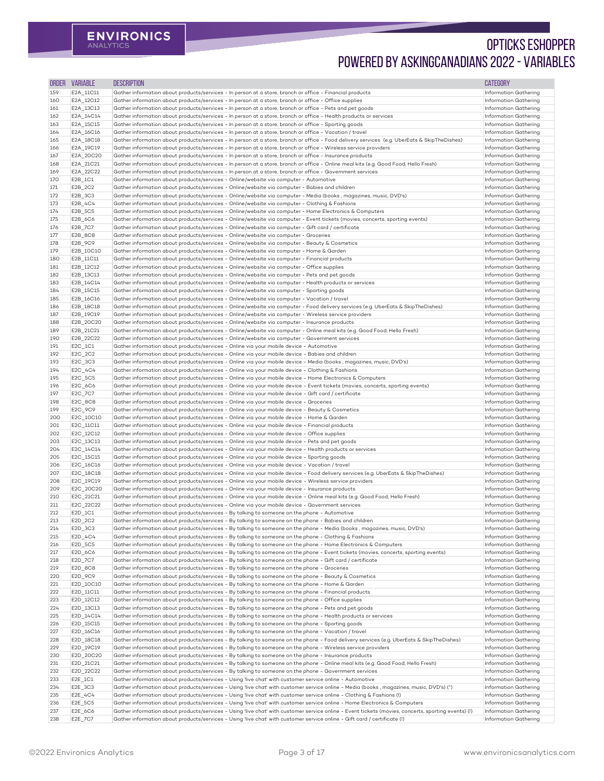| <b>ORDER</b> | <b>VARIABLE</b>        | <b>DESCRIPTION</b>                                                                                                                                                                                                                                               | <b>CATEGORY</b>                                              |
|--------------|------------------------|------------------------------------------------------------------------------------------------------------------------------------------------------------------------------------------------------------------------------------------------------------------|--------------------------------------------------------------|
| 159          | E2A_11C11              | Gather information about products/services - In person at a store, branch or office - Financial products                                                                                                                                                         | Information Gathering                                        |
| 160          | E2A_12C12              | Gather information about products/services - In person at a store, branch or office - Office supplies                                                                                                                                                            | Information Gathering                                        |
| 161          | E2A_13C13              | Gather information about products/services - In person at a store, branch or office - Pets and pet goods                                                                                                                                                         | <b>Information Gathering</b>                                 |
| 162          | E2A_14C14              | Gather information about products/services - In person at a store, branch or office - Health products or services                                                                                                                                                | <b>Information Gathering</b>                                 |
| 163          | E2A_15C15              | Gather information about products/services - In person at a store, branch or office - Sporting goods                                                                                                                                                             | Information Gathering                                        |
| 164          | E2A_16C16              | Gather information about products/services - In person at a store, branch or office - Vacation / travel                                                                                                                                                          | <b>Information Gathering</b><br><b>Information Gathering</b> |
| 165<br>166   | E2A_18C18<br>E2A_19C19 | Gather information about products/services - In person at a store, branch or office - Food delivery services (e.g. UberEats & SkipTheDishes)<br>Gather information about products/services - In person at a store, branch or office - Wireless service providers | Information Gathering                                        |
| 167          | E2A_20C20              | Gather information about products/services - In person at a store, branch or office - Insurance products                                                                                                                                                         | Information Gathering                                        |
| 168          | E2A_21C21              | Gather information about products/services - In person at a store, branch or office - Online meal kits (e.g. Good Food, Hello Fresh)                                                                                                                             | <b>Information Gathering</b>                                 |
| 169          | E2A_22C22              | Gather information about products/services - In person at a store, branch or office - Government services                                                                                                                                                        | Information Gathering                                        |
| 170          | $E2B_1C1$              | Gather information about products/services - Online/website via computer - Automotive                                                                                                                                                                            | Information Gathering                                        |
| 171          | E2B_2C2                | Gather information about products/services - Online/website via computer - Babies and children                                                                                                                                                                   | Information Gathering                                        |
| 172          | E2B_3C3                | Gather information about products/services - Online/website via computer - Media (books, magazines, music, DVD's)                                                                                                                                                | <b>Information Gathering</b>                                 |
| 173          | E2B_4C4                | Gather information about products/services - Online/website via computer - Clothing & Fashions                                                                                                                                                                   | Information Gathering                                        |
| 174          | E2B_5C5                | Gather information about products/services - Online/website via computer - Home Electronics & Computers                                                                                                                                                          | Information Gathering                                        |
| 175          | E2B_6C6                | Gather information about products/services - Online/website via computer - Event tickets (movies, concerts, sporting events)                                                                                                                                     | <b>Information Gathering</b>                                 |
| 176          | E2B_7C7                | Gather information about products/services - Online/website via computer - Gift card / certificate                                                                                                                                                               | Information Gathering                                        |
| 177<br>178   | E2B_8C8<br>E2B_9C9     | Gather information about products/services - Online/website via computer - Groceries<br>Gather information about products/services - Online/website via computer - Beauty & Cosmetics                                                                            | <b>Information Gathering</b><br>Information Gathering        |
| 179          | E2B_10C10              | Gather information about products/services - Online/website via computer - Home & Garden                                                                                                                                                                         | <b>Information Gathering</b>                                 |
| 180          | E2B_11C11              | Gather information about products/services - Online/website via computer - Financial products                                                                                                                                                                    | <b>Information Gathering</b>                                 |
| 181          | E2B_12C12              | Gather information about products/services - Online/website via computer - Office supplies                                                                                                                                                                       | Information Gathering                                        |
| 182          | E2B_13C13              | Gather information about products/services - Online/website via computer - Pets and pet goods                                                                                                                                                                    | <b>Information Gathering</b>                                 |
| 183          | E2B_14C14              | Gather information about products/services - Online/website via computer - Health products or services                                                                                                                                                           | Information Gathering                                        |
| 184          | E2B_15C15              | Gather information about products/services - Online/website via computer - Sporting goods                                                                                                                                                                        | Information Gathering                                        |
| 185          | E2B_16C16              | Gather information about products/services - Online/website via computer - Vacation / travel                                                                                                                                                                     | Information Gathering                                        |
| 186          | E2B_18C18              | Gather information about products/services - Online/website via computer - Food delivery services (e.g. UberEats & SkipTheDishes)                                                                                                                                | Information Gathering                                        |
| 187          | E2B_19C19              | Gather information about products/services - Online/website via computer - Wireless service providers                                                                                                                                                            | Information Gathering                                        |
| 188          | E2B_20C20              | Gather information about products/services - Online/website via computer - Insurance products                                                                                                                                                                    | <b>Information Gathering</b>                                 |
| 189          | E2B_21C21              | Gather information about products/services - Online/website via computer - Online meal kits (e.g. Good Food, Hello Fresh)                                                                                                                                        | <b>Information Gathering</b>                                 |
| 190<br>191   | E2B_22C22<br>E2C_1C1   | Gather information about products/services - Online/website via computer - Government services<br>Gather information about products/services - Online via your mobile device - Automotive                                                                        | Information Gathering<br>Information Gathering               |
| 192          | E2C_2C2                | Gather information about products/services - Online via your mobile device - Babies and children                                                                                                                                                                 | Information Gathering                                        |
| 193          | E2C_3C3                | Gather information about products/services - Online via your mobile device - Media (books, magazines, music, DVD's)                                                                                                                                              | <b>Information Gathering</b>                                 |
| 194          | $E2C_4C4$              | Gather information about products/services - Online via your mobile device - Clothing & Fashions                                                                                                                                                                 | <b>Information Gathering</b>                                 |
| 195          | E2C_5C5                | Gather information about products/services - Online via your mobile device - Home Electronics & Computers                                                                                                                                                        | Information Gathering                                        |
| 196          | E2C_6C6                | Gather information about products/services - Online via your mobile device - Event tickets (movies, concerts, sporting events)                                                                                                                                   | <b>Information Gathering</b>                                 |
| 197          | E2C_7C7                | Gather information about products/services - Online via your mobile device - Gift card / certificate                                                                                                                                                             | Information Gathering                                        |
| 198          | E2C_8C8                | Gather information about products/services - Online via your mobile device - Groceries                                                                                                                                                                           | <b>Information Gathering</b>                                 |
| 199          | E2C_9C9                | Gather information about products/services - Online via your mobile device - Beauty & Cosmetics                                                                                                                                                                  | <b>Information Gathering</b>                                 |
| 200          | E2C_10C10              | Gather information about products/services - Online via your mobile device - Home & Garden                                                                                                                                                                       | <b>Information Gathering</b>                                 |
| 201          | E2C_11C11              | Gather information about products/services - Online via your mobile device - Financial products                                                                                                                                                                  | <b>Information Gathering</b>                                 |
| 202          | E2C_12C12              | Gather information about products/services - Online via your mobile device - Office supplies                                                                                                                                                                     | <b>Information Gathering</b>                                 |
| 203<br>204   | E2C_13C13<br>E2C_14C14 | Gather information about products/services - Online via your mobile device - Pets and pet goods<br>Gather information about products/services - Online via your mobile device - Health products or services                                                      | <b>Information Gathering</b><br>Information Gathering        |
| 205          | E2C_15C15              | Gather information about products/services - Online via your mobile device - Sporting goods                                                                                                                                                                      | <b>Information Gathering</b>                                 |
| 206          | E2C_16C16              | Gather information about products/services - Online via your mobile device - Vacation / travel                                                                                                                                                                   | <b>Information Gathering</b>                                 |
| 207          | E2C_18C18              | Gather information about products/services - Online via your mobile device - Food delivery services (e.g. UberEats & SkipTheDishes)                                                                                                                              | <b>Information Gathering</b>                                 |
| 208          | E2C_19C19              | Gather information about products/services - Online via your mobile device - Wireless service providers                                                                                                                                                          | <b>Information Gathering</b>                                 |
| 209          | E2C_20C20              | Gather information about products/services - Online via your mobile device - Insurance products                                                                                                                                                                  | Information Gathering                                        |
| 210          | E2C 21C21              | Gather information about products/services - Online via your mobile device - Online meal kits (e.g. Good Food, Hello Fresh)                                                                                                                                      | <b>Information Gathering</b>                                 |
| 211          | E2C_22C22              | Gather information about products/services - Online via your mobile device - Government services                                                                                                                                                                 | Information Gathering                                        |
| 212          | E2D_1C1                | Gather information about products/services - By talking to someone on the phone - Automotive                                                                                                                                                                     | <b>Information Gathering</b>                                 |
| 213          | E2D_2C2                | Gather information about products/services - By talking to someone on the phone - Babies and children                                                                                                                                                            | <b>Information Gathering</b>                                 |
| 214          | E2D_3C3                | Gather information about products/services - By talking to someone on the phone - Media (books, magazines, music, DVD's)                                                                                                                                         | <b>Information Gathering</b>                                 |
| 215<br>216   | $E2D_4C4$              | Gather information about products/services - By talking to someone on the phone - Clothing & Fashions<br>Gather information about products/services - By talking to someone on the phone - Home Electronics & Computers                                          | Information Gathering<br><b>Information Gathering</b>        |
| 217          | E2D_5C5<br>E2D_6C6     | Gather information about products/services - By talking to someone on the phone - Event tickets (movies, concerts, sporting events)                                                                                                                              | <b>Information Gathering</b>                                 |
| 218          | E2D_7C7                | Gather information about products/services - By talking to someone on the phone - Gift card / certificate                                                                                                                                                        | <b>Information Gathering</b>                                 |
| 219          | E2D_8C8                | Gather information about products/services - By talking to someone on the phone - Groceries                                                                                                                                                                      | <b>Information Gathering</b>                                 |
| 220          | E2D_9C9                | Gather information about products/services - By talking to someone on the phone - Beauty & Cosmetics                                                                                                                                                             | Information Gathering                                        |
| 221          | E2D_10C10              | Gather information about products/services - By talking to someone on the phone - Home & Garden                                                                                                                                                                  | Information Gathering                                        |
| 222          | E2D_11C11              | Gather information about products/services<br>- By talking to someone on the phone - Financial products                                                                                                                                                          | <b>Information Gathering</b>                                 |
| 223          | E2D_12C12              | Gather information about products/services - By talking to someone on the phone - Office supplies                                                                                                                                                                | <b>Information Gathering</b>                                 |
| 224          | E2D_13C13              | Gather information about products/services - By talking to someone on the phone - Pets and pet goods                                                                                                                                                             | <b>Information Gathering</b>                                 |
| 225          | E2D_14C14              | Gather information about products/services - By talking to someone on the phone - Health products or services                                                                                                                                                    | <b>Information Gathering</b>                                 |
| 226          | E2D_15C15              | Gather information about products/services - By talking to someone on the phone - Sporting goods                                                                                                                                                                 | <b>Information Gathering</b>                                 |
| 227          | E2D_16C16              | Gather information about products/services - By talking to someone on the phone - Vacation / travel                                                                                                                                                              | <b>Information Gathering</b>                                 |
| 228<br>229   | E2D_18C18<br>E2D_19C19 | Gather information about products/services - By talking to someone on the phone - Food delivery services (e.g. UberEats & SkipTheDishes)<br>Gather information about products/services - By talking to someone on the phone - Wireless service providers         | Information Gathering<br>Information Gathering               |
| 230          | E2D_20C20              | Gather information about products/services - By talking to someone on the phone - Insurance products                                                                                                                                                             | <b>Information Gathering</b>                                 |
| 231          | E2D_21C21              | Gather information about products/services - By talking to someone on the phone - Online meal kits (e.g. Good Food, Hello Fresh)                                                                                                                                 | <b>Information Gathering</b>                                 |
| 232          | E2D_22C22              | Gather information about products/services - By talking to someone on the phone - Government services                                                                                                                                                            | Information Gathering                                        |
| 233          | $E2E_1C1$              | Gather information about products/services - Using 'live chat' with customer service online - Automotive                                                                                                                                                         | Information Gathering                                        |
| 234          | E2E_3C3                | Gather information about products/services - Using 'live chat' with customer service online - Media (books, magazines, music, DVD's) (^)                                                                                                                         | <b>Information Gathering</b>                                 |
| 235          | $E2E_4C4$              | Gather information about products/services - Using 'live chat' with customer service online - Clothing & Fashions (!)                                                                                                                                            | Information Gathering                                        |
| 236          | E2E_5C5                | Gather information about products/services - Using 'live chat' with customer service online - Home Electronics & Computers                                                                                                                                       | <b>Information Gathering</b>                                 |
| 237          | E2E_6C6                | Gather information about products/services - Using 'live chat' with customer service online - Event tickets (movies, concerts, sporting events) (!)                                                                                                              | <b>Information Gathering</b>                                 |
| 238          | E2E_7C7                | Gather information about products/services - Using 'live chat' with customer service online - Gift card / certificate (!)                                                                                                                                        | Information Gathering                                        |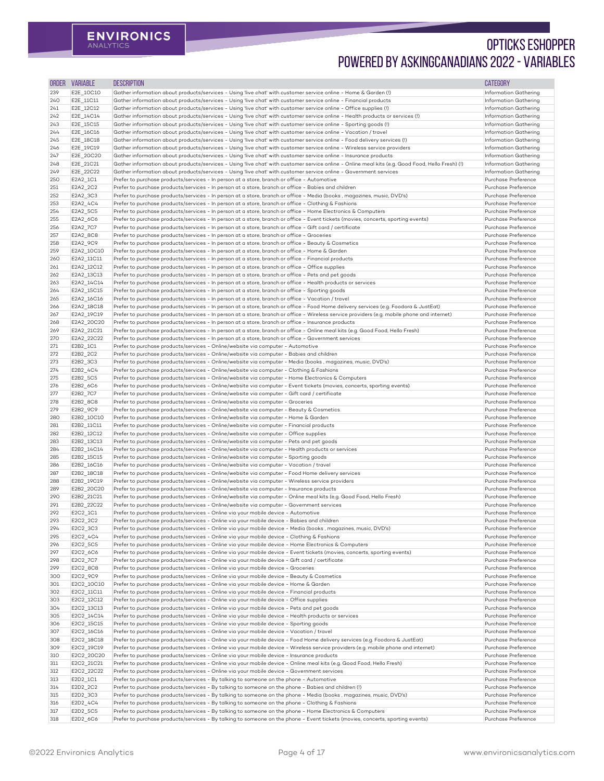| ORDER      | <b>VARIABLE</b>          | <b>DESCRIPTION</b>                                                                                                                                                                                                                                                                  | <b>CATEGORY</b>                                       |
|------------|--------------------------|-------------------------------------------------------------------------------------------------------------------------------------------------------------------------------------------------------------------------------------------------------------------------------------|-------------------------------------------------------|
| 239        | E2E_10C10                | Gather information about products/services - Using 'live chat' with customer service online - Home & Garden (!)                                                                                                                                                                     | Information Gathering                                 |
| <b>240</b> | E2E_11C11                | Gather information about products/services - Using 'live chat' with customer service online - Financial products                                                                                                                                                                    | Information Gathering                                 |
| 241<br>242 | E2E_12C12<br>E2E_14C14   | Gather information about products/services - Using 'live chat' with customer service online - Office supplies (!)<br>Gather information about products/services - Using 'live chat' with customer service online - Health products or services (!)                                  | Information Gathering<br>Information Gathering        |
| 243        | E2E_15C15                | Gather information about products/services - Using 'live chat' with customer service online - Sporting goods (!)                                                                                                                                                                    | Information Gathering                                 |
| 244        | E2E_16C16                | Gather information about products/services - Using 'live chat' with customer service online - Vacation / travel                                                                                                                                                                     | Information Gathering                                 |
| 245        | E2E_18C18                | Gather information about products/services - Using 'live chat' with customer service online - Food delivery services (!)                                                                                                                                                            | Information Gathering                                 |
| 246        | E2E_19C19                | Gather information about products/services - Using 'live chat' with customer service online - Wireless service providers                                                                                                                                                            | Information Gathering                                 |
| 247<br>248 | E2E_20C20<br>E2E_21C21   | Gather information about products/services - Using 'live chat' with customer service online - Insurance products<br>Gather information about products/services - Using 'live chat' with customer service online - Online meal kits (e.g. Good Food, Hello Fresh) (!)                | Information Gathering<br><b>Information Gathering</b> |
| 249        | E2E_22C22                | Gather information about products/services - Using 'live chat' with customer service online - Government services                                                                                                                                                                   | Information Gathering                                 |
| 250        | E2A2_1C1                 | Prefer to purchase products/services - In person at a store, branch or office - Automotive                                                                                                                                                                                          | Purchase Preference                                   |
| 251        | E2A2_2C2                 | Prefer to purchase products/services - In person at a store, branch or office - Babies and children                                                                                                                                                                                 | Purchase Preference                                   |
| 252        | E2A2_3C3                 | Prefer to purchase products/services - In person at a store, branch or office - Media (books, magazines, music, DVD's)                                                                                                                                                              | Purchase Preference                                   |
| 253<br>254 | E2A2_4C4<br>E2A2_5C5     | Prefer to purchase products/services - In person at a store, branch or office - Clothing & Fashions<br>Prefer to purchase products/services - In person at a store, branch or office - Home Electronics & Computers                                                                 | Purchase Preference<br>Purchase Preference            |
| 255        | E2A2_6C6                 | Prefer to purchase products/services - In person at a store, branch or office - Event tickets (movies, concerts, sporting events)                                                                                                                                                   | Purchase Preference                                   |
| 256        | E2A2_7C7                 | Prefer to purchase products/services - In person at a store, branch or office - Gift card / certificate                                                                                                                                                                             | Purchase Preference                                   |
| 257        | E2A2_8C8                 | Prefer to purchase products/services - In person at a store, branch or office - Groceries                                                                                                                                                                                           | Purchase Preference                                   |
| 258        | E2A2_9C9                 | Prefer to purchase products/services - In person at a store, branch or office - Beauty & Cosmetics                                                                                                                                                                                  | Purchase Preference                                   |
| 259        | E2A2_10C10               | Prefer to purchase products/services - In person at a store, branch or office - Home & Garden                                                                                                                                                                                       | Purchase Preference<br>Purchase Preference            |
| 260<br>261 | E2A2_11C11<br>E2A2_12C12 | Prefer to purchase products/services - In person at a store, branch or office - Financial products<br>Prefer to purchase products/services - In person at a store, branch or office - Office supplies                                                                               | Purchase Preference                                   |
| 262        | E2A2_13C13               | Prefer to purchase products/services - In person at a store, branch or office - Pets and pet goods                                                                                                                                                                                  | Purchase Preference                                   |
| 263        | E2A2_14C14               | Prefer to purchase products/services - In person at a store, branch or office - Health products or services                                                                                                                                                                         | Purchase Preference                                   |
| 264        | E2A2_15C15               | Prefer to purchase products/services - In person at a store, branch or office - Sporting goods                                                                                                                                                                                      | Purchase Preference                                   |
| 265        | E2A2_16C16               | Prefer to purchase products/services - In person at a store, branch or office - Vacation / travel                                                                                                                                                                                   | Purchase Preference                                   |
| 266<br>267 | E2A2_18C18<br>E2A2 19C19 | Prefer to purchase products/services - In person at a store, branch or office - Food Home delivery services (e.g. Foodora & JustEat)<br>Prefer to purchase products/services - In person at a store, branch or office - Wireless service providers (e.g. mobile phone and internet) | Purchase Preference<br>Purchase Preference            |
| 268        | E2A2 20C20               | Prefer to purchase products/services - In person at a store, branch or office - Insurance products                                                                                                                                                                                  | Purchase Preference                                   |
| 269        | E2A2_21C21               | Prefer to purchase products/services - In person at a store, branch or office - Online meal kits (e.g. Good Food, Hello Fresh)                                                                                                                                                      | Purchase Preference                                   |
| 270        | E2A2_22C22               | Prefer to purchase products/services - In person at a store, branch or office - Government services                                                                                                                                                                                 | Purchase Preference                                   |
| 271        | E2B2_1C1                 | Prefer to purchase products/services - Online/website via computer - Automotive                                                                                                                                                                                                     | Purchase Preference                                   |
| 272<br>273 | E2B2_2C2<br>E2B2_3C3     | Prefer to purchase products/services - Online/website via computer - Babies and children<br>Prefer to purchase products/services - Online/website via computer - Media (books, magazines, music, DVD's)                                                                             | Purchase Preference<br>Purchase Preference            |
| 274        | E2B2_4C4                 | Prefer to purchase products/services - Online/website via computer - Clothing & Fashions                                                                                                                                                                                            | Purchase Preference                                   |
| 275        | E2B2_5C5                 | Prefer to purchase products/services - Online/website via computer - Home Electronics & Computers                                                                                                                                                                                   | Purchase Preference                                   |
| 276        | E2B2_6C6                 | Prefer to purchase products/services - Online/website via computer - Event tickets (movies, concerts, sporting events)                                                                                                                                                              | Purchase Preference                                   |
| 277        | E2B2_7C7                 | Prefer to purchase products/services - Online/website via computer - Gift card / certificate                                                                                                                                                                                        | Purchase Preference                                   |
| 278<br>279 | E2B2_8C8<br>E2B2_9C9     | Prefer to purchase products/services - Online/website via computer - Groceries<br>Prefer to purchase products/services - Online/website via computer - Beauty & Cosmetics                                                                                                           | Purchase Preference<br>Purchase Preference            |
| 280        | E2B2_10C10               | Prefer to purchase products/services - Online/website via computer - Home & Garden                                                                                                                                                                                                  | Purchase Preference                                   |
| 281        | E2B2_11C11               | Prefer to purchase products/services - Online/website via computer - Financial products                                                                                                                                                                                             | Purchase Preference                                   |
| 282        | E2B2_12C12               | Prefer to purchase products/services - Online/website via computer - Office supplies                                                                                                                                                                                                | Purchase Preference                                   |
| 283        | E2B2_13C13               | Prefer to purchase products/services - Online/website via computer - Pets and pet goods                                                                                                                                                                                             | Purchase Preference                                   |
| 284<br>285 | E2B2_14C14<br>E2B2_15C15 | Prefer to purchase products/services - Online/website via computer - Health products or services<br>Prefer to purchase products/services - Online/website via computer - Sporting goods                                                                                             | Purchase Preference<br>Purchase Preference            |
| 286        | E2B2_16C16               | Prefer to purchase products/services - Online/website via computer - Vacation / travel                                                                                                                                                                                              | Purchase Preference                                   |
| 287        | E2B2_18C18               | Prefer to purchase products/services - Online/website via computer - Food Home delivery services                                                                                                                                                                                    | Purchase Preference                                   |
| 288        | E2B2_19C19               | Prefer to purchase products/services - Online/website via computer - Wireless service providers                                                                                                                                                                                     | Purchase Preference                                   |
| 289        | E2B2_20C20               | Prefer to purchase products/services - Online/website via computer - Insurance products                                                                                                                                                                                             | Purchase Preference                                   |
| 290<br>291 | E2B2_21C21<br>E2B2_22C22 | Prefer to purchase products/services - Online/website via computer - Online meal kits (e.g. Good Food, Hello Fresh)<br>Prefer to purchase products/services - Online/website via computer - Government services                                                                     | Purchase Preference<br>Purchase Preference            |
| 292        | E2C2_1C1                 | Prefer to purchase products/services - Online via your mobile device - Automotive                                                                                                                                                                                                   | Purchase Preference                                   |
| 293        | E2C2_2C2                 | Prefer to purchase products/services - Online via your mobile device - Babies and children                                                                                                                                                                                          | Purchase Preference                                   |
| 294        | E2C2_3C3                 | Prefer to purchase products/services - Online via your mobile device - Media (books, magazines, music, DVD's)                                                                                                                                                                       | Purchase Preference                                   |
| 295        | E2C2_4C4                 | Prefer to purchase products/services - Online via your mobile device - Clothing & Fashions                                                                                                                                                                                          | Purchase Preference                                   |
| 296<br>297 | E2C2_5C5<br>E2C2_6C6     | Prefer to purchase products/services - Online via your mobile device - Home Electronics & Computers<br>Prefer to purchase products/services - Online via your mobile device - Event tickets (movies, concerts, sporting events)                                                     | Purchase Preference<br>Purchase Preference            |
| 298        | E2C2_7C7                 | Prefer to purchase products/services - Online via your mobile device - Gift card / certificate                                                                                                                                                                                      | Purchase Preference                                   |
| 299        | E2C2_8C8                 | Prefer to purchase products/services - Online via your mobile device - Groceries                                                                                                                                                                                                    | Purchase Preference                                   |
| 300        | E2C2_9C9                 | Prefer to purchase products/services - Online via your mobile device - Beauty & Cosmetics                                                                                                                                                                                           | Purchase Preference                                   |
| 301        | E2C2_10C10               | Prefer to purchase products/services - Online via your mobile device - Home & Garden                                                                                                                                                                                                | Purchase Preference                                   |
| 302<br>303 | E2C2 11C11<br>E2C2 12C12 | Prefer to purchase products/services - Online via your mobile device - Financial products<br>Prefer to purchase products/services - Online via your mobile device - Office supplies                                                                                                 | Purchase Preference<br>Purchase Preference            |
| 304        | E2C2_13C13               | Prefer to purchase products/services - Online via your mobile device - Pets and pet goods                                                                                                                                                                                           | Purchase Preference                                   |
| 305        | E2C2_14C14               | Prefer to purchase products/services - Online via your mobile device - Health products or services                                                                                                                                                                                  | Purchase Preference                                   |
| 306        | E2C2_15C15               | Prefer to purchase products/services - Online via your mobile device - Sporting goods                                                                                                                                                                                               | Purchase Preference                                   |
| 307        | E2C2_16C16               | Prefer to purchase products/services - Online via your mobile device - Vacation / travel                                                                                                                                                                                            | Purchase Preference                                   |
| 308<br>309 | E2C2_18C18<br>E2C2_19C19 | Prefer to purchase products/services - Online via your mobile device - Food Home delivery services (e.g. Foodora & JustEat)<br>Prefer to purchase products/services - Online via your mobile device - Wireless service providers (e.g. mobile phone and internet)                   | Purchase Preference<br>Purchase Preference            |
| 310        | E2C2 20C20               | Prefer to purchase products/services - Online via your mobile device - Insurance products                                                                                                                                                                                           | Purchase Preference                                   |
| 311        | E2C2_21C21               | Prefer to purchase products/services - Online via your mobile device - Online meal kits (e.g. Good Food, Hello Fresh)                                                                                                                                                               | Purchase Preference                                   |
| 312        | E2C2_22C22               | Prefer to purchase products/services - Online via your mobile device - Government services                                                                                                                                                                                          | Purchase Preference                                   |
| 313        | E2D2_1C1                 | Prefer to purchase products/services - By talking to someone on the phone - Automotive                                                                                                                                                                                              | Purchase Preference                                   |
| 314        | E2D2_2C2                 | Prefer to purchase products/services - By talking to someone on the phone - Babies and children (!)                                                                                                                                                                                 | Purchase Preference                                   |
| 315<br>316 | E2D2_3C3<br>E2D2_4C4     | Prefer to purchase products/services - By talking to someone on the phone - Media (books, magazines, music, DVD's)<br>Prefer to purchase products/services - By talking to someone on the phone - Clothing & Fashions                                                               | Purchase Preference<br>Purchase Preference            |
| 317        | E2D2_5C5                 | Prefer to purchase products/services - By talking to someone on the phone - Home Electronics & Computers                                                                                                                                                                            | Purchase Preference                                   |
| 318        | E2D2_6C6                 | Prefer to purchase products/services - By talking to someone on the phone - Event tickets (movies, concerts, sporting events)                                                                                                                                                       | Purchase Preference                                   |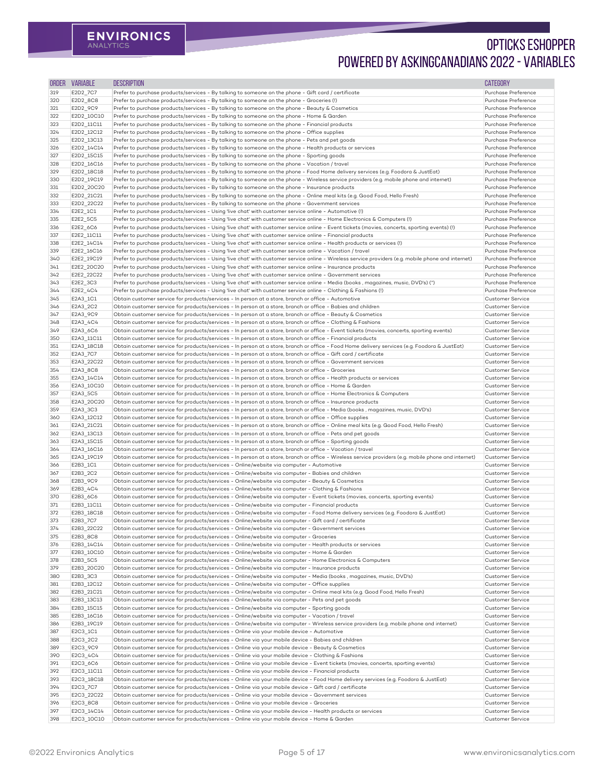| <b>ORDER</b> | <b>VARIABLE</b>          | <b>DESCRIPTION</b>                                                                                                                                                                                                                   | <b>CATEGORY</b>                                    |
|--------------|--------------------------|--------------------------------------------------------------------------------------------------------------------------------------------------------------------------------------------------------------------------------------|----------------------------------------------------|
| 319          | E2D2_7C7                 | Prefer to purchase products/services - By talking to someone on the phone - Gift card / certificate                                                                                                                                  | Purchase Preference                                |
| 320          | E2D2_8C8                 | Prefer to purchase products/services - By talking to someone on the phone - Groceries (!)                                                                                                                                            | Purchase Preference                                |
| 321          | E2D2_9C9                 | Prefer to purchase products/services - By talking to someone on the phone - Beauty & Cosmetics                                                                                                                                       | Purchase Preference                                |
| 322          | E2D2_10C10               | Prefer to purchase products/services - By talking to someone on the phone - Home & Garden                                                                                                                                            | Purchase Preference                                |
| 323          | E2D2_11C11               | Prefer to purchase products/services - By talking to someone on the phone - Financial products                                                                                                                                       | Purchase Preference                                |
| 324          | E2D2_12C12               | Prefer to purchase products/services - By talking to someone on the phone - Office supplies                                                                                                                                          | Purchase Preference                                |
| 325          | E2D2_13C13               | Prefer to purchase products/services - By talking to someone on the phone - Pets and pet goods                                                                                                                                       | Purchase Preference                                |
| 326          | E2D2_14C14               | Prefer to purchase products/services - By talking to someone on the phone - Health products or services                                                                                                                              | Purchase Preference                                |
| 327          | E2D2_15C15               | Prefer to purchase products/services - By talking to someone on the phone - Sporting goods                                                                                                                                           | Purchase Preference<br>Purchase Preference         |
| 328<br>329   | E2D2_16C16<br>E2D2_18C18 | Prefer to purchase products/services - By talking to someone on the phone - Vacation / travel<br>Prefer to purchase products/services - By talking to someone on the phone - Food Home delivery services (e.g. Foodora & JustEat)    | Purchase Preference                                |
| 330          | E2D2_19C19               | Prefer to purchase products/services - By talking to someone on the phone - Wireless service providers (e.g. mobile phone and internet)                                                                                              | Purchase Preference                                |
| 331          | E2D2 20C20               | Prefer to purchase products/services - By talking to someone on the phone - Insurance products                                                                                                                                       | Purchase Preference                                |
| 332          | E2D2_21C21               | Prefer to purchase products/services - By talking to someone on the phone - Online meal kits (e.g. Good Food, Hello Fresh)                                                                                                           | Purchase Preference                                |
| 333          | E2D2_22C22               | Prefer to purchase products/services - By talking to someone on the phone - Government services                                                                                                                                      | Purchase Preference                                |
| 334          | E2E2_1C1                 | Prefer to purchase products/services - Using 'live chat' with customer service online - Automotive (!)                                                                                                                               | Purchase Preference                                |
| 335          | E2E2_5C5                 | Prefer to purchase products/services - Using 'live chat' with customer service online - Home Electronics & Computers (!)                                                                                                             | Purchase Preference                                |
| 336          | E2E2_6C6                 | Prefer to purchase products/services - Using 'live chat' with customer service online - Event tickets (movies, concerts, sporting events) (!)                                                                                        | Purchase Preference                                |
| 337          | E2E2_11C11               | Prefer to purchase products/services - Using 'live chat' with customer service online - Financial products                                                                                                                           | Purchase Preference                                |
| 338          | E2E2_14C14               | Prefer to purchase products/services - Using 'live chat' with customer service online - Health products or services (!)                                                                                                              | Purchase Preference                                |
| 339          | E2E2_16C16               | Prefer to purchase products/services - Using 'live chat' with customer service online - Vacation / travel                                                                                                                            | Purchase Preference                                |
| 340          | E2E2_19C19               | Prefer to purchase products/services - Using 'live chat' with customer service online - Wireless service providers (e.g. mobile phone and internet)                                                                                  | Purchase Preference                                |
| 341<br>342   | E2E2_20C20<br>E2E2_22C22 | Prefer to purchase products/services - Using 'live chat' with customer service online - Insurance products<br>Prefer to purchase products/services - Using 'live chat' with customer service online - Government services            | Purchase Preference<br>Purchase Preference         |
| 343          | E2E2_3C3                 | Prefer to purchase products/services - Using 'live chat' with customer service online - Media (books, magazines, music, DVD's) (^)                                                                                                   | Purchase Preference                                |
| 344          | E2E2_4C4                 | Prefer to purchase products/services - Using 'live chat' with customer service online - Clothing & Fashions (!)                                                                                                                      | Purchase Preference                                |
| 345          | E2A3_1C1                 | Obtain customer service for products/services - In person at a store, branch or office - Automotive                                                                                                                                  | <b>Customer Service</b>                            |
| 346          | E2A3_2C2                 | Obtain customer service for products/services - In person at a store, branch or office - Babies and children                                                                                                                         | <b>Customer Service</b>                            |
| 347          | E2A3_9C9                 | Obtain customer service for products/services - In person at a store, branch or office - Beauty & Cosmetics                                                                                                                          | Customer Service                                   |
| 348          | E2A3_4C4                 | Obtain customer service for products/services - In person at a store, branch or office - Clothing & Fashions                                                                                                                         | Customer Service                                   |
| 349          | E2A3_6C6                 | Obtain customer service for products/services - In person at a store, branch or office - Event tickets (movies, concerts, sporting events)                                                                                           | <b>Customer Service</b>                            |
| 350          | E2A3_11C11               | Obtain customer service for products/services - In person at a store, branch or office - Financial products                                                                                                                          | Customer Service                                   |
| 351          | E2A3_18C18               | Obtain customer service for products/services - In person at a store, branch or office - Food Home delivery services (e.g. Foodora & JustEat)                                                                                        | <b>Customer Service</b>                            |
| 352          | E2A3_7C7                 | Obtain customer service for products/services - In person at a store, branch or office - Gift card / certificate                                                                                                                     | <b>Customer Service</b>                            |
| 353          | E2A3_22C22               | Obtain customer service for products/services - In person at a store, branch or office - Government services                                                                                                                         | <b>Customer Service</b>                            |
| 354          | E2A3_8C8                 | Obtain customer service for products/services - In person at a store, branch or office - Groceries                                                                                                                                   | <b>Customer Service</b>                            |
| 355          | E2A3_14C14               | Obtain customer service for products/services - In person at a store, branch or office - Health products or services                                                                                                                 | <b>Customer Service</b>                            |
| 356<br>357   | E2A3_10C10<br>E2A3_5C5   | Obtain customer service for products/services - In person at a store, branch or office - Home & Garden<br>Obtain customer service for products/services - In person at a store, branch or office - Home Electronics & Computers      | <b>Customer Service</b><br>Customer Service        |
| 358          | E2A3_2OC2O               | Obtain customer service for products/services - In person at a store, branch or office - Insurance products                                                                                                                          | <b>Customer Service</b>                            |
| 359          | E2A3_3C3                 | Obtain customer service for products/services - In person at a store, branch or office - Media (books, magazines, music, DVD's)                                                                                                      | <b>Customer Service</b>                            |
| 360          | E2A3_12C12               | Obtain customer service for products/services - In person at a store, branch or office - Office supplies                                                                                                                             | <b>Customer Service</b>                            |
| 361          | E2A3_21C21               | Obtain customer service for products/services - In person at a store, branch or office - Online meal kits (e.g. Good Food, Hello Fresh)                                                                                              | <b>Customer Service</b>                            |
| 362          | E2A3_13C13               | Obtain customer service for products/services - In person at a store, branch or office - Pets and pet goods                                                                                                                          | <b>Customer Service</b>                            |
| 363          | E2A3_15C15               | Obtain customer service for products/services - In person at a store, branch or office - Sporting goods                                                                                                                              | <b>Customer Service</b>                            |
| 364          | E2A3_16C16               | Obtain customer service for products/services - In person at a store, branch or office - Vacation / travel                                                                                                                           | Customer Service                                   |
| 365          | E2A3_19C19               | Obtain customer service for products/services - In person at a store, branch or office - Wireless service providers (e.g. mobile phone and internet)                                                                                 | <b>Customer Service</b>                            |
| 366          | E2B3_1C1                 | Obtain customer service for products/services - Online/website via computer - Automotive                                                                                                                                             | <b>Customer Service</b>                            |
| 367          | E2B3_2C2                 | Obtain customer service for products/services - Online/website via computer - Babies and children                                                                                                                                    | Customer Service                                   |
| 368          | E2B3_9C9                 | Obtain customer service for products/services - Online/website via computer - Beauty & Cosmetics                                                                                                                                     | <b>Customer Service</b>                            |
| 369<br>370   | E2B3_4C4<br>E2B3_6C6     | Obtain customer service for products/services - Online/website via computer - Clothing & Fashions<br>Obtain customer service for products/services - Online/website via computer - Event tickets (movies, concerts, sporting events) | <b>Customer Service</b><br><b>Customer Service</b> |
| 371          | E2B3_11C11               | Obtain customer service for products/services - Online/website via computer - Financial products                                                                                                                                     | Customer Service                                   |
| 372          | E2B3_18C18               | Obtain customer service for products/services - Online/website via computer - Food Home delivery services (e.g. Foodora & JustEat)                                                                                                   | <b>Customer Service</b>                            |
| 373          | E2B3_7C7                 | Obtain customer service for products/services - Online/website via computer - Gift card / certificate                                                                                                                                | <b>Customer Service</b>                            |
| 374          | E2B3_22C22               | Obtain customer service for products/services - Online/website via computer - Government services                                                                                                                                    | <b>Customer Service</b>                            |
| 375          | E2B3_8C8                 | Obtain customer service for products/services - Online/website via computer - Groceries                                                                                                                                              | <b>Customer Service</b>                            |
| 376          | E2B3_14C14               | Obtain customer service for products/services - Online/website via computer - Health products or services                                                                                                                            | Customer Service                                   |
| 377          | E2B3_10C10               | Obtain customer service for products/services - Online/website via computer - Home & Garden                                                                                                                                          | <b>Customer Service</b>                            |
| 378          | E2B3_5C5                 | Obtain customer service for products/services - Online/website via computer - Home Electronics & Computers                                                                                                                           | <b>Customer Service</b>                            |
| 379          | E2B3_20C20               | Obtain customer service for products/services - Online/website via computer - Insurance products                                                                                                                                     | <b>Customer Service</b>                            |
| 380          | E2B3_3C3                 | Obtain customer service for products/services - Online/website via computer - Media (books, magazines, music, DVD's)                                                                                                                 | <b>Customer Service</b>                            |
| 381          | E2B3_12C12               | Obtain customer service for products/services - Online/website via computer - Office supplies                                                                                                                                        | <b>Customer Service</b>                            |
| 382          | E2B3_21C21               | Obtain customer service for products/services - Online/website via computer - Online meal kits (e.g. Good Food, Hello Fresh)<br>Obtain customer service for products/services - Online/website via computer - Pets and pet goods     | <b>Customer Service</b><br><b>Customer Service</b> |
| 383<br>384   | E2B3_13C13<br>E2B3_15C15 | Obtain customer service for products/services - Online/website via computer - Sporting goods                                                                                                                                         | <b>Customer Service</b>                            |
| 385          | E2B3_16C16               | Obtain customer service for products/services - Online/website via computer - Vacation / travel                                                                                                                                      | <b>Customer Service</b>                            |
| 386          | E2B3_19C19               | Obtain customer service for products/services - Online/website via computer - Wireless service providers (e.g. mobile phone and internet)                                                                                            | <b>Customer Service</b>                            |
| 387          | E2C3_1C1                 | Obtain customer service for products/services - Online via your mobile device - Automotive                                                                                                                                           | <b>Customer Service</b>                            |
| 388          | E2C3_2C2                 | Obtain customer service for products/services - Online via your mobile device - Babies and children                                                                                                                                  | <b>Customer Service</b>                            |
| 389          | E2C3_9C9                 | Obtain customer service for products/services - Online via your mobile device - Beauty & Cosmetics                                                                                                                                   | <b>Customer Service</b>                            |
| 390          | E2C3_4C4                 | Obtain customer service for products/services - Online via your mobile device - Clothing & Fashions                                                                                                                                  | <b>Customer Service</b>                            |
| 391          | E2C3_6C6                 | Obtain customer service for products/services - Online via your mobile device - Event tickets (movies, concerts, sporting events)                                                                                                    | <b>Customer Service</b>                            |
| 392          | E2C3_11C11               | Obtain customer service for products/services - Online via your mobile device - Financial products                                                                                                                                   | <b>Customer Service</b>                            |
| 393          | E2C3_18C18               | Obtain customer service for products/services - Online via your mobile device - Food Home delivery services (e.g. Foodora & JustEat)                                                                                                 | <b>Customer Service</b>                            |
| 394          | E2C3_7C7                 | Obtain customer service for products/services - Online via your mobile device - Gift card / certificate                                                                                                                              | <b>Customer Service</b>                            |
| 395<br>396   | E2C3_22C22<br>E2C3_8C8   | Obtain customer service for products/services - Online via your mobile device - Government services<br>Obtain customer service for products/services - Online via your mobile device - Groceries                                     | <b>Customer Service</b><br><b>Customer Service</b> |
| 397          | E2C3_14C14               | Obtain customer service for products/services - Online via your mobile device - Health products or services                                                                                                                          | <b>Customer Service</b>                            |
|              | E2C3_10C10               | Obtain customer service for products/services - Online via your mobile device - Home & Garden                                                                                                                                        | <b>Customer Service</b>                            |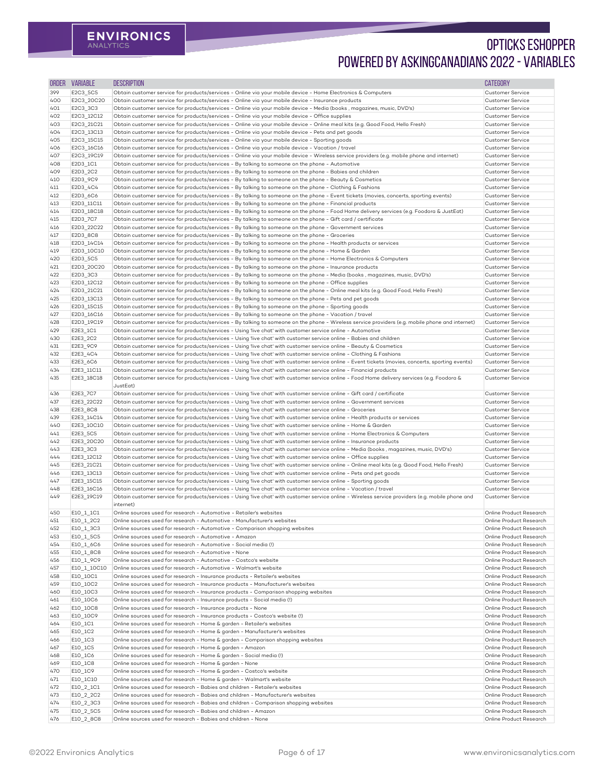| <b>ORDER</b> | <b>VARIABLE</b>          | <b>DESCRIPTION</b>                                                                                                                                                                                                                                                        | <b>CATEGORY</b>                                    |
|--------------|--------------------------|---------------------------------------------------------------------------------------------------------------------------------------------------------------------------------------------------------------------------------------------------------------------------|----------------------------------------------------|
| 399          | E2C3_5C5                 | Obtain customer service for products/services - Online via your mobile device - Home Electronics & Computers                                                                                                                                                              | <b>Customer Service</b>                            |
| 400          | E2C3_20C20               | Obtain customer service for products/services - Online via your mobile device - Insurance products                                                                                                                                                                        | Customer Service                                   |
| 401          | E2C3_3C3                 | Obtain customer service for products/services - Online via your mobile device - Media (books, magazines, music, DVD's)                                                                                                                                                    | <b>Customer Service</b>                            |
| 402          | E2C3_12C12<br>E2C3_21C21 | Obtain customer service for products/services - Online via your mobile device - Office supplies<br>Obtain customer service for products/services - Online via your mobile device - Online meal kits (e.g. Good Food, Hello Fresh)                                         | Customer Service<br>Customer Service               |
| 403<br>404   | E2C3_13C13               | Obtain customer service for products/services - Online via your mobile device - Pets and pet goods                                                                                                                                                                        | <b>Customer Service</b>                            |
| 405          | E2C3_15C15               | Obtain customer service for products/services - Online via your mobile device - Sporting goods                                                                                                                                                                            | Customer Service                                   |
| 406          | E2C3_16C16               | Obtain customer service for products/services - Online via your mobile device - Vacation / travel                                                                                                                                                                         | Customer Service                                   |
| 407          | E2C3_19C19               | Obtain customer service for products/services - Online via your mobile device - Wireless service providers (e.g. mobile phone and internet)                                                                                                                               | <b>Customer Service</b>                            |
| 408          | E2D3_1C1                 | Obtain customer service for products/services - By talking to someone on the phone - Automotive                                                                                                                                                                           | <b>Customer Service</b>                            |
| 409          | E2D3_2C2                 | Obtain customer service for products/services - By talking to someone on the phone - Babies and children                                                                                                                                                                  | Customer Service                                   |
| 410<br>411   | E2D3_9C9<br>E2D3_4C4     | Obtain customer service for products/services - By talking to someone on the phone - Beauty & Cosmetics<br>Obtain customer service for products/services - By talking to someone on the phone - Clothing & Fashions                                                       | Customer Service<br>Customer Service               |
| 412          | E2D3_6C6                 | Obtain customer service for products/services - By talking to someone on the phone - Event tickets (movies, concerts, sporting events)                                                                                                                                    | Customer Service                                   |
| 413          | E2D3_11C11               | Obtain customer service for products/services - By talking to someone on the phone - Financial products                                                                                                                                                                   | Customer Service                                   |
| 414          | E2D3_18C18               | Obtain customer service for products/services - By talking to someone on the phone - Food Home delivery services (e.g. Foodora & JustEat)                                                                                                                                 | Customer Service                                   |
| 415          | E2D3_7C7                 | Obtain customer service for products/services - By talking to someone on the phone - Gift card / certificate                                                                                                                                                              | <b>Customer Service</b>                            |
| 416          | E2D3_22C22               | Obtain customer service for products/services - By talking to someone on the phone - Government services                                                                                                                                                                  | Customer Service                                   |
| 417<br>418   | E2D3_8C8<br>E2D3_14C14   | Obtain customer service for products/services - By talking to someone on the phone - Groceries<br>Obtain customer service for products/services - By talking to someone on the phone - Health products or services                                                        | Customer Service<br><b>Customer Service</b>        |
| 419          | E2D3_10C10               | Obtain customer service for products/services - By talking to someone on the phone - Home & Garden                                                                                                                                                                        | Customer Service                                   |
| 420          | E2D3_5C5                 | Obtain customer service for products/services - By talking to someone on the phone - Home Electronics & Computers                                                                                                                                                         | <b>Customer Service</b>                            |
| 421          | E2D3_20C20               | Obtain customer service for products/services - By talking to someone on the phone - Insurance products                                                                                                                                                                   | <b>Customer Service</b>                            |
| 422          | E2D3_3C3                 | Obtain customer service for products/services - By talking to someone on the phone - Media (books, magazines, music, DVD's)                                                                                                                                               | Customer Service                                   |
| 423          | E2D3_12C12               | Obtain customer service for products/services - By talking to someone on the phone - Office supplies                                                                                                                                                                      | Customer Service                                   |
| 424          | E2D3_21C21               | Obtain customer service for products/services - By talking to someone on the phone - Online meal kits (e.g. Good Food, Hello Fresh)                                                                                                                                       | Customer Service                                   |
| 425<br>426   | E2D3_13C13<br>E2D3_15C15 | Obtain customer service for products/services - By talking to someone on the phone - Pets and pet goods<br>Obtain customer service for products/services - By talking to someone on the phone - Sporting goods                                                            | Customer Service<br>Customer Service               |
| 427          | E2D3_16C16               | Obtain customer service for products/services - By talking to someone on the phone - Vacation / travel                                                                                                                                                                    | <b>Customer Service</b>                            |
| 428          | E2D3_19C19               | Obtain customer service for products/services - By talking to someone on the phone - Wireless service providers (e.g. mobile phone and internet)                                                                                                                          | Customer Service                                   |
| 429          | E2E3_1C1                 | Obtain customer service for products/services - Using 'live chat' with customer service online - Automotive                                                                                                                                                               | Customer Service                                   |
| 430          | E2E3_2C2                 | Obtain customer service for products/services - Using 'live chat' with customer service online - Babies and children                                                                                                                                                      | Customer Service                                   |
| 431          | E2E3_9C9                 | Obtain customer service for products/services - Using 'live chat' with customer service online - Beauty & Cosmetics                                                                                                                                                       | Customer Service                                   |
| 432          | E2E3_4C4                 | Obtain customer service for products/services - Using 'live chat' with customer service online - Clothing & Fashions                                                                                                                                                      | Customer Service                                   |
| 433<br>434   | E2E3_6C6<br>E2E3_11C11   | Obtain customer service for products/services - Using 'live chat' with customer service online - Event tickets (movies, concerts, sporting events)<br>Obtain customer service for products/services - Using 'live chat' with customer service online - Financial products | Customer Service<br><b>Customer Service</b>        |
| 435          | E2E3_18C18               | Obtain customer service for products/services - Using 'live chat' with customer service online - Food Home delivery services (e.g. Foodora &                                                                                                                              | Customer Service                                   |
|              |                          | JustEat)                                                                                                                                                                                                                                                                  |                                                    |
| 436          | E2E3_7C7                 | Obtain customer service for products/services - Using 'live chat' with customer service online - Gift card / certificate                                                                                                                                                  | Customer Service                                   |
| 437          | E2E3_22C22               | Obtain customer service for products/services - Using 'live chat' with customer service online - Government services                                                                                                                                                      | Customer Service                                   |
| 438          | E2E3_8C8                 | Obtain customer service for products/services - Using 'live chat' with customer service online - Groceries                                                                                                                                                                | Customer Service                                   |
| 439<br>440   | E2E3_14C14<br>E2E3_10C10 | Obtain customer service for products/services - Using 'live chat' with customer service online - Health products or services<br>Obtain customer service for products/services - Using 'live chat' with customer service online - Home & Garden                            | Customer Service<br>Customer Service               |
| 441          | E2E3_5C5                 | Obtain customer service for products/services - Using 'live chat' with customer service online - Home Electronics & Computers                                                                                                                                             | Customer Service                                   |
| 442          | E2E3_20C20               | Obtain customer service for products/services - Using 'live chat' with customer service online - Insurance products                                                                                                                                                       | Customer Service                                   |
| 443          | E2E3_3C3                 | Obtain customer service for products/services - Using 'live chat' with customer service online - Media (books, magazines, music, DVD's)                                                                                                                                   | Customer Service                                   |
| 444          | E2E3_12C12               | Obtain customer service for products/services - Using 'live chat' with customer service online - Office supplies                                                                                                                                                          | Customer Service                                   |
| 445          | E2E3_21C21               | Obtain customer service for products/services - Using 'live chat' with customer service online - Online meal kits (e.g. Good Food, Hello Fresh)                                                                                                                           | <b>Customer Service</b>                            |
| 446<br>447   | E2E3_13C13<br>E2E3_15C15 | Obtain customer service for products/services - Using 'live chat' with customer service online - Pets and pet goods<br>Obtain customer service for products/services - Using 'live chat' with customer service online - Sporting goods                                    | <b>Customer Service</b><br>Customer Service        |
| 448          | E2E3_16C16               | Obtain customer service for products/services - Using 'live chat' with customer service online - Vacation / travel                                                                                                                                                        | <b>Customer Service</b>                            |
| 449          | E2E3_19C19               | Obtain customer service for products/services - Using 'live chat' with customer service online - Wireless service providers (e.g. mobile phone and<br>internet)                                                                                                           | Customer Service                                   |
| 450          | E10_1_1C1                | Online sources used for research - Automotive - Retailer's websites                                                                                                                                                                                                       | Online Product Research                            |
| 451          | E10_1_2C2                | Online sources used for research - Automotive - Manufacturer's websites                                                                                                                                                                                                   | Online Product Research                            |
| 452<br>453   | E10_1_3C3<br>E10_1_5C5   | Online sources used for research - Automotive - Comparison shopping websites<br>Online sources used for research - Automotive - Amazon                                                                                                                                    | Online Product Research<br>Online Product Research |
| 454          | E10_1_6C6                | Online sources used for research - Automotive - Social media (!)                                                                                                                                                                                                          | Online Product Research                            |
| 455          | E10_1_8C8                | Online sources used for research - Automotive - None                                                                                                                                                                                                                      | Online Product Research                            |
| 456          | E10_1_9C9                | Online sources used for research - Automotive - Costco's website                                                                                                                                                                                                          | Online Product Research                            |
| 457          | E10_1_10C10              | Online sources used for research - Automotive - Walmart's website                                                                                                                                                                                                         | Online Product Research                            |
| 458          | E10_10C1                 | Online sources used for research - Insurance products - Retailer's websites                                                                                                                                                                                               | Online Product Research                            |
| 459          | E10_10C2                 | Online sources used for research - Insurance products - Manufacturer's websites                                                                                                                                                                                           | Online Product Research                            |
| 460<br>461   | E10_10C3<br>E10_10C6     | Online sources used for research - Insurance products - Comparison shopping websites<br>Online sources used for research - Insurance products - Social media (!)                                                                                                          | Online Product Research<br>Online Product Research |
| 462          | E10_10C8                 | Online sources used for research - Insurance products - None                                                                                                                                                                                                              | Online Product Research                            |
| 463          | E10_10C9                 | Online sources used for research - Insurance products - Costco's website (!)                                                                                                                                                                                              | Online Product Research                            |
| 464          | E10_1C1                  | Online sources used for research - Home & garden - Retailer's websites                                                                                                                                                                                                    | Online Product Research                            |
| 465          | E10_1C2                  | Online sources used for research - Home & garden - Manufacturer's websites                                                                                                                                                                                                | Online Product Research                            |
| 466          | E10_1C3                  | Online sources used for research - Home & garden - Comparison shopping websites                                                                                                                                                                                           | Online Product Research                            |
| 467          | E10_1C5                  | Online sources used for research - Home & garden - Amazon                                                                                                                                                                                                                 | Online Product Research<br>Online Product Research |
| 468<br>469   | E10_1C6<br>E10_1C8       | Online sources used for research - Home & garden - Social media (!)<br>Online sources used for research - Home & garden - None                                                                                                                                            | Online Product Research                            |
| 470          | E10_1C9                  | Online sources used for research - Home & garden - Costco's website                                                                                                                                                                                                       | Online Product Research                            |
| 471          | E10_1C10                 | Online sources used for research - Home & garden - Walmart's website                                                                                                                                                                                                      | Online Product Research                            |
| 472          | E10_2_1C1                | Online sources used for research - Babies and children - Retailer's websites                                                                                                                                                                                              | Online Product Research                            |
| 473          | E10_2_2C2                | Online sources used for research - Babies and children - Manufacturer's websites                                                                                                                                                                                          | Online Product Research                            |
| 474          | E10_2_3C3                | Online sources used for research - Babies and children - Comparison shopping websites                                                                                                                                                                                     | Online Product Research                            |
| 475<br>476   | E10_2_5C5<br>E10_2_8C8   | Online sources used for research - Babies and children - Amazon<br>Online sources used for research - Babies and children - None                                                                                                                                          | Online Product Research<br>Online Product Research |
|              |                          |                                                                                                                                                                                                                                                                           |                                                    |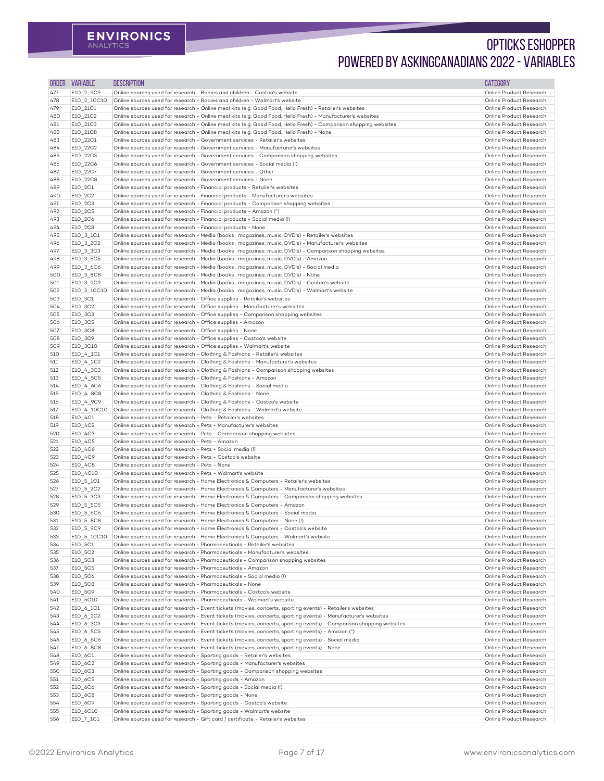| <b>ORDER</b> | <b>VARIABLE</b>          | <b>DESCRIPTION</b>                                                                                                                                                                                                              | <b>CATEGORY</b>                                    |
|--------------|--------------------------|---------------------------------------------------------------------------------------------------------------------------------------------------------------------------------------------------------------------------------|----------------------------------------------------|
| 477          | E10_2_9C9                | Online sources used for research - Babies and children - Costco's website                                                                                                                                                       | Online Product Research                            |
| 478          | E10_2_10C10              | Online sources used for research - Babies and children - Walmart's website                                                                                                                                                      | Online Product Research                            |
| 479          | E10_21C1                 | Online sources used for research - Online meal kits (e.g. Good Food, Hello Fresh) - Retailer's websites                                                                                                                         | Online Product Research                            |
| 480<br>481   | E10_21C2<br>E10_21C3     | Online sources used for research - Online meal kits (e.g. Good Food, Hello Fresh) - Manufacturer's websites<br>Online sources used for research - Online meal kits (e.g. Good Food, Hello Fresh) - Comparison shopping websites | Online Product Research<br>Online Product Research |
| 482          | E10_21C8                 | Online sources used for research - Online meal kits (e.g. Good Food, Hello Fresh) - None                                                                                                                                        | Online Product Research                            |
| 483          | E10_22C1                 | Online sources used for research - Government services - Retailer's websites                                                                                                                                                    | Online Product Research                            |
| 484          | E10_22C2                 | Online sources used for research - Government services - Manufacturer's websites                                                                                                                                                | Online Product Research                            |
| 485          | E10_22C3                 | Online sources used for research - Government services - Comparison shopping websites                                                                                                                                           | Online Product Research                            |
| 486<br>487   | E10_22C6<br>E10_22C7     | Online sources used for research - Government services - Social media (!)<br>Online sources used for research - Government services - Other                                                                                     | Online Product Research<br>Online Product Research |
| 488          | E10 22C8                 | Online sources used for research - Government services - None                                                                                                                                                                   | Online Product Research                            |
| 489          | E10_2C1                  | Online sources used for research - Financial products - Retailer's websites                                                                                                                                                     | Online Product Research                            |
| 490          | E10_2C2                  | Online sources used for research - Financial products - Manufacturer's websites                                                                                                                                                 | Online Product Research                            |
| 491          | E10_2C3                  | Online sources used for research - Financial products - Comparison shopping websites                                                                                                                                            | Online Product Research                            |
| 492<br>493   | E10_2C5<br>E10_2C6       | Online sources used for research - Financial products - Amazon (^)<br>Online sources used for research - Financial products - Social media (!)                                                                                  | Online Product Research<br>Online Product Research |
| 494          | E10_2C8                  | Online sources used for research - Financial products - None                                                                                                                                                                    | Online Product Research                            |
| 495          | E10_3_1C1                | Online sources used for research - Media (books, magazines, music, DVD's) - Retailer's websites                                                                                                                                 | Online Product Research                            |
| 496          | E10_3_2C2                | Online sources used for research - Media (books, magazines, music, DVD's) - Manufacturer's websites                                                                                                                             | Online Product Research                            |
| 497          | E10_3_3C3                | Online sources used for research - Media (books, magazines, music, DVD's) - Comparison shopping websites                                                                                                                        | Online Product Research                            |
| 498<br>499   | E10_3_5C5<br>E10_3_6C6   | Online sources used for research - Media (books, magazines, music, DVD's) - Amazon<br>Online sources used for research - Media (books, magazines, music, DVD's) - Social media                                                  | Online Product Research<br>Online Product Research |
| 500          | E10_3_8C8                | Online sources used for research - Media (books, magazines, music, DVD's) - None                                                                                                                                                | Online Product Research                            |
| 501          | E10_3_9C9                | Online sources used for research - Media (books, magazines, music, DVD's) - Costco's website                                                                                                                                    | Online Product Research                            |
| 502          | E10_3_10C10              | Online sources used for research - Media (books, magazines, music, DVD's) - Walmart's website                                                                                                                                   | Online Product Research                            |
| 503          | E10_3C1                  | Online sources used for research - Office supplies - Retailer's websites                                                                                                                                                        | Online Product Research                            |
| 504<br>505   | E10_3C2                  | Online sources used for research - Office supplies - Manufacturer's websites<br>Online sources used for research - Office supplies - Comparison shopping websites                                                               | Online Product Research<br>Online Product Research |
| 506          | E10_3C3<br>E10_3C5       | Online sources used for research - Office supplies - Amazon                                                                                                                                                                     | Online Product Research                            |
| 507          | E10_3C8                  | Online sources used for research - Office supplies - None                                                                                                                                                                       | Online Product Research                            |
| 508          | E10_3C9                  | Online sources used for research - Office supplies - Costco's website                                                                                                                                                           | Online Product Research                            |
| 509          | E10_3C10                 | Online sources used for research - Office supplies - Walmart's website                                                                                                                                                          | Online Product Research                            |
| 510<br>511   | E10_4_1C1<br>E10_4_2C2   | Online sources used for research - Clothing & Fashions - Retailer's websites<br>Online sources used for research - Clothing & Fashions - Manufacturer's websites                                                                | Online Product Research<br>Online Product Research |
| 512          | E10_4_3C3                | Online sources used for research - Clothing & Fashions - Comparison shopping websites                                                                                                                                           | Online Product Research                            |
| 513          | E10_4_5C5                | Online sources used for research - Clothing & Fashions - Amazon                                                                                                                                                                 | Online Product Research                            |
| 514          | E10_4_6C6                | Online sources used for research - Clothing & Fashions - Social media                                                                                                                                                           | Online Product Research                            |
| 515          | E10_4_8C8                | Online sources used for research - Clothing & Fashions - None                                                                                                                                                                   | Online Product Research                            |
| 516<br>517   | E10_4_9C9<br>E10_4_10C10 | Online sources used for research - Clothing & Fashions - Costco's website<br>Online sources used for research - Clothing & Fashions - Walmart's website                                                                         | Online Product Research<br>Online Product Research |
| 518          | E10_4C1                  | Online sources used for research - Pets - Retailer's websites                                                                                                                                                                   | Online Product Research                            |
| 519          | E10_4C2                  | Online sources used for research - Pets - Manufacturer's websites                                                                                                                                                               | Online Product Research                            |
| 520          | E10_4C3                  | Online sources used for research - Pets - Comparison shopping websites                                                                                                                                                          | Online Product Research                            |
| 521          | E10_4C5                  | Online sources used for research - Pets - Amazon                                                                                                                                                                                | Online Product Research                            |
| 522<br>523   | E10_4C6<br>E10_4C9       | Online sources used for research - Pets - Social media (!)<br>Online sources used for research - Pets - Costco's website                                                                                                        | Online Product Research<br>Online Product Research |
| 524          | E10_4C8                  | Online sources used for research - Pets - None                                                                                                                                                                                  | Online Product Research                            |
| 525          | E10_4C10                 | Online sources used for research - Pets - Walmart's website                                                                                                                                                                     | Online Product Research                            |
| 526          | E10_5_1C1                | Online sources used for research - Home Electronics & Computers - Retailer's websites                                                                                                                                           | Online Product Research                            |
| 527          | E10_5_2C2                | Online sources used for research - Home Electronics & Computers - Manufacturer's websites                                                                                                                                       | Online Product Research                            |
| 528<br>529   | E10_5_3C3                | Online sources used for research - Home Electronics & Computers - Comparison shopping websites<br>Online sources used for research - Home Electronics & Computers - Amazon                                                      | Online Product Research<br>Online Product Research |
| 530          | E10_5_5C5<br>E10_5_6C6   | Online sources used for research - Home Electronics & Computers - Social media                                                                                                                                                  | Online Product Research                            |
| 531          | E10_5_8C8                | Online sources used for research - Home Electronics & Computers - None (!)                                                                                                                                                      | Online Product Research                            |
| 532          | E10_5_9C9                | Online sources used for research - Home Electronics & Computers - Costco's website                                                                                                                                              | Online Product Research                            |
| 533          | E10_5_10C10              | Online sources used for research - Home Electronics & Computers - Walmart's website                                                                                                                                             | Online Product Research                            |
| 534<br>535   | E10_5C1                  | Online sources used for research - Pharmaceuticals - Retailer's websites<br>Online sources used for research - Pharmaceuticals - Manufacturer's websites                                                                        | Online Product Research<br>Online Product Research |
| 536          | E10_5C2<br>E10_5C3       | Online sources used for research - Pharmaceuticals - Comparison shopping websites                                                                                                                                               | Online Product Research                            |
| 537          | E10_5C5                  | Online sources used for research - Pharmaceuticals - Amazon                                                                                                                                                                     | Online Product Research                            |
| 538          | E10_5C6                  | Online sources used for research - Pharmaceuticals - Social media (!)                                                                                                                                                           | Online Product Research                            |
| 539          | E10_5C8                  | Online sources used for research - Pharmaceuticals - None                                                                                                                                                                       | Online Product Research                            |
| 540          | E10_5C9<br>E10 5C10      | Online sources used for research - Pharmaceuticals - Costco's website<br>Online sources used for research - Pharmaceuticals - Walmart's website                                                                                 | Online Product Research<br>Online Product Research |
| 541<br>542   | E10_6_1C1                | Online sources used for research - Event tickets (movies, concerts, sporting events) - Retailer's websites                                                                                                                      | Online Product Research                            |
| 543          | E10_6_2C2                | Online sources used for research - Event tickets (movies, concerts, sporting events) - Manufacturer's websites                                                                                                                  | Online Product Research                            |
| 544          | E10_6_3C3                | Online sources used for research - Event tickets (movies, concerts, sporting events) - Comparison shopping websites                                                                                                             | Online Product Research                            |
| 545          | E10_6_5C5                | Online sources used for research - Event tickets (movies, concerts, sporting events) - Amazon (^)                                                                                                                               | Online Product Research                            |
| 546          | E10_6_6C6                | Online sources used for research - Event tickets (movies, concerts, sporting events) - Social media                                                                                                                             | Online Product Research                            |
| 547<br>548   | E10_6_8C8<br>E10_6C1     | Online sources used for research - Event tickets (movies, concerts, sporting events) - None<br>Online sources used for research - Sporting goods - Retailer's websites                                                          | Online Product Research<br>Online Product Research |
| 549          | E10_6C2                  | Online sources used for research - Sporting goods - Manufacturer's websites                                                                                                                                                     | Online Product Research                            |
| 550          | E10_6C3                  | Online sources used for research - Sporting goods - Comparison shopping websites                                                                                                                                                | Online Product Research                            |
| 551          | E10_6C5                  | Online sources used for research - Sporting goods - Amazon                                                                                                                                                                      | Online Product Research                            |
| 552          | E10_6C6                  | Online sources used for research - Sporting goods - Social media (!)                                                                                                                                                            | Online Product Research                            |
| 553          | E10_6C8                  | Online sources used for research - Sporting goods - None                                                                                                                                                                        | Online Product Research                            |
| 554<br>555   | E10_6C9<br>E10_6C10      | Online sources used for research - Sporting goods - Costco's website<br>Online sources used for research - Sporting goods - Walmart's website                                                                                   | Online Product Research<br>Online Product Research |
| 556          | E10_7_1C1                | Online sources used for research - Gift card / certificate - Retailer's websites                                                                                                                                                | Online Product Research                            |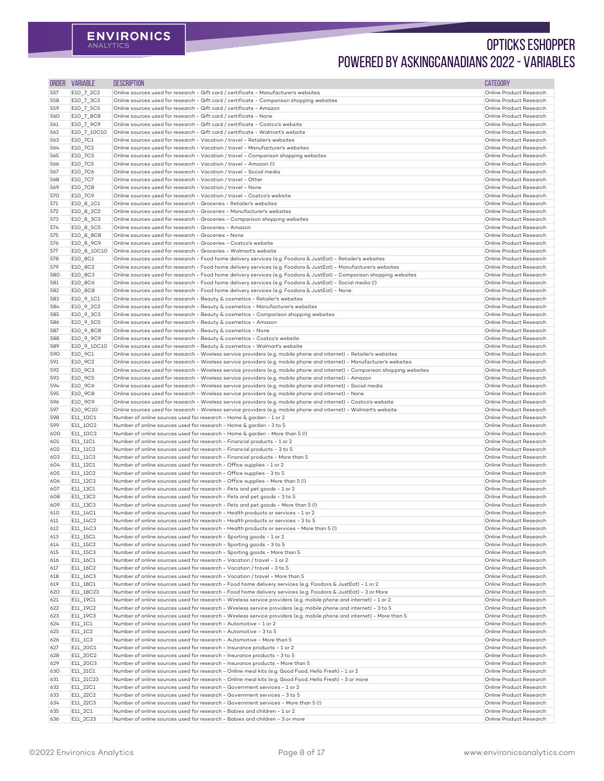| <b>ORDER</b> | <b>VARIABLE</b>        | <b>DESCRIPTION</b>                                                                                                                                                                                                                      | <b>CATEGORY</b>                                    |
|--------------|------------------------|-----------------------------------------------------------------------------------------------------------------------------------------------------------------------------------------------------------------------------------------|----------------------------------------------------|
| 557          | E10_7_2C2              | Online sources used for research - Gift card / certificate - Manufacturer's websites                                                                                                                                                    | Online Product Research                            |
| 558          | E10_7_3C3              | Online sources used for research - Gift card / certificate - Comparison shopping websites                                                                                                                                               | Online Product Research                            |
| 559          | E10_7_5C5              | Online sources used for research - Gift card / certificate - Amazon                                                                                                                                                                     | Online Product Research                            |
| 560<br>561   | E10_7_8C8<br>E10_7_9C9 | Online sources used for research - Gift card / certificate - None<br>Online sources used for research - Gift card / certificate - Costco's website                                                                                      | Online Product Research<br>Online Product Research |
| 562          | E10_7_10C10            | Online sources used for research - Gift card / certificate - Walmart's website                                                                                                                                                          | Online Product Research                            |
| 563          | E10_7C1                | Online sources used for research - Vacation / travel - Retailer's websites                                                                                                                                                              | Online Product Research                            |
| 564          | E10_7C2                | Online sources used for research - Vacation / travel - Manufacturer's websites                                                                                                                                                          | Online Product Research                            |
| 565          | E10_7C3                | Online sources used for research - Vacation / travel - Comparison shopping websites                                                                                                                                                     | Online Product Research                            |
| 566          | E10_7C5                | Online sources used for research - Vacation / travel - Amazon (!)                                                                                                                                                                       | Online Product Research                            |
| 567          | E10_7C6                | Online sources used for research - Vacation / travel - Social media<br>Online sources used for research - Vacation / travel - Other                                                                                                     | Online Product Research<br>Online Product Research |
| 568<br>569   | E10_7C7<br>E10_7C8     | Online sources used for research - Vacation / travel - None                                                                                                                                                                             | Online Product Research                            |
| 570          | E10_7C9                | Online sources used for research - Vacation / travel - Costco's website                                                                                                                                                                 | Online Product Research                            |
| 571          | E10_8_1C1              | Online sources used for research - Groceries - Retailer's websites                                                                                                                                                                      | Online Product Research                            |
| 572          | E10_8_2C2              | Online sources used for research - Groceries - Manufacturer's websites                                                                                                                                                                  | Online Product Research                            |
| 573          | E10_8_3C3              | Online sources used for research - Groceries - Comparison shopping websites                                                                                                                                                             | Online Product Research                            |
| 574<br>575   | E10_8_5C5<br>E10_8_8C8 | Online sources used for research - Groceries - Amazon<br>Online sources used for research - Groceries - None                                                                                                                            | Online Product Research<br>Online Product Research |
| 576          | E10_8_9C9              | Online sources used for research - Groceries - Costco's website                                                                                                                                                                         | Online Product Research                            |
| 577          | E10_8_10C10            | Online sources used for research - Groceries - Walmart's website                                                                                                                                                                        | Online Product Research                            |
| 578          | E10_8C1                | Online sources used for research - Food home delivery services (e.g. Foodora & JustEat) - Retailer's websites                                                                                                                           | Online Product Research                            |
| 579          | E10_8C2                | Online sources used for research - Food home delivery services (e.g. Foodora & JustEat) - Manufacturer's websites                                                                                                                       | Online Product Research                            |
| 580          | E10_8C3                | Online sources used for research - Food home delivery services (e.g. Foodora & JustEat) - Comparison shopping websites                                                                                                                  | Online Product Research                            |
| 581          | E10_8C6                | Online sources used for research - Food home delivery services (e.g. Foodora & JustEat) - Social media (!)                                                                                                                              | Online Product Research                            |
| 582<br>583   | E10_8C8<br>E10_9_1C1   | Online sources used for research - Food home delivery services (e.g. Foodora & JustEat) - None<br>Online sources used for research - Beauty & cosmetics - Retailer's websites                                                           | Online Product Research<br>Online Product Research |
| 584          | E10_9_2C2              | Online sources used for research - Beauty & cosmetics - Manufacturer's websites                                                                                                                                                         | Online Product Research                            |
| 585          | E10_9_3C3              | Online sources used for research - Beauty & cosmetics - Comparison shopping websites                                                                                                                                                    | Online Product Research                            |
| 586          | E10_9_5C5              | Online sources used for research - Beauty & cosmetics - Amazon                                                                                                                                                                          | Online Product Research                            |
| 587          | E10 9 8C8              | Online sources used for research - Beauty & cosmetics - None                                                                                                                                                                            | Online Product Research                            |
| 588          | E10_9_9C9              | Online sources used for research - Beauty & cosmetics - Costco's website                                                                                                                                                                | Online Product Research                            |
| 589<br>590   | E10_9_10C10<br>E10_9C1 | Online sources used for research - Beauty & cosmetics - Walmart's website<br>Online sources used for research - Wireless service providers (e.g. mobile phone and internet) - Retailer's websites                                       | Online Product Research<br>Online Product Research |
| 591          | E10_9C2                | Online sources used for research - Wireless service providers (e.g. mobile phone and internet) - Manufacturer's websites                                                                                                                | Online Product Research                            |
| 592          | E10_9C3                | Online sources used for research - Wireless service providers (e.g. mobile phone and internet) - Comparison shopping websites                                                                                                           | Online Product Research                            |
| 593          | E10_9C5                | Online sources used for research - Wireless service providers (e.g. mobile phone and internet) - Amazon                                                                                                                                 | Online Product Research                            |
| 594          | E10_9C6                | Online sources used for research - Wireless service providers (e.g. mobile phone and internet) - Social media                                                                                                                           | Online Product Research                            |
| 595          | E10_9C8                | Online sources used for research - Wireless service providers (e.g. mobile phone and internet) - None                                                                                                                                   | Online Product Research                            |
| 596<br>597   | E10_9C9<br>E10_9C10    | Online sources used for research - Wireless service providers (e.g. mobile phone and internet) - Costco's website<br>Online sources used for research - Wireless service providers (e.g. mobile phone and internet) - Walmart's website | Online Product Research<br>Online Product Research |
| 598          | E11_10C1               | Number of online sources used for research - Home & garden - 1 or 2                                                                                                                                                                     | Online Product Research                            |
| 599          | E11_10C2               | Number of online sources used for research - Home & garden - 3 to 5                                                                                                                                                                     | Online Product Research                            |
| 600          | E11_10C3               | Number of online sources used for research - Home & garden - More than 5 (!)                                                                                                                                                            | Online Product Research                            |
| 601          | E11_11C1               | Number of online sources used for research - Financial products - 1 or 2                                                                                                                                                                | Online Product Research                            |
| 602          | E11_11C2               | Number of online sources used for research - Financial products - 3 to 5                                                                                                                                                                | Online Product Research<br>Online Product Research |
| 603<br>604   | E11_11C3<br>E11_12C1   | Number of online sources used for research - Financial products - More than 5<br>Number of online sources used for research - Office supplies - 1 or 2                                                                                  | Online Product Research                            |
| 605          | E11_12C2               | Number of online sources used for research - Office supplies - 3 to 5                                                                                                                                                                   | Online Product Research                            |
| 606          | E11_12C3               | Number of online sources used for research - Office supplies - More than 5 (!)                                                                                                                                                          | Online Product Research                            |
| 607          | E11_13C1               | Number of online sources used for research - Pets and pet goods - 1 or 2                                                                                                                                                                | Online Product Research                            |
| 608          | E11_13C2               | Number of online sources used for research - Pets and pet goods - 3 to 5                                                                                                                                                                | Online Product Research                            |
| 609          | E11_13C3               | Number of online sources used for research - Pets and pet goods - More than 5 (!)<br>Number of online sources used for research - Health products or services - 1 or 2                                                                  | Online Product Research<br>Online Product Research |
| 610<br>611   | E11_14C1<br>E11_14C2   | Number of online sources used for research - Health products or services - 3 to 5                                                                                                                                                       | Online Product Research                            |
| 612          | E11_14C3               | Number of online sources used for research - Health products or services - More than 5 (!)                                                                                                                                              | Online Product Research                            |
| 613          | E11_15C1               | Number of online sources used for research - Sporting goods - 1 or 2                                                                                                                                                                    | Online Product Research                            |
| 614          | E11_15C2               | Number of online sources used for research - Sporting goods - 3 to 5                                                                                                                                                                    | Online Product Research                            |
| 615          | E11_15C3               | Number of online sources used for research - Sporting goods - More than 5                                                                                                                                                               | Online Product Research                            |
| 616<br>617   | E11_16C1<br>E11_16C2   | Number of online sources used for research - Vacation / travel - 1 or 2<br>Number of online sources used for research - Vacation / travel - 3 to 5                                                                                      | Online Product Research<br>Online Product Research |
| 618          | E11_16C3               | Number of online sources used for research - Vacation / travel - More than 5                                                                                                                                                            | Online Product Research                            |
| 619          | E11_18C1               | Number of online sources used for research - Food home delivery services (e.g. Foodora & JustEat) - 1 or 2 $\,$                                                                                                                         | Online Product Research                            |
| 620          | E11_18C23              | $ $ Number of online sources used for research - Food home delivery services (e.g. Foodora & JustEat) - 3 or More                                                                                                                       | Online Product Research                            |
| 621          | E11_19C1               | Number of online sources used for research - Wireless service providers (e.g. mobile phone and internet) - 1 or 2                                                                                                                       | Online Product Research                            |
| 622          | E11_19C2               | $\vert$ Number of online sources used for research - Wireless service providers (e.g. mobile phone and internet) - 3 to 5                                                                                                               | Online Product Research                            |
| 623<br>624   | E11 19C3<br>E11_1C1    | Number of online sources used for research - Wireless service providers (e.g. mobile phone and internet) - More than 5<br>Number of online sources used for research - Automotive - 1 or 2                                              | Online Product Research<br>Online Product Research |
| 625          | E11_1C2                | Number of online sources used for research - Automotive - 3 to 5                                                                                                                                                                        | Online Product Research                            |
| 626          | E11_1C3                | Number of online sources used for research - Automotive - More than 5                                                                                                                                                                   | Online Product Research                            |
| 627          | E11_20C1               | Number of online sources used for research - Insurance products - 1 or 2                                                                                                                                                                | Online Product Research                            |
| 628          | E11_20C2               | Number of online sources used for research - Insurance products - 3 to 5                                                                                                                                                                | Online Product Research                            |
| 629          | E11_20C3               | Number of online sources used for research - Insurance products - More than 5                                                                                                                                                           | Online Product Research                            |
| 630<br>631   | E11_21C1<br>E11_21C23  | Number of online sources used for research - Online meal kits (e.g. Good Food, Hello Fresh) - $1$ or $2$<br>Number of online sources used for research - Online meal kits (e.g. Good Food, Hello Fresh) - 3 or more                     | Online Product Research<br>Online Product Research |
| 632          | E11_22C1               | Number of online sources used for research - Government services - 1 or 2                                                                                                                                                               | Online Product Research                            |
| 633          | E11_22C2               | Number of online sources used for research - Government services - 3 to 5                                                                                                                                                               | Online Product Research                            |
| 634          | E11_22C3               | Number of online sources used for research - Government services - More than 5 (!)                                                                                                                                                      | Online Product Research                            |
| 635          | E11_2C1                | Number of online sources used for research - Babies and children - 1 or 2                                                                                                                                                               | Online Product Research                            |
| 636          | E11_2C23               | Number of online sources used for research - Babies and children - 3 or more                                                                                                                                                            | Online Product Research                            |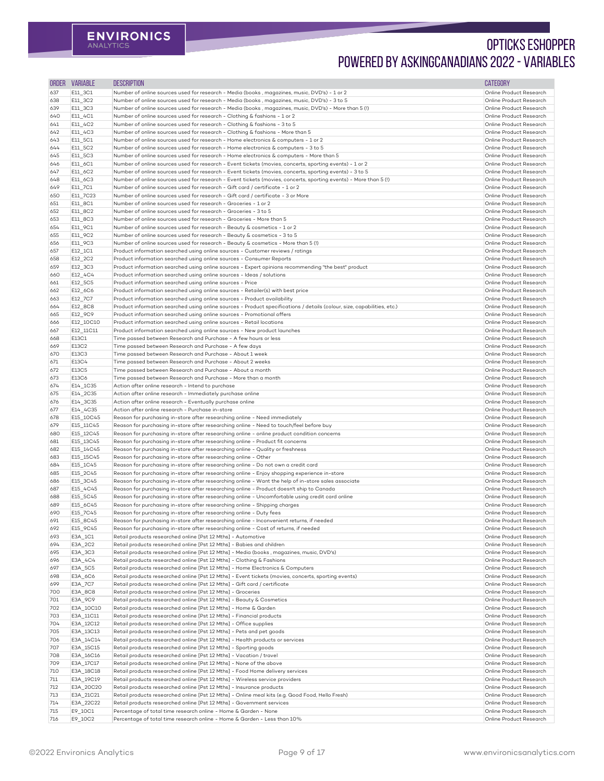| <b>ORDER</b> | <b>VARIABLE</b>        | <b>DESCRIPTION</b>                                                                                                                                                                                  | <b>CATEGORY</b>                                    |
|--------------|------------------------|-----------------------------------------------------------------------------------------------------------------------------------------------------------------------------------------------------|----------------------------------------------------|
| 637          | E11_3C1                | Number of online sources used for research - Media (books, magazines, music, DVD's) - 1 or 2                                                                                                        | Online Product Research                            |
| 638          | E11_3C2                | Number of online sources used for research - Media (books , magazines, music, DVD's) - 3 to 5                                                                                                       | Online Product Research                            |
| 639          | E11_3C3                | Number of online sources used for research - Media (books , magazines, music, DVD's) - More than 5 (!)                                                                                              | Online Product Research                            |
| 640          | $E11_4C1$              | Number of online sources used for research - Clothing & fashions - 1 or 2                                                                                                                           | Online Product Research                            |
| 641          | E11_4C2                | Number of online sources used for research - Clothing & fashions - 3 to 5                                                                                                                           | Online Product Research                            |
| 642<br>643   | E11_4C3<br>E11_5C1     | Number of online sources used for research - Clothing & fashions - More than 5<br>Number of online sources used for research - Home electronics & computers - 1 or 2                                | Online Product Research<br>Online Product Research |
| 644          | E11_5C2                | Number of online sources used for research - Home electronics & computers - 3 to 5                                                                                                                  | Online Product Research                            |
| 645          | E11_5C3                | Number of online sources used for research - Home electronics & computers - More than 5                                                                                                             | Online Product Research                            |
| 646          | E11_6C1                | Number of online sources used for research - Event tickets (movies, concerts, sporting events) - 1 or 2                                                                                             | Online Product Research                            |
| 647          | E11_6C2                | Number of online sources used for research - Event tickets (movies, concerts, sporting events) - 3 to 5                                                                                             | Online Product Research                            |
| 648          | E11_6C3                | Number of online sources used for research - Event tickets (movies, concerts, sporting events) - More than 5 (!)                                                                                    | Online Product Research                            |
| 649          | E11_7C1                | Number of online sources used for research - Gift card / certificate - 1 or 2                                                                                                                       | Online Product Research                            |
| 650          | E11_7C23               | Number of online sources used for research - Gift card / certificate - 3 or More                                                                                                                    | Online Product Research                            |
| 651          | E11_8C1                | Number of online sources used for research - Groceries - 1 or 2                                                                                                                                     | Online Product Research                            |
| 652<br>653   | E11_8C2<br>E11_8C3     | Number of online sources used for research - Groceries - 3 to 5<br>Number of online sources used for research - Groceries - More than 5                                                             | Online Product Research<br>Online Product Research |
| 654          | E11_9C1                | Number of online sources used for research - Beauty & cosmetics - 1 or 2                                                                                                                            | Online Product Research                            |
| 655          | E11_9C2                | Number of online sources used for research - Beauty & cosmetics - 3 to 5                                                                                                                            | Online Product Research                            |
| 656          | E11_9C3                | Number of online sources used for research - Beauty & cosmetics - More than 5 (!)                                                                                                                   | Online Product Research                            |
| 657          | E12_1C1                | Product information searched using online sources - Customer reviews / ratings                                                                                                                      | Online Product Research                            |
| 658          | E12_2C2                | Product information searched using online sources - Consumer Reports                                                                                                                                | Online Product Research                            |
| 659          | E12_3C3                | Product information searched using online sources - Expert opinions recommending "the best" product                                                                                                 | Online Product Research                            |
| 660          | E12_4C4                | Product information searched using online sources - Ideas / solutions                                                                                                                               | Online Product Research                            |
| 661          | E12_5C5                | Product information searched using online sources - Price                                                                                                                                           | Online Product Research                            |
| 662          | E12_6C6                | Product information searched using online sources - Retailer(s) with best price                                                                                                                     | Online Product Research                            |
| 663<br>664   | E12_7C7<br>E12_8C8     | Product information searched using online sources - Product availability<br>Product information searched using online sources - Product specifications / details (colour, size, capabilities, etc.) | Online Product Research<br>Online Product Research |
| 665          | E12_9C9                | Product information searched using online sources - Promotional offers                                                                                                                              | Online Product Research                            |
| 666          | E12_10C10              | Product information searched using online sources - Retail locations                                                                                                                                | Online Product Research                            |
| 667          | E12_11C11              | Product information searched using online sources - New product launches                                                                                                                            | Online Product Research                            |
| 668          | E13C1                  | Time passed between Research and Purchase - A few hours or less                                                                                                                                     | Online Product Research                            |
| 669          | E13C2                  | Time passed between Research and Purchase - A few days                                                                                                                                              | Online Product Research                            |
| 670          | E13C3                  | Time passed between Research and Purchase - About 1 week                                                                                                                                            | Online Product Research                            |
| 671          | E13C4                  | Time passed between Research and Purchase - About 2 weeks                                                                                                                                           | Online Product Research                            |
| 672<br>673   | E13C5<br>E13C6         | Time passed between Research and Purchase - About a month<br>Time passed between Research and Purchase - More than a month                                                                          | Online Product Research<br>Online Product Research |
| 674          | E14_1C35               | Action after online research - Intend to purchase                                                                                                                                                   | Online Product Research                            |
| 675          | E14_2C35               | Action after online research - Immediately purchase online                                                                                                                                          | Online Product Research                            |
| 676          | E14_3C35               | Action after online research - Eventually purchase online                                                                                                                                           | Online Product Research                            |
| 677          | E14_4C35               | Action after online research - Purchase in-store                                                                                                                                                    | Online Product Research                            |
| 678          | E15_10C45              | Reason for purchasing in-store after researching online - Need immediately                                                                                                                          | Online Product Research                            |
| 679          | E15_11C45              | Reason for purchasing in-store after researching online - Need to touch/feel before buy                                                                                                             | Online Product Research                            |
| 680          | E15_12C45              | Reason for purchasing in-store after researching online - online product condition concerns                                                                                                         | Online Product Research                            |
| 681          | E15_13C45              | Reason for purchasing in-store after researching online - Product fit concerns                                                                                                                      | Online Product Research                            |
| 682<br>683   | E15_14C45<br>E15_15C45 | Reason for purchasing in-store after researching online - Quality or freshness<br>Reason for purchasing in-store after researching online - Other                                                   | Online Product Research<br>Online Product Research |
| 684          | E15_1C45               | Reason for purchasing in-store after researching online - Do not own a credit card                                                                                                                  | Online Product Research                            |
| 685          | E15_2C45               | Reason for purchasing in-store after researching online - Enjoy shopping experience in-store                                                                                                        | Online Product Research                            |
| 686          | E15_3C45               | Reason for purchasing in-store after researching online - Want the help of in-store sales associate                                                                                                 | Online Product Research                            |
| 687          | E15_4C45               | Reason for purchasing in-store after researching online - Product doesn't ship to Canada                                                                                                            | Online Product Research                            |
| 688          | E15_5C45               | Reason for purchasing in-store after researching online - Uncomfortable using credit card online                                                                                                    | Online Product Research                            |
| 689          | E15_6C45               | Reason for purchasing in-store after researching online - Shipping charges                                                                                                                          | Online Product Research                            |
| 690          | E15_7C45               | Reason for purchasing in-store after researching online - Duty fees                                                                                                                                 | Online Product Research                            |
| 691          | E15_8C45               | Reason for purchasing in-store after researching online - Inconvenient returns, if needed                                                                                                           | Online Product Research                            |
| 692<br>693   | E15_9C45<br>E3A_1C1    | Reason for purchasing in-store after researching online - Cost of returns, if needed<br>Retail products researched online [Pst 12 Mths] - Automotive                                                | Online Product Research<br>Online Product Research |
| 694          | E3A_2C2                | Retail products researched online [Pst 12 Mths] - Babies and children                                                                                                                               | Online Product Research                            |
| 695          | E3A_3C3                | Retail products researched online [Pst 12 Mths] - Media (books, magazines, music, DVD's)                                                                                                            | Online Product Research                            |
| 696          | E3A_4C4                | Retail products researched online [Pst 12 Mths] - Clothing & Fashions                                                                                                                               | Online Product Research                            |
| 697          | E3A_5C5                | Retail products researched online [Pst 12 Mths] - Home Electronics & Computers                                                                                                                      | Online Product Research                            |
| 698          | E3A_6C6                | Retail products researched online [Pst 12 Mths] - Event tickets (movies, concerts, sporting events)                                                                                                 | Online Product Research                            |
| 699          | E3A_7C7                | Retail products researched online [Pst 12 Mths] - Gift card / certificate                                                                                                                           | Online Product Research                            |
| 700          | E3A_8C8                | Retail products researched online [Pst 12 Mths] - Groceries                                                                                                                                         | Online Product Research                            |
| 701          | E3A_9C9                | Retail products researched online [Pst 12 Mths] - Beauty & Cosmetics                                                                                                                                | Online Product Research                            |
| 702          | E3A_10C10              | Retail products researched online [Pst 12 Mths] - Home & Garden                                                                                                                                     | Online Product Research                            |
| 703<br>704   | E3A_11C11<br>E3A_12C12 | Retail products researched online [Pst 12 Mths] - Financial products<br>Retail products researched online [Pst 12 Mths] - Office supplies                                                           | Online Product Research<br>Online Product Research |
| 705          | E3A_13C13              | Retail products researched online [Pst 12 Mths] - Pets and pet goods                                                                                                                                | Online Product Research                            |
| 706          | E3A_14C14              | Retail products researched online [Pst 12 Mths] - Health products or services                                                                                                                       | Online Product Research                            |
| 707          | E3A_15C15              | Retail products researched online [Pst 12 Mths] - Sporting goods                                                                                                                                    | Online Product Research                            |
| 708          | E3A_16C16              | Retail products researched online [Pst 12 Mths] - Vacation / travel                                                                                                                                 | Online Product Research                            |
| 709          | E3A_17C17              | Retail products researched online [Pst 12 Mths] - None of the above                                                                                                                                 | Online Product Research                            |
| 710          | E3A_18C18              | Retail products researched online [Pst 12 Mths] - Food Home delivery services                                                                                                                       | Online Product Research                            |
| 711          | E3A_19C19              | Retail products researched online [Pst 12 Mths] - Wireless service providers                                                                                                                        | Online Product Research                            |
| 712          | E3A_20C20              | Retail products researched online [Pst 12 Mths] - Insurance products                                                                                                                                | Online Product Research                            |
| 713          | E3A_21C21              | Retail products researched online [Pst 12 Mths] - Online meal kits (e.g. Good Food, Hello Fresh)<br>Retail products researched online [Pst 12 Mths] - Government services                           | Online Product Research<br>Online Product Research |
| 714<br>715   | E3A_22C22<br>E9_10C1   | Percentage of total time research online - Home & Garden - None                                                                                                                                     | Online Product Research                            |
| 716          | E9_10C2                | Percentage of total time research online - Home & Garden - Less than 10%                                                                                                                            | Online Product Research                            |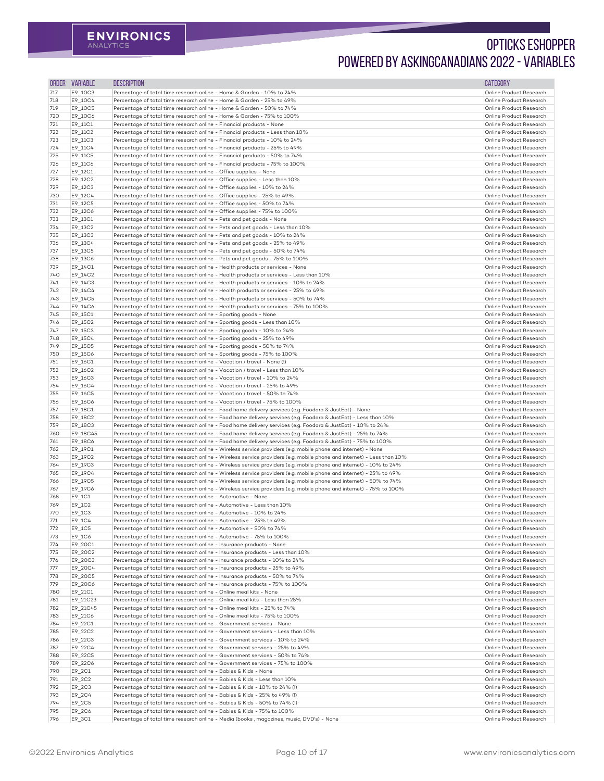| <b>ORDER</b> | <b>VARIABLE</b>                  | <b>DESCRIPTION</b>                                                                                                                                                                                                             | <b>CATEGORY</b>                                    |
|--------------|----------------------------------|--------------------------------------------------------------------------------------------------------------------------------------------------------------------------------------------------------------------------------|----------------------------------------------------|
| 717          | E9_10C3                          | Percentage of total time research online - Home & Garden - 10% to 24%                                                                                                                                                          | Online Product Research                            |
| 718          | E9_10C4                          | Percentage of total time research online - Home & Garden - 25% to 49%                                                                                                                                                          | Online Product Research                            |
| 719          | E9_10C5                          | Percentage of total time research online - Home & Garden - 50% to 74%                                                                                                                                                          | Online Product Research                            |
| 720          | E9_10C6                          | Percentage of total time research online - Home & Garden - 75% to 100%                                                                                                                                                         | Online Product Research                            |
| 721          | E9_11C1                          | Percentage of total time research online - Financial products - None                                                                                                                                                           | Online Product Research                            |
| 722          | E9_11C2                          | Percentage of total time research online - Financial products - Less than 10%<br>Percentage of total time research online - Financial products - 10% to 24%                                                                    | Online Product Research<br>Online Product Research |
| 723<br>724   | E9_11C3<br>E9_11C4               | Percentage of total time research online - Financial products - 25% to 49%                                                                                                                                                     | Online Product Research                            |
| 725          | E9_11C5                          | Percentage of total time research online - Financial products - 50% to 74%                                                                                                                                                     | Online Product Research                            |
| 726          | E9_11C6                          | Percentage of total time research online - Financial products - 75% to 100%                                                                                                                                                    | Online Product Research                            |
| 727          | E9_12C1                          | Percentage of total time research online - Office supplies - None                                                                                                                                                              | Online Product Research                            |
| 728          | E9_12C2                          | Percentage of total time research online - Office supplies - Less than 10%                                                                                                                                                     | Online Product Research                            |
| 729          | E9_12C3                          | Percentage of total time research online - Office supplies - 10% to 24%                                                                                                                                                        | Online Product Research                            |
| 730          | E9_12C4                          | Percentage of total time research online - Office supplies - 25% to 49%                                                                                                                                                        | Online Product Research                            |
| 731          | E9_12C5                          | Percentage of total time research online - Office supplies - 50% to 74%                                                                                                                                                        | Online Product Research                            |
| 732<br>733   | E9_12C6<br>E9_13C1               | Percentage of total time research online - Office supplies - 75% to 100%<br>Percentage of total time research online - Pets and pet goods - None                                                                               | Online Product Research<br>Online Product Research |
| 734          | E9_13C2                          | Percentage of total time research online - Pets and pet goods - Less than 10%                                                                                                                                                  | Online Product Research                            |
| 735          | E9_13C3                          | Percentage of total time research online - Pets and pet goods - 10% to 24%                                                                                                                                                     | Online Product Research                            |
| 736          | E9_13C4                          | Percentage of total time research online - Pets and pet goods - 25% to 49%                                                                                                                                                     | Online Product Research                            |
| 737          | E9_13C5                          | Percentage of total time research online - Pets and pet goods - 50% to 74%                                                                                                                                                     | Online Product Research                            |
| 738          | E9_13C6                          | Percentage of total time research online - Pets and pet goods - 75% to 100%                                                                                                                                                    | Online Product Research                            |
| 739          | E9_14C1                          | Percentage of total time research online - Health products or services - None                                                                                                                                                  | Online Product Research                            |
| 740          | E9_14C2                          | Percentage of total time research online - Health products or services - Less than 10%                                                                                                                                         | Online Product Research                            |
| 741          | E9_14C3                          | Percentage of total time research online - Health products or services - 10% to 24%                                                                                                                                            | Online Product Research                            |
| 742<br>743   | E9_14C4                          | Percentage of total time research online - Health products or services - 25% to 49%<br>Percentage of total time research online - Health products or services - 50% to 74%                                                     | Online Product Research<br>Online Product Research |
| 744          | E9_14C5<br>E9_14C6               | Percentage of total time research online - Health products or services - 75% to 100%                                                                                                                                           | Online Product Research                            |
| 745          | E9_15C1                          | Percentage of total time research online - Sporting goods - None                                                                                                                                                               | Online Product Research                            |
| 746          | E9_15C2                          | Percentage of total time research online - Sporting goods - Less than 10%                                                                                                                                                      | Online Product Research                            |
| 747          | E9_15C3                          | Percentage of total time research online - Sporting goods - 10% to 24%                                                                                                                                                         | Online Product Research                            |
| 748          | E9_15C4                          | Percentage of total time research online - Sporting goods - 25% to 49%                                                                                                                                                         | Online Product Research                            |
| 749          | E9_15C5                          | Percentage of total time research online - Sporting goods - 50% to 74%                                                                                                                                                         | Online Product Research                            |
| 750          | E9_15C6                          | Percentage of total time research online - Sporting goods - 75% to 100%                                                                                                                                                        | Online Product Research                            |
| 751          | E9_16C1                          | Percentage of total time research online - Vacation / travel - None (!)                                                                                                                                                        | Online Product Research<br>Online Product Research |
| 752<br>753   | E9_16C2<br>E9_16C3               | Percentage of total time research online - Vacation / travel - Less than 10%<br>Percentage of total time research online - Vacation / travel - 10% to 24%                                                                      | Online Product Research                            |
| 754          | E9_16C4                          | Percentage of total time research online - Vacation / travel - 25% to 49%                                                                                                                                                      | Online Product Research                            |
| 755          | E9_16C5                          | Percentage of total time research online - Vacation / travel - 50% to 74%                                                                                                                                                      | Online Product Research                            |
| 756          | E9_16C6                          | Percentage of total time research online - Vacation / travel - 75% to 100%                                                                                                                                                     | Online Product Research                            |
| 757          | E9_18C1                          | Percentage of total time research online - Food home delivery services (e.g. Foodora & JustEat) - None                                                                                                                         | Online Product Research                            |
| 758          | E9_18C2                          | Percentage of total time research online - Food home delivery services (e.g. Foodora & JustEat) - Less than 10%                                                                                                                | Online Product Research                            |
| 759          | E9_18C3                          | Percentage of total time research online - Food home delivery services (e.g. Foodora & JustEat) - 10% to 24%                                                                                                                   | Online Product Research                            |
| 760          | E9_18C45                         | Percentage of total time research online - Food home delivery services (e.g. Foodora & JustEat) - 25% to 74%                                                                                                                   | Online Product Research<br>Online Product Research |
| 761<br>762   | E9_18C6<br>E9_19C1               | Percentage of total time research online - Food home delivery services (e.g. Foodora & JustEat) - 75% to 100%<br>Percentage of total time research online - Wireless service providers (e.g. mobile phone and internet) - None | Online Product Research                            |
| 763          | E9_19C2                          | Percentage of total time research online - Wireless service providers (e.g. mobile phone and internet) - Less than 10%                                                                                                         | Online Product Research                            |
| 764          | E9_19C3                          | Percentage of total time research online - Wireless service providers (e.g. mobile phone and internet) - 10% to 24%                                                                                                            | Online Product Research                            |
| 765          | E9_19C4                          | Percentage of total time research online - Wireless service providers (e.g. mobile phone and internet) - 25% to 49%                                                                                                            | Online Product Research                            |
| 766          | E9_19C5                          | Percentage of total time research online - Wireless service providers (e.g. mobile phone and internet) - 50% to 74%                                                                                                            | Online Product Research                            |
| 767          | E9_19C6                          | Percentage of total time research online - Wireless service providers (e.g. mobile phone and internet) - 75% to 100%                                                                                                           | Online Product Research                            |
| 768          | E9_1C1                           | Percentage of total time research online - Automotive - None                                                                                                                                                                   | Online Product Research                            |
| 769          | $E9$ <sup>1</sup> C <sub>2</sub> | Percentage of total time research online - Automotive - Less than 10%                                                                                                                                                          | Online Product Research                            |
| 770<br>771   | $E9$ <sup>1</sup> C3             | Percentage of total time research online - Automotive - 10% to 24%<br>Percentage of total time research online - Automotive - 25% to 49%                                                                                       | Online Product Research<br>Online Product Research |
| 772          | E9_1C4<br>$E9$ <sup>1</sup> C5   | Percentage of total time research online - Automotive - 50% to 74%                                                                                                                                                             | Online Product Research                            |
| 773          | $E9$ _1C6                        | Percentage of total time research online - Automotive - 75% to 100%                                                                                                                                                            | Online Product Research                            |
| 774          | E9_20C1                          | Percentage of total time research online - Insurance products - None                                                                                                                                                           | Online Product Research                            |
| 775          | E9_20C2                          | Percentage of total time research online - Insurance products - Less than 10%                                                                                                                                                  | Online Product Research                            |
| 776          | E9_20C3                          | Percentage of total time research online - Insurance products - 10% to 24%                                                                                                                                                     | Online Product Research                            |
| 777          | E9_20C4                          | Percentage of total time research online - Insurance products - 25% to 49%                                                                                                                                                     | Online Product Research                            |
| 778          | E9_20C5                          | Percentage of total time research online - Insurance products - 50% to 74%                                                                                                                                                     | Online Product Research                            |
| 779          | E9_20C6                          | Percentage of total time research online - Insurance products - 75% to 100%                                                                                                                                                    | Online Product Research                            |
| 780<br>781   | E9_21C1<br>E9_21C23              | Percentage of total time research online - Online meal kits - None<br>Percentage of total time research online - Online meal kits - Less than 25%                                                                              | Online Product Research<br>Online Product Research |
| 782          | E9_21C45                         | Percentage of total time research online - Online meal kits - 25% to 74%                                                                                                                                                       | Online Product Research                            |
| 783          | E9_21C6                          | Percentage of total time research online - Online meal kits - 75% to 100%                                                                                                                                                      | Online Product Research                            |
| 784          | E9_22C1                          | Percentage of total time research online - Government services - None                                                                                                                                                          | Online Product Research                            |
| 785          | E9_22C2                          | Percentage of total time research online - Government services - Less than 10%                                                                                                                                                 | Online Product Research                            |
| 786          | E9_22C3                          | Percentage of total time research online - Government services - 10% to 24%                                                                                                                                                    | Online Product Research                            |
| 787          | E9_22C4                          | Percentage of total time research online - Government services - 25% to 49%                                                                                                                                                    | Online Product Research                            |
| 788          | E9_22C5                          | Percentage of total time research online - Government services - 50% to 74%                                                                                                                                                    | Online Product Research                            |
| 789          | E9_22C6                          | Percentage of total time research online - Government services - 75% to 100%                                                                                                                                                   | Online Product Research                            |
| 790          | E9_2C1                           | Percentage of total time research online - Babies & Kids - None                                                                                                                                                                | Online Product Research<br>Online Product Research |
| 791<br>792   | E9_2C2<br>E9_2C3                 | Percentage of total time research online - Babies & Kids - Less than 10%<br>Percentage of total time research online - Babies & Kids - 10% to 24% (!)                                                                          | Online Product Research                            |
| 793          | E9_2C4                           | Percentage of total time research online - Babies & Kids - 25% to 49% (!)                                                                                                                                                      | Online Product Research                            |
| 794          | E9_2C5                           | Percentage of total time research online - Babies & Kids - 50% to 74% (!)                                                                                                                                                      | Online Product Research                            |
| 795          | E9_2C6                           | Percentage of total time research online - Babies & Kids - 75% to 100%                                                                                                                                                         | Online Product Research                            |
| 796          | E9_3C1                           | Percentage of total time research online - Media (books, magazines, music, DVD's) - None                                                                                                                                       | Online Product Research                            |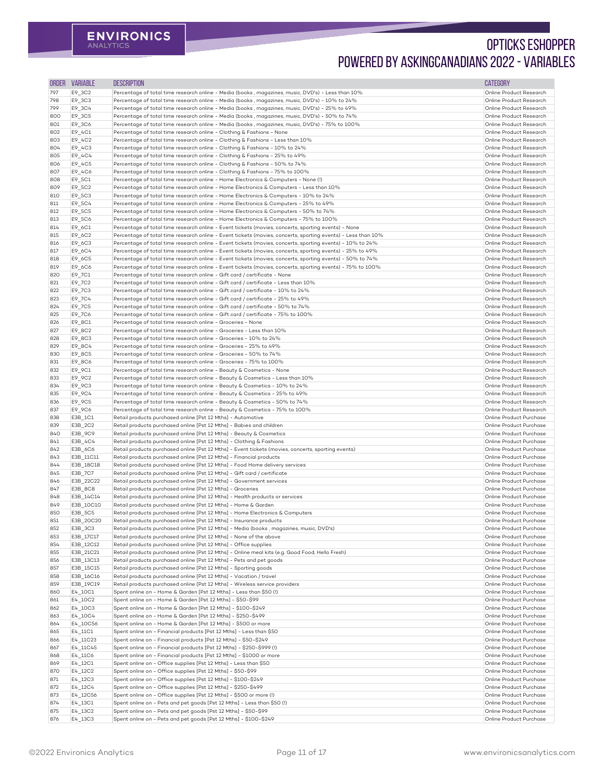| <b>ORDER</b> | <b>VARIABLE</b>      | <b>DESCRIPTION</b>                                                                                                                                                                                                        | <b>CATEGORY</b>                                    |
|--------------|----------------------|---------------------------------------------------------------------------------------------------------------------------------------------------------------------------------------------------------------------------|----------------------------------------------------|
| 797          | E9_3C2               | Percentage of total time research online - Media (books, magazines, music, DVD's) - Less than 10%                                                                                                                         | Online Product Research                            |
| 798          | E9_3C3               | Percentage of total time research online - Media (books, magazines, music, DVD's) - 10% to 24%                                                                                                                            | Online Product Research                            |
| 799          | E9_3C4               | Percentage of total time research online - Media (books, magazines, music, DVD's) - 25% to 49%                                                                                                                            | Online Product Research                            |
| 800<br>801   | E9_3C5<br>E9_3C6     | Percentage of total time research online - Media (books, magazines, music, DVD's) - 50% to 74%<br>Percentage of total time research online - Media (books, magazines, music, DVD's) - 75% to 100%                         | Online Product Research<br>Online Product Research |
| 802          | E9_4C1               | Percentage of total time research online - Clothing & Fashions - None                                                                                                                                                     | Online Product Research                            |
| 803          | E9_4C2               | Percentage of total time research online - Clothing & Fashions - Less than 10%                                                                                                                                            | Online Product Research                            |
| 804          | E9_4C3               | Percentage of total time research online - Clothing & Fashions - 10% to 24%                                                                                                                                               | Online Product Research                            |
| 805          | E9_4C4               | Percentage of total time research online - Clothing & Fashions - 25% to 49%                                                                                                                                               | Online Product Research                            |
| 806          | E9_4C5               | Percentage of total time research online - Clothing & Fashions - 50% to 74%                                                                                                                                               | Online Product Research                            |
| 807<br>808   | E9_4C6<br>E9_5C1     | Percentage of total time research online - Clothing & Fashions - 75% to 100%<br>Percentage of total time research online - Home Electronics & Computers - None (!)                                                        | Online Product Research<br>Online Product Research |
| 809          | E9_5C2               | Percentage of total time research online - Home Electronics & Computers - Less than 10%                                                                                                                                   | Online Product Research                            |
| 810          | E9_5C3               | Percentage of total time research online - Home Electronics & Computers - 10% to 24%                                                                                                                                      | Online Product Research                            |
| 811          | E9_5C4               | Percentage of total time research online - Home Electronics & Computers - 25% to 49%                                                                                                                                      | Online Product Research                            |
| 812          | E9_5C5               | Percentage of total time research online - Home Electronics & Computers - 50% to 74%                                                                                                                                      | Online Product Research                            |
| 813          | E9_5C6               | Percentage of total time research online - Home Electronics & Computers - 75% to 100%                                                                                                                                     | Online Product Research                            |
| 814<br>815   | E9_6C1               | Percentage of total time research online - Event tickets (movies, concerts, sporting events) - None                                                                                                                       | Online Product Research<br>Online Product Research |
| 816          | E9_6C2<br>E9_6C3     | Percentage of total time research online - Event tickets (movies, concerts, sporting events) - Less than 10%<br>Percentage of total time research online - Event tickets (movies, concerts, sporting events) - 10% to 24% | Online Product Research                            |
| 817          | E9_6C4               | Percentage of total time research online - Event tickets (movies, concerts, sporting events) - 25% to 49%                                                                                                                 | Online Product Research                            |
| 818          | E9_6C5               | Percentage of total time research online - Event tickets (movies, concerts, sporting events) - 50% to 74%                                                                                                                 | Online Product Research                            |
| 819          | E9_6C6               | Percentage of total time research online - Event tickets (movies, concerts, sporting events) - 75% to 100%                                                                                                                | Online Product Research                            |
| 820          | E9_7C1               | Percentage of total time research online - Gift card / certificate - None                                                                                                                                                 | Online Product Research                            |
| 821          | E9_7C2               | Percentage of total time research online - Gift card / certificate - Less than 10%                                                                                                                                        | Online Product Research                            |
| 822<br>823   | E9_7C3<br>E9_7C4     | Percentage of total time research online - Gift card / certificate - 10% to 24%<br>Percentage of total time research online - Gift card / certificate - 25% to 49%                                                        | Online Product Research<br>Online Product Research |
| 824          | E9_7C5               | Percentage of total time research online - Gift card / certificate - 50% to 74%                                                                                                                                           | Online Product Research                            |
| 825          | E9_7C6               | Percentage of total time research online - Gift card / certificate - 75% to 100%                                                                                                                                          | Online Product Research                            |
| 826          | E9_8C1               | Percentage of total time research online - Groceries - None                                                                                                                                                               | Online Product Research                            |
| 827          | E9_8C2               | Percentage of total time research online - Groceries - Less than 10%                                                                                                                                                      | Online Product Research                            |
| 828          | E9_8C3               | Percentage of total time research online - Groceries - 10% to 24%                                                                                                                                                         | Online Product Research                            |
| 829          | E9_8C4               | Percentage of total time research online - Groceries - 25% to 49%                                                                                                                                                         | Online Product Research<br>Online Product Research |
| 830<br>831   | E9_8C5<br>E9_8C6     | Percentage of total time research online - Groceries - 50% to 74%<br>Percentage of total time research online - Groceries - 75% to 100%                                                                                   | Online Product Research                            |
| 832          | E9_9C1               | Percentage of total time research online - Beauty & Cosmetics - None                                                                                                                                                      | Online Product Research                            |
| 833          | E9_9C2               | Percentage of total time research online - Beauty & Cosmetics - Less than 10%                                                                                                                                             | Online Product Research                            |
| 834          | E9_9C3               | Percentage of total time research online - Beauty & Cosmetics - 10% to 24%                                                                                                                                                | Online Product Research                            |
| 835          | E9_9C4               | Percentage of total time research online - Beauty & Cosmetics - 25% to 49%                                                                                                                                                | Online Product Research                            |
| 836          | E9_9C5               | Percentage of total time research online - Beauty & Cosmetics - 50% to 74%                                                                                                                                                | Online Product Research                            |
| 837<br>838   | E9_9C6<br>E3B_1C1    | Percentage of total time research online - Beauty & Cosmetics - 75% to 100%<br>Retail products purchased online [Pst 12 Mths] - Automotive                                                                                | Online Product Research<br>Online Product Purchase |
| 839          | E3B_2C2              | Retail products purchased online [Pst 12 Mths] - Babies and children                                                                                                                                                      | Online Product Purchase                            |
| 840          | E3B_9C9              | Retail products purchased online [Pst 12 Mths] - Beauty & Cosmetics                                                                                                                                                       | Online Product Purchase                            |
| 841          | E3B_4C4              | Retail products purchased online [Pst 12 Mths] - Clothing & Fashions                                                                                                                                                      | Online Product Purchase                            |
| 842          | E3B_6C6              | Retail products purchased online [Pst 12 Mths] - Event tickets (movies, concerts, sporting events)                                                                                                                        | Online Product Purchase                            |
| 843          | E3B_11C11            | Retail products purchased online [Pst 12 Mths] - Financial products                                                                                                                                                       | Online Product Purchase                            |
| 844<br>845   | E3B_18C18<br>E3B_7C7 | Retail products purchased online [Pst 12 Mths] - Food Home delivery services<br>Retail products purchased online [Pst 12 Mths] - Gift card / certificate                                                                  | Online Product Purchase<br>Online Product Purchase |
| 846          | E3B_22C22            | Retail products purchased online [Pst 12 Mths] - Government services                                                                                                                                                      | Online Product Purchase                            |
| 847          | E3B_8C8              | Retail products purchased online [Pst 12 Mths] - Groceries                                                                                                                                                                | Online Product Purchase                            |
| 848          | E3B_14C14            | Retail products purchased online [Pst 12 Mths] - Health products or services                                                                                                                                              | Online Product Purchase                            |
| 849          | E3B_10C10            | Retail products purchased online [Pst 12 Mths] - Home & Garden                                                                                                                                                            | Online Product Purchase                            |
| 850          | E3B_5C5              | Retail products purchased online [Pst 12 Mths] - Home Electronics & Computers                                                                                                                                             | Online Product Purchase                            |
| 851          | E3B_20C20<br>E3B_3C3 | Retail products purchased online [Pst 12 Mths] - Insurance products<br>Retail products purchased online [Pst 12 Mths] - Media (books, magazines, music, DVD's)                                                            | Online Product Purchase<br>Online Product Purchase |
| 852<br>853   | E3B_17C17            | Retail products purchased online [Pst 12 Mths] - None of the above                                                                                                                                                        | Online Product Purchase                            |
| 854          | E3B_12C12            | Retail products purchased online [Pst 12 Mths] - Office supplies                                                                                                                                                          | Online Product Purchase                            |
| 855          | E3B_21C21            | Retail products purchased online [Pst 12 Mths] - Online meal kits (e.g. Good Food, Hello Fresh)                                                                                                                           | Online Product Purchase                            |
| 856          | E3B_13C13            | Retail products purchased online [Pst 12 Mths] - Pets and pet goods                                                                                                                                                       | Online Product Purchase                            |
| 857          | E3B_15C15            | Retail products purchased online [Pst 12 Mths] - Sporting goods                                                                                                                                                           | Online Product Purchase                            |
| 858          | E3B_16C16            | Retail products purchased online [Pst 12 Mths] - Vacation / travel                                                                                                                                                        | Online Product Purchase<br>Online Product Purchase |
| 859<br>860   | E3B_19C19<br>E4_10C1 | Retail products purchased online [Pst 12 Mths] - Wireless service providers<br>Spent online on - Home & Garden [Pst 12 Mths] - Less than \$50 (!)                                                                         | Online Product Purchase                            |
| 861          | E4_10C2              | Spent online on - Home & Garden [Pst 12 Mths] - \$50-\$99                                                                                                                                                                 | Online Product Purchase                            |
| 862          | E4_10C3              | Spent online on - Home & Garden [Pst 12 Mths] - \$100-\$249                                                                                                                                                               | Online Product Purchase                            |
| 863          | E4_10C4              | Spent online on - Home & Garden [Pst 12 Mths] - \$250-\$499                                                                                                                                                               | Online Product Purchase                            |
| 864          | E4_10C56             | Spent online on - Home & Garden [Pst 12 Mths] - \$500 or more                                                                                                                                                             | Online Product Purchase                            |
| 865          | E4_11C1              | Spent online on - Financial products [Pst 12 Mths] - Less than \$50                                                                                                                                                       | Online Product Purchase                            |
| 866<br>867   | E4_11C23<br>E4_11C45 | Spent online on - Financial products [Pst 12 Mths] - \$50-\$249<br>Spent online on - Financial products [Pst 12 Mths] - \$250-\$999 (!)                                                                                   | Online Product Purchase<br>Online Product Purchase |
| 868          | E4_11C6              | Spent online on - Financial products [Pst 12 Mths] - \$1000 or more                                                                                                                                                       | Online Product Purchase                            |
| 869          | E4_12C1              | Spent online on - Office supplies [Pst 12 Mths] - Less than \$50                                                                                                                                                          | Online Product Purchase                            |
| 870          | E4_12C2              | Spent online on - Office supplies [Pst 12 Mths] - \$50-\$99                                                                                                                                                               | Online Product Purchase                            |
| 871          | E4_12C3              | Spent online on - Office supplies [Pst 12 Mths] - \$100-\$249                                                                                                                                                             | Online Product Purchase                            |
| 872          | E4_12C4              | Spent online on - Office supplies [Pst 12 Mths] - \$250-\$499                                                                                                                                                             | Online Product Purchase                            |
| 873<br>874   | E4_12C56<br>E4_13C1  | Spent online on - Office supplies [Pst 12 Mths] - \$500 or more (!)<br>Spent online on - Pets and pet goods [Pst 12 Mths] - Less than \$50 (!)                                                                            | Online Product Purchase<br>Online Product Purchase |
| 875          | E4_13C2              | Spent online on - Pets and pet goods [Pst 12 Mths] - \$50-\$99                                                                                                                                                            | Online Product Purchase                            |
| 876          | E4_13C3              | Spent online on - Pets and pet goods [Pst 12 Mths] - \$100-\$249                                                                                                                                                          | Online Product Purchase                            |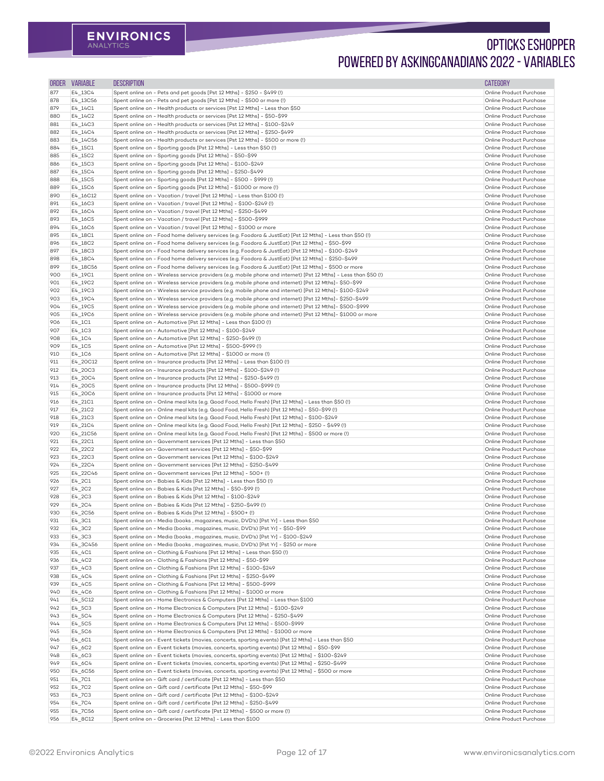| <b>ORDER</b> | <b>VARIABLE</b>                   | <b>DESCRIPTION</b>                                                                                                                                                                                                    | <b>CATEGORY</b>                                    |
|--------------|-----------------------------------|-----------------------------------------------------------------------------------------------------------------------------------------------------------------------------------------------------------------------|----------------------------------------------------|
| 877          | $E4$ _13C4                        | Spent online on - Pets and pet goods [Pst 12 Mths] - \$250 - \$499 (!)                                                                                                                                                | Online Product Purchase                            |
| 878          | E4_13C56                          | Spent online on - Pets and pet goods [Pst 12 Mths] - \$500 or more (!)                                                                                                                                                | Online Product Purchase                            |
| 879          | E4_14C1                           | Spent online on - Health products or services [Pst 12 Mths] - Less than \$50                                                                                                                                          | Online Product Purchase                            |
| 880          | $E4_14C2$                         | Spent online on - Health products or services [Pst 12 Mths] - \$50-\$99                                                                                                                                               | Online Product Purchase                            |
| 881          | $E4_14C3$                         | Spent online on - Health products or services [Pst 12 Mths] - \$100-\$249                                                                                                                                             | Online Product Purchase                            |
| 882          | $E4_14C4$                         | Spent online on - Health products or services [Pst 12 Mths] - \$250-\$499                                                                                                                                             | Online Product Purchase<br>Online Product Purchase |
| 883<br>884   | E4_14C56<br>E4_15C1               | Spent online on - Health products or services [Pst 12 Mths] - \$500 or more (!)<br>Spent online on - Sporting goods [Pst 12 Mths] - Less than \$50 (!)                                                                | Online Product Purchase                            |
| 885          | E4_15C2                           | Spent online on - Sporting goods [Pst 12 Mths] - \$50-\$99                                                                                                                                                            | Online Product Purchase                            |
| 886          | E4_15C3                           | Spent online on - Sporting goods [Pst 12 Mths] - \$100-\$249                                                                                                                                                          | Online Product Purchase                            |
| 887          | E4_15C4                           | Spent online on - Sporting goods [Pst 12 Mths] - \$250-\$499                                                                                                                                                          | Online Product Purchase                            |
| 888          | E4_15C5                           | Spent online on - Sporting goods [Pst 12 Mths] - \$500 - \$999 (!)                                                                                                                                                    | Online Product Purchase                            |
| 889          | E4_15C6                           | Spent online on - Sporting goods [Pst 12 Mths] - \$1000 or more (!)                                                                                                                                                   | Online Product Purchase                            |
| 890          | E4_16C12                          | Spent online on - Vacation / travel [Pst 12 Mths] - Less than \$100 (!)                                                                                                                                               | Online Product Purchase                            |
| 891          | E4_16C3                           | Spent online on - Vacation / travel [Pst 12 Mths] - \$100-\$249 (!)                                                                                                                                                   | Online Product Purchase                            |
| 892<br>893   | E4_16C4<br>E4_16C5                | Spent online on - Vacation / travel [Pst 12 Mths] - \$250-\$499<br>Spent online on - Vacation / travel [Pst 12 Mths] - \$500-\$999                                                                                    | Online Product Purchase<br>Online Product Purchase |
| 894          | E4_16C6                           | Spent online on - Vacation / travel [Pst 12 Mths] - \$1000 or more                                                                                                                                                    | Online Product Purchase                            |
| 895          | E4_18C1                           | Spent online on - Food home delivery services (e.g. Foodora & JustEat) [Pst 12 Mths] - Less than \$50 (!)                                                                                                             | Online Product Purchase                            |
| 896          | E4_18C2                           | Spent online on - Food home delivery services (e.g. Foodora & JustEat) [Pst 12 Mths] - \$50-\$99                                                                                                                      | Online Product Purchase                            |
| 897          | E4_18C3                           | Spent online on - Food home delivery services (e.g. Foodora & JustEat) [Pst 12 Mths] - \$100-\$249                                                                                                                    | Online Product Purchase                            |
| 898          | E4_18C4                           | Spent online on - Food home delivery services (e.g. Foodora & JustEat) [Pst 12 Mths] - \$250-\$499                                                                                                                    | Online Product Purchase                            |
| 899          | E4_18C56                          | Spent online on - Food home delivery services (e.g. Foodora & JustEat) [Pst 12 Mths] - \$500 or more                                                                                                                  | Online Product Purchase                            |
| 900          | E4_19C1                           | Spent online on - Wireless service providers (e.g. mobile phone and internet) [Pst 12 Mths] - Less than \$50 (!)                                                                                                      | Online Product Purchase                            |
| 901          | E4_19C2                           | Spent online on - Wireless service providers (e.g. mobile phone and internet) [Pst 12 Mths]- \$50-\$99                                                                                                                | Online Product Purchase                            |
| 902<br>903   | E4_19C3<br>E4_19C4                | Spent online on - Wireless service providers (e.g. mobile phone and internet) [Pst 12 Mths] - \$100-\$249<br>Spent online on - Wireless service providers (e.g. mobile phone and internet) [Pst 12 Mths]- \$250-\$499 | Online Product Purchase<br>Online Product Purchase |
| 904          | E4_19C5                           | Spent online on - Wireless service providers (e.g. mobile phone and internet) [Pst 12 Mths] - \$500-\$999                                                                                                             | Online Product Purchase                            |
| 905          | E4_19C6                           | Spent online on - Wireless service providers (e.g. mobile phone and internet) [Pst 12 Mths] - \$1000 or more                                                                                                          | Online Product Purchase                            |
| 906          | $E4$ _1C1                         | Spent online on - Automotive [Pst 12 Mths] - Less than \$100 (!)                                                                                                                                                      | Online Product Purchase                            |
| 907          | $E4$ _1C3                         | Spent online on - Automotive [Pst 12 Mths] - \$100-\$249                                                                                                                                                              | Online Product Purchase                            |
| 908          | $E4$ _1C4                         | Spent online on - Automotive [Pst 12 Mths] - \$250-\$499 (!)                                                                                                                                                          | Online Product Purchase                            |
| 909          | $E4$ _1C5                         | Spent online on - Automotive [Pst 12 Mths] - \$500-\$999 (!)                                                                                                                                                          | Online Product Purchase                            |
| 910          | $E4$ _1C6                         | Spent online on - Automotive [Pst 12 Mths] - \$1000 or more (!)                                                                                                                                                       | Online Product Purchase                            |
| 911          | E4_20C12                          | Spent online on - Insurance products [Pst 12 Mths] - Less than \$100 (!)                                                                                                                                              | Online Product Purchase<br>Online Product Purchase |
| 912<br>913   | E4_20C3<br>E4_20C4                | Spent online on - Insurance products [Pst 12 Mths] - \$100-\$249 (!)<br>Spent online on - Insurance products [Pst 12 Mths] - \$250-\$499 (!)                                                                          | Online Product Purchase                            |
| 914          | E4_20C5                           | Spent online on - Insurance products [Pst 12 Mths] - \$500-\$999 (!)                                                                                                                                                  | Online Product Purchase                            |
| 915          | E4_20C6                           | Spent online on - Insurance products [Pst 12 Mths] - \$1000 or more                                                                                                                                                   | Online Product Purchase                            |
| 916          | E4_21C1                           | Spent online on - Online meal kits (e.g. Good Food, Hello Fresh) [Pst 12 Mths] - Less than \$50 (!)                                                                                                                   | Online Product Purchase                            |
| 917          | E4_21C2                           | Spent online on - Online meal kits (e.g. Good Food, Hello Fresh) [Pst 12 Mths] - \$50-\$99 (!)                                                                                                                        | Online Product Purchase                            |
| 918          | E4_21C3                           | Spent online on - Online meal kits (e.g. Good Food, Hello Fresh) [Pst 12 Mths] - \$100-\$249                                                                                                                          | Online Product Purchase                            |
| 919          | E4_21C4                           | Spent online on - Online meal kits (e.g. Good Food, Hello Fresh) [Pst 12 Mths] - \$250 - \$499 (!)                                                                                                                    | Online Product Purchase                            |
| 920          | E4_21C56                          | Spent online on - Online meal kits (e.g. Good Food, Hello Fresh) [Pst 12 Mths] - \$500 or more (!)                                                                                                                    | Online Product Purchase                            |
| 921<br>922   | E4_22C1                           | Spent online on - Government services [Pst 12 Mths] - Less than \$50<br>Spent online on - Government services [Pst 12 Mths] - \$50-\$99                                                                               | Online Product Purchase<br>Online Product Purchase |
| 923          | E4_22C2<br>E4_22C3                | Spent online on - Government services [Pst 12 Mths] - \$100-\$249                                                                                                                                                     | Online Product Purchase                            |
| 924          | E4_22C4                           | Spent online on - Government services [Pst 12 Mths] - \$250-\$499                                                                                                                                                     | Online Product Purchase                            |
| 925          | E4_22C46                          | Spent online on - Government services [Pst 12 Mths] - 500+ (!)                                                                                                                                                        | Online Product Purchase                            |
| 926          | $E4$ _2C1                         | Spent online on - Babies & Kids [Pst 12 Mths] - Less than \$50 (!)                                                                                                                                                    | Online Product Purchase                            |
| 927          | $E4$ _2C2                         | Spent online on - Babies & Kids [Pst 12 Mths] - \$50-\$99 (!)                                                                                                                                                         | Online Product Purchase                            |
| 928          | $E4$ <sub>-2</sub> C <sub>3</sub> | Spent online on - Babies & Kids [Pst 12 Mths] - \$100-\$249                                                                                                                                                           | Online Product Purchase                            |
| 929          | $E4$ _2C4                         | Spent online on - Babies & Kids [Pst 12 Mths] - \$250-\$499 (!)                                                                                                                                                       | Online Product Purchase                            |
| 930          | E4_2C56                           | Spent online on - Babies & Kids [Pst 12 Mths] - \$500+ (!)                                                                                                                                                            | Online Product Purchase                            |
| 931<br>932   | $E4$ _3C1                         | Spent online on - Media (books, magazines, music, DVD's) [Pst Yr] - Less than \$50<br>Spent online on - Media (books, magazines, music, DVD's) [Pst Yr] - \$50-\$99                                                   | Online Product Purchase<br>Online Product Purchase |
| 933          | $E4$ _3C2<br>E4_3C3               | Spent online on - Media (books, magazines, music, DVD's) [Pst Yr] - \$100-\$249                                                                                                                                       | Online Product Purchase                            |
| 934          | E4_3C456                          | Spent online on - Media (books, magazines, music, DVD's) [Pst Yr] - \$250 or more                                                                                                                                     | Online Product Purchase                            |
| 935          | $E4$ _4C1                         | Spent online on - Clothing & Fashions [Pst 12 Mths] - Less than \$50 (!)                                                                                                                                              | Online Product Purchase                            |
| 936          | $E4_4C2$                          | Spent online on - Clothing & Fashions [Pst 12 Mths] - \$50-\$99                                                                                                                                                       | Online Product Purchase                            |
| 937          | $E4$ <sup>1</sup> C3              | Spent online on - Clothing & Fashions [Pst 12 Mths] - \$100-\$249                                                                                                                                                     | Online Product Purchase                            |
| 938          | $E4_4C4$                          | Spent online on - Clothing & Fashions [Pst 12 Mths] - \$250-\$499                                                                                                                                                     | Online Product Purchase                            |
| 939          | $E4$ <sub>-4</sub> C <sub>5</sub> | Spent online on - Clothing & Fashions [Pst 12 Mths] - \$500-\$999                                                                                                                                                     | Online Product Purchase                            |
| 940          | $E4$ _4C6                         | Spent online on - Clothing & Fashions [Pst 12 Mths] - \$1000 or more                                                                                                                                                  | Online Product Purchase                            |
| 941<br>942   | E4_5C12<br>E4_5C3                 | Spent online on - Home Electronics & Computers [Pst 12 Mths] - Less than \$100<br>Spent online on - Home Electronics & Computers [Pst 12 Mths] - \$100-\$249                                                          | Online Product Purchase<br>Online Product Purchase |
| 943          | $E4$ _5C4                         | Spent online on - Home Electronics & Computers [Pst 12 Mths] - \$250-\$499                                                                                                                                            | Online Product Purchase                            |
| 944          | E4_5C5                            | Spent online on - Home Electronics & Computers [Pst 12 Mths] - \$500-\$999                                                                                                                                            | Online Product Purchase                            |
| 945          | $E4$ _5C6                         | Spent online on - Home Electronics & Computers [Pst 12 Mths] - \$1000 or more                                                                                                                                         | Online Product Purchase                            |
| 946          | $E4$ <sub>-6</sub> C1             | Spent online on - Event tickets (movies, concerts, sporting events) [Pst 12 Mths] - Less than \$50                                                                                                                    | Online Product Purchase                            |
| 947          | E4_6C2                            | Spent online on - Event tickets (movies, concerts, sporting events) [Pst 12 Mths] - \$50-\$99                                                                                                                         | Online Product Purchase                            |
| 948          | E4_6C3                            | Spent online on - Event tickets (movies, concerts, sporting events) [Pst 12 Mths] - \$100-\$249                                                                                                                       | Online Product Purchase                            |
| 949          | E4_6C4                            | Spent online on - Event tickets (movies, concerts, sporting events) [Pst 12 Mths] - \$250-\$499                                                                                                                       | Online Product Purchase                            |
| 950          | E4_6C56                           | Spent online on - Event tickets (movies, concerts, sporting events) [Pst 12 Mths] - \$500 or more                                                                                                                     | Online Product Purchase                            |
| 951          | $E4$ _7C1                         | Spent online on - Gift card / certificate [Pst 12 Mths] - Less than \$50<br>Spent online on - Gift card / certificate [Pst 12 Mths] - \$50-\$99                                                                       | Online Product Purchase<br>Online Product Purchase |
| 952<br>953   | $E4$ _7C2<br>E4_7C3               | Spent online on - Gift card / certificate [Pst 12 Mths] - \$100-\$249                                                                                                                                                 | Online Product Purchase                            |
| 954          | $E4$ _7C4                         | Spent online on - Gift card / certificate [Pst 12 Mths] - \$250-\$499                                                                                                                                                 | Online Product Purchase                            |
| 955          | E4_7C56                           | Spent online on - Gift card / certificate [Pst 12 Mths] - \$500 or more (!)                                                                                                                                           | Online Product Purchase                            |
| 956          | E4_8C12                           | Spent online on - Groceries [Pst 12 Mths] - Less than \$100                                                                                                                                                           | Online Product Purchase                            |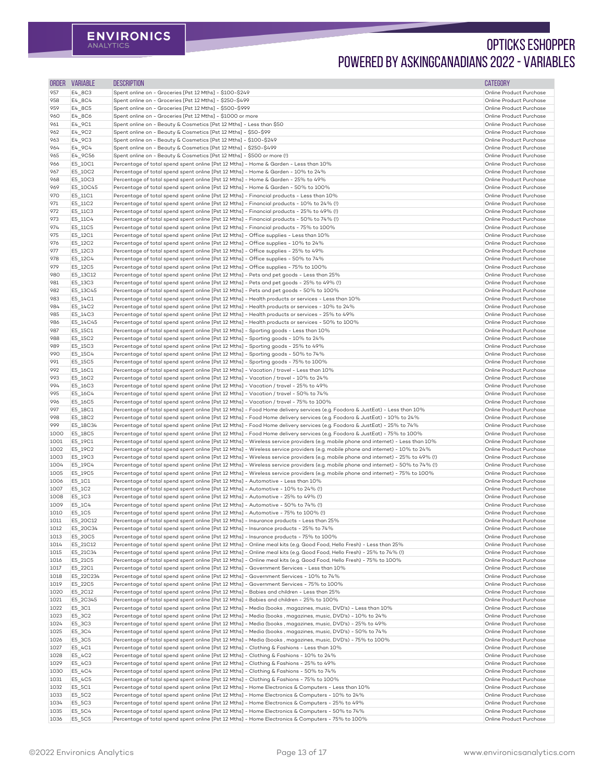| <b>ORDER</b> | <b>VARIABLE</b>    | <b>DESCRIPTION</b>                                                                                                                                                                                                                                                     | <b>CATEGORY</b>                                    |
|--------------|--------------------|------------------------------------------------------------------------------------------------------------------------------------------------------------------------------------------------------------------------------------------------------------------------|----------------------------------------------------|
| 957          | E4_8C3             | Spent online on - Groceries [Pst 12 Mths] - \$100-\$249                                                                                                                                                                                                                | Online Product Purchase                            |
| 958          | E4_8C4             | Spent online on - Groceries [Pst 12 Mths] - \$250-\$499                                                                                                                                                                                                                | Online Product Purchase                            |
| 959          | E4_8C5             | Spent online on - Groceries [Pst 12 Mths] - \$500-\$999                                                                                                                                                                                                                | Online Product Purchase                            |
| 960          | E4_8C6             | Spent online on - Groceries [Pst 12 Mths] - \$1000 or more                                                                                                                                                                                                             | Online Product Purchase                            |
| 961          | E4_9C1             | Spent online on - Beauty & Cosmetics [Pst 12 Mths] - Less than \$50                                                                                                                                                                                                    | Online Product Purchase                            |
| 962          | E4_9C2             | Spent online on - Beauty & Cosmetics [Pst 12 Mths] - \$50-\$99                                                                                                                                                                                                         | Online Product Purchase                            |
| 963          | E4_9C3             | Spent online on - Beauty & Cosmetics [Pst 12 Mths] - \$100-\$249                                                                                                                                                                                                       | Online Product Purchase                            |
| 964          | E4_9C4             | Spent online on - Beauty & Cosmetics [Pst 12 Mths] - \$250-\$499                                                                                                                                                                                                       | Online Product Purchase                            |
| 965          | E4_9C56            | Spent online on - Beauty & Cosmetics [Pst 12 Mths] - \$500 or more (!)                                                                                                                                                                                                 | Online Product Purchase                            |
| 966          | E5_10C1            | Percentage of total spend spent online [Pst 12 Mths] - Home & Garden - Less than 10%                                                                                                                                                                                   | Online Product Purchase                            |
| 967          | E5_10C2            | Percentage of total spend spent online [Pst 12 Mths] - Home & Garden - 10% to 24%                                                                                                                                                                                      | Online Product Purchase                            |
| 968          | E5_10C3            | Percentage of total spend spent online [Pst 12 Mths] - Home & Garden - 25% to 49%                                                                                                                                                                                      | Online Product Purchase                            |
| 969          | E5_10C45           | Percentage of total spend spent online [Pst 12 Mths] - Home & Garden - 50% to 100%                                                                                                                                                                                     | Online Product Purchase                            |
| 970          | E5_11C1            | Percentage of total spend spent online [Pst 12 Mths] - Financial products - Less than 10%                                                                                                                                                                              | Online Product Purchase                            |
| 971          | E5_11C2            | Percentage of total spend spent online [Pst 12 Mths] - Financial products - 10% to 24% (!)                                                                                                                                                                             | Online Product Purchase                            |
| 972          | E5_11C3            | Percentage of total spend spent online [Pst 12 Mths] - Financial products - 25% to 49% (!)                                                                                                                                                                             | Online Product Purchase                            |
| 973          | E5_11C4            | Percentage of total spend spent online [Pst 12 Mths] - Financial products - 50% to 74% (!)                                                                                                                                                                             | Online Product Purchase                            |
| 974          | E5_11C5            | Percentage of total spend spent online [Pst 12 Mths] - Financial products - 75% to 100%                                                                                                                                                                                | Online Product Purchase<br>Online Product Purchase |
| 975<br>976   | E5_12C1            | Percentage of total spend spent online [Pst 12 Mths] - Office supplies - Less than 10%<br>Percentage of total spend spent online [Pst 12 Mths] - Office supplies - 10% to 24%                                                                                          | Online Product Purchase                            |
| 977          | E5_12C2<br>E5_12C3 | Percentage of total spend spent online [Pst 12 Mths] - Office supplies - 25% to 49%                                                                                                                                                                                    | Online Product Purchase                            |
| 978          | E5_12C4            | Percentage of total spend spent online [Pst 12 Mths] - Office supplies - 50% to 74%                                                                                                                                                                                    | Online Product Purchase                            |
| 979          | E5_12C5            | Percentage of total spend spent online [Pst 12 Mths] - Office supplies - 75% to 100%                                                                                                                                                                                   | Online Product Purchase                            |
| 980          | E5_13C12           | Percentage of total spend spent online [Pst 12 Mths] - Pets and pet goods - Less than 25%                                                                                                                                                                              | Online Product Purchase                            |
| 981          | E5_13C3            | Percentage of total spend spent online [Pst 12 Mths] - Pets and pet goods - 25% to 49% (!)                                                                                                                                                                             | Online Product Purchase                            |
| 982          | E5_13C45           | Percentage of total spend spent online [Pst 12 Mths] - Pets and pet goods - 50% to 100%                                                                                                                                                                                | Online Product Purchase                            |
| 983          | E5_14C1            | Percentage of total spend spent online [Pst 12 Mths] - Health products or services - Less than 10%                                                                                                                                                                     | Online Product Purchase                            |
| 984          | E5_14C2            | Percentage of total spend spent online [Pst 12 Mths] - Health products or services - 10% to 24%                                                                                                                                                                        | Online Product Purchase                            |
| 985          | E5_14C3            | Percentage of total spend spent online [Pst 12 Mths] - Health products or services - 25% to 49%                                                                                                                                                                        | Online Product Purchase                            |
| 986          | E5_14C45           | Percentage of total spend spent online [Pst 12 Mths] - Health products or services - 50% to 100%                                                                                                                                                                       | Online Product Purchase                            |
| 987          | E5_15C1            | Percentage of total spend spent online [Pst 12 Mths] - Sporting goods - Less than 10%                                                                                                                                                                                  | Online Product Purchase                            |
| 988          | E5_15C2            | Percentage of total spend spent online [Pst 12 Mths] - Sporting goods - 10% to 24%                                                                                                                                                                                     | Online Product Purchase                            |
| 989          | E5_15C3            | Percentage of total spend spent online [Pst 12 Mths] - Sporting goods - 25% to 49%                                                                                                                                                                                     | Online Product Purchase                            |
| 990          | E5_15C4            | Percentage of total spend spent online [Pst 12 Mths] - Sporting goods - 50% to 74%                                                                                                                                                                                     | Online Product Purchase                            |
| 991          | E5_15C5            | Percentage of total spend spent online [Pst 12 Mths] - Sporting goods - 75% to 100%                                                                                                                                                                                    | Online Product Purchase                            |
| 992          | E5_16C1            | Percentage of total spend spent online [Pst 12 Mths] - Vacation / travel - Less than 10%                                                                                                                                                                               | Online Product Purchase                            |
| 993          | E5_16C2            | Percentage of total spend spent online [Pst 12 Mths] - Vacation / travel - 10% to 24%                                                                                                                                                                                  | Online Product Purchase                            |
| 994          | E5_16C3            | Percentage of total spend spent online [Pst 12 Mths] - Vacation / travel - 25% to 49%                                                                                                                                                                                  | Online Product Purchase                            |
| 995          | E5_16C4            | Percentage of total spend spent online [Pst 12 Mths] - Vacation / travel - 50% to 74%                                                                                                                                                                                  | Online Product Purchase                            |
| 996          | E5_16C5            | Percentage of total spend spent online [Pst 12 Mths] - Vacation / travel - 75% to 100%                                                                                                                                                                                 | Online Product Purchase                            |
| 997          | E5_18C1            | Percentage of total spend spent online [Pst 12 Mths] - Food Home delivery services (e.g. Foodora & JustEat) - Less than 10%                                                                                                                                            | Online Product Purchase                            |
| 998          | E5_18C2            | Percentage of total spend spent online [Pst 12 Mths] - Food Home delivery services (e.g. Foodora & JustEat) - 10% to 24%                                                                                                                                               | Online Product Purchase                            |
| 999          | E5_18C34           | Percentage of total spend spent online [Pst 12 Mths] - Food Home delivery services (e.g. Foodora & JustEat) - 25% to 74%                                                                                                                                               | Online Product Purchase                            |
| 1000         | E5_18C5            | Percentage of total spend spent online [Pst 12 Mths] - Food Home delivery services (e.g. Foodora & JustEat) - 75% to 100%                                                                                                                                              | Online Product Purchase                            |
| 1001         | E5_19C1            | Percentage of total spend spent online [Pst 12 Mths] - Wireless service providers (e.g. mobile phone and internet) - Less than 10%                                                                                                                                     | Online Product Purchase<br>Online Product Purchase |
| 1002<br>1003 | E5_19C2            | Percentage of total spend spent online [Pst 12 Mths] - Wireless service providers (e.g. mobile phone and internet) - 10% to 24%<br>Percentage of total spend spent online [Pst 12 Mths] - Wireless service providers (e.g. mobile phone and internet) - 25% to 49% (!) | Online Product Purchase                            |
| 1004         | E5_19C3<br>E5_19C4 | Percentage of total spend spent online [Pst 12 Mths] - Wireless service providers (e.g. mobile phone and internet) - 50% to 74% (!)                                                                                                                                    | Online Product Purchase                            |
| 1005         | E5_19C5            | Percentage of total spend spent online [Pst 12 Mths] - Wireless service providers (e.g. mobile phone and internet) - 75% to 100%                                                                                                                                       | Online Product Purchase                            |
| 1006         | $E5_1C1$           | Percentage of total spend spent online [Pst 12 Mths] - Automotive - Less than 10%                                                                                                                                                                                      | Online Product Purchase                            |
| 1007         | E5_1C2             | Percentage of total spend spent online [Pst 12 Mths] - Automotive - 10% to 24% (!)                                                                                                                                                                                     | Online Product Purchase                            |
| 1008         | E5_1C3             | Percentage of total spend spent online [Pst 12 Mths] - Automotive - 25% to 49% (!)                                                                                                                                                                                     | Online Product Purchase                            |
| 1009         | E5_1C4             | Percentage of total spend spent online [Pst 12 Mths] - Automotive - 50% to 74% (!)                                                                                                                                                                                     | Online Product Purchase                            |
| 1010         | E5_1C5             | Percentage of total spend spent online [Pst 12 Mths] - Automotive - 75% to 100% (!)                                                                                                                                                                                    | Online Product Purchase                            |
| 1011         | E5_20C12           | Percentage of total spend spent online [Pst 12 Mths] - Insurance products - Less than 25%                                                                                                                                                                              | Online Product Purchase                            |
| 1012         | E5_20C34           | Percentage of total spend spent online [Pst 12 Mths] - Insurance products - 25% to 74%                                                                                                                                                                                 | Online Product Purchase                            |
| 1013         | E5_20C5            | Percentage of total spend spent online [Pst 12 Mths] - Insurance products - 75% to 100%                                                                                                                                                                                | Online Product Purchase                            |
| 1014         | E5_21C12           | Percentage of total spend spent online [Pst 12 Mths] - Online meal kits (e.g. Good Food, Hello Fresh) - Less than 25%                                                                                                                                                  | Online Product Purchase                            |
| 1015         | E5_21C34           | Percentage of total spend spent online [Pst 12 Mths] - Online meal kits (e.g. Good Food, Hello Fresh) - 25% to 74% (!)                                                                                                                                                 | Online Product Purchase                            |
| 1016         | E5_21C5            | Percentage of total spend spent online [Pst 12 Mths] - Online meal kits (e.g. Good Food, Hello Fresh) - 75% to 100%                                                                                                                                                    | Online Product Purchase                            |
| 1017         | E5_22C1            | Percentage of total spend spent online [Pst 12 Mths] - Government Services - Less than 10%                                                                                                                                                                             | Online Product Purchase                            |
| 1018         | E5_22C234          | Percentage of total spend spent online [Pst 12 Mths] - Government Services - 10% to 74%                                                                                                                                                                                | Online Product Purchase                            |
| 1019         | E5_22C5            | Percentage of total spend spent online [Pst 12 Mths] - Government Services - 75% to 100%                                                                                                                                                                               | Online Product Purchase                            |
| 1020         | E5_2C12            | Percentage of total spend spent online [Pst 12 Mths] - Babies and children - Less than 25%                                                                                                                                                                             | Online Product Purchase                            |
| 1021         | E5_2C345           | Percentage of total spend spent online [Pst 12 Mths] - Babies and children - 25% to 100%                                                                                                                                                                               | Online Product Purchase                            |
| 1022         | E5_3C1             | Percentage of total spend spent online [Pst 12 Mths] - Media (books, magazines, music, DVD's) - Less than 10%                                                                                                                                                          | Online Product Purchase                            |
| 1023         | E5_3C2             | Percentage of total spend spent online [Pst 12 Mths] - Media (books, magazines, music, DVD's) - 10% to 24%                                                                                                                                                             | Online Product Purchase                            |
| 1024         | E5_3C3             | Percentage of total spend spent online [Pst 12 Mths] - Media (books, magazines, music, DVD's) - 25% to 49%                                                                                                                                                             | Online Product Purchase                            |
| 1025         | E5_3C4             | Percentage of total spend spent online [Pst 12 Mths] - Media (books, magazines, music, DVD's) - 50% to 74%                                                                                                                                                             | Online Product Purchase                            |
| 1026         | E5_3C5             | Percentage of total spend spent online [Pst 12 Mths] - Media (books, magazines, music, DVD's) - 75% to 100%                                                                                                                                                            | Online Product Purchase                            |
| 1027         | E5_4C1             | Percentage of total spend spent online [Pst 12 Mths] - Clothing & Fashions - Less than 10%                                                                                                                                                                             | Online Product Purchase                            |
| 1028         | E5_4C2             | Percentage of total spend spent online [Pst 12 Mths] - Clothing & Fashions - 10% to 24%                                                                                                                                                                                | Online Product Purchase                            |
| 1029         | E5_4C3             | Percentage of total spend spent online [Pst 12 Mths] - Clothing & Fashions - 25% to 49%                                                                                                                                                                                | Online Product Purchase                            |
| 1030         | E5_4C4             | Percentage of total spend spent online [Pst 12 Mths] - Clothing & Fashions - 50% to 74%                                                                                                                                                                                | Online Product Purchase                            |
| 1031         | E5_4C5             | Percentage of total spend spent online [Pst 12 Mths] - Clothing & Fashions - 75% to 100%                                                                                                                                                                               | Online Product Purchase                            |
| 1032         | E5_5C1             | Percentage of total spend spent online [Pst 12 Mths] - Home Electronics & Computers - Less than 10%                                                                                                                                                                    | Online Product Purchase                            |
| 1033         | E5_5C2             | Percentage of total spend spent online [Pst 12 Mths] - Home Electronics & Computers - 10% to 24%                                                                                                                                                                       | Online Product Purchase<br>Online Product Purchase |
| 1034<br>1035 | E5_5C3<br>E5_5C4   | Percentage of total spend spent online [Pst 12 Mths] - Home Electronics & Computers - 25% to 49%<br>Percentage of total spend spent online [Pst 12 Mths] - Home Electronics & Computers - 50% to 74%                                                                   | Online Product Purchase                            |
| 1036         | E5_5C5             | Percentage of total spend spent online [Pst 12 Mths] - Home Electronics & Computers - 75% to 100%                                                                                                                                                                      | Online Product Purchase                            |
|              |                    |                                                                                                                                                                                                                                                                        |                                                    |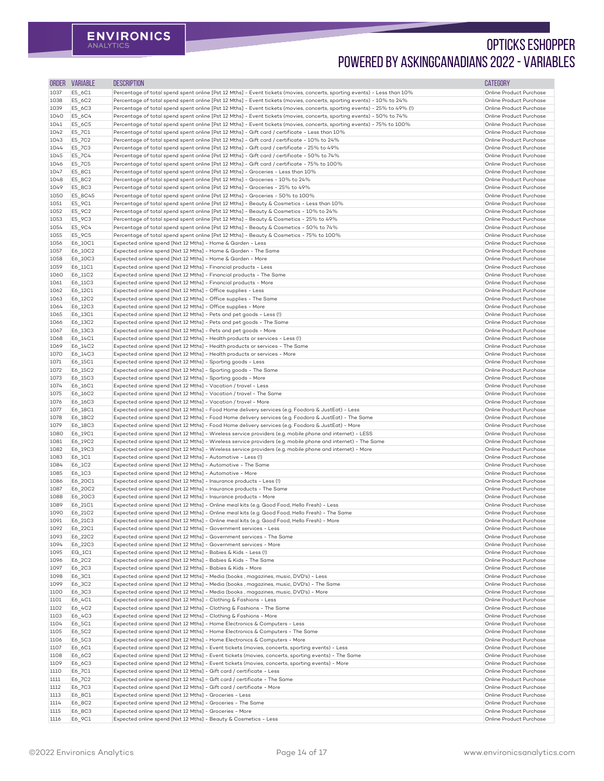| ORDER        | <b>VARIABLE</b>    | <b>DESCRIPTION</b>                                                                                                                                                                         | <b>CATEGORY</b>                                    |
|--------------|--------------------|--------------------------------------------------------------------------------------------------------------------------------------------------------------------------------------------|----------------------------------------------------|
| 1037         | E5_6C1             | Percentage of total spend spent online [Pst 12 Mths] - Event tickets (movies, concerts, sporting events) - Less than 10%                                                                   | Online Product Purchase                            |
| 1038         | E5_6C2             | Percentage of total spend spent online [Pst 12 Mths] - Event tickets (movies, concerts, sporting events) - 10% to 24%                                                                      | Online Product Purchase                            |
| 1039         | E5_6C3             | Percentage of total spend spent online [Pst 12 Mths] - Event tickets (movies, concerts, sporting events) - 25% to 49% (!)                                                                  | Online Product Purchase                            |
| 1040         | E5_6C4             | Percentage of total spend spent online [Pst 12 Mths] - Event tickets (movies, concerts, sporting events) - 50% to 74%                                                                      | Online Product Purchase                            |
| 1041         | E5_6C5             | Percentage of total spend spent online [Pst 12 Mths] - Event tickets (movies, concerts, sporting events) - 75% to 100%                                                                     | Online Product Purchase                            |
| 1042         | E5_7C1             | Percentage of total spend spent online [Pst 12 Mths] - Gift card / certificate - Less than 10%                                                                                             | Online Product Purchase                            |
| 1043<br>1044 | E5_7C2<br>E5_7C3   | Percentage of total spend spent online [Pst 12 Mths] - Gift card / certificate - 10% to 24%<br>Percentage of total spend spent online [Pst 12 Mths] - Gift card / certificate - 25% to 49% | Online Product Purchase<br>Online Product Purchase |
| 1045         | E5_7C4             | Percentage of total spend spent online [Pst 12 Mths] - Gift card / certificate - 50% to 74%                                                                                                | Online Product Purchase                            |
| 1046         | E5_7C5             | Percentage of total spend spent online [Pst 12 Mths] - Gift card / certificate - 75% to 100%                                                                                               | Online Product Purchase                            |
| 1047         | E5_8C1             | Percentage of total spend spent online [Pst 12 Mths] - Groceries - Less than 10%                                                                                                           | Online Product Purchase                            |
| 1048         | E5_8C2             | Percentage of total spend spent online [Pst 12 Mths] - Groceries - 10% to 24%                                                                                                              | Online Product Purchase                            |
| 1049         | E5_8C3             | Percentage of total spend spent online [Pst 12 Mths] - Groceries - 25% to 49%                                                                                                              | Online Product Purchase                            |
| 1050         | E5_8C45            | Percentage of total spend spent online [Pst 12 Mths] - Groceries - 50% to 100%                                                                                                             | Online Product Purchase                            |
| 1051         | E5_9C1             | Percentage of total spend spent online [Pst 12 Mths] - Beauty & Cosmetics - Less than 10%                                                                                                  | Online Product Purchase                            |
| 1052         | E5_9C2             | Percentage of total spend spent online [Pst 12 Mths] - Beauty & Cosmetics - 10% to 24%                                                                                                     | Online Product Purchase                            |
| 1053<br>1054 | E5_9C3<br>E5_9C4   | Percentage of total spend spent online [Pst 12 Mths] - Beauty & Cosmetics - 25% to 49%<br>Percentage of total spend spent online [Pst 12 Mths] - Beauty & Cosmetics - 50% to 74%           | Online Product Purchase<br>Online Product Purchase |
| 1055         | E5_9C5             | Percentage of total spend spent online [Pst 12 Mths] - Beauty & Cosmetics - 75% to 100%                                                                                                    | Online Product Purchase                            |
| 1056         | E6_10C1            | Expected online spend [Nxt 12 Mths] - Home & Garden - Less                                                                                                                                 | Online Product Purchase                            |
| 1057         | E6_10C2            | Expected online spend [Nxt 12 Mths] - Home & Garden - The Same                                                                                                                             | Online Product Purchase                            |
| 1058         | E6_10C3            | Expected online spend [Nxt 12 Mths] - Home & Garden - More                                                                                                                                 | Online Product Purchase                            |
| 1059         | E6_11C1            | Expected online spend [Nxt 12 Mths] - Financial products - Less                                                                                                                            | Online Product Purchase                            |
| 1060         | E6_11C2            | Expected online spend [Nxt 12 Mths] - Financial products - The Same                                                                                                                        | Online Product Purchase                            |
| 1061         | E6_11C3            | Expected online spend [Nxt 12 Mths] - Financial products - More                                                                                                                            | Online Product Purchase                            |
| 1062         | E6_12C1            | Expected online spend [Nxt 12 Mths] - Office supplies - Less                                                                                                                               | Online Product Purchase                            |
| 1063<br>1064 | E6_12C2<br>E6_12C3 | Expected online spend [Nxt 12 Mths] - Office supplies - The Same<br>Expected online spend [Nxt 12 Mths] - Office supplies - More                                                           | Online Product Purchase<br>Online Product Purchase |
| 1065         | E6_13C1            | Expected online spend [Nxt 12 Mths] - Pets and pet goods - Less (!)                                                                                                                        | Online Product Purchase                            |
| 1066         | E6_13C2            | Expected online spend [Nxt 12 Mths] - Pets and pet goods - The Same                                                                                                                        | Online Product Purchase                            |
| 1067         | E6_13C3            | Expected online spend [Nxt 12 Mths] - Pets and pet goods - More                                                                                                                            | Online Product Purchase                            |
| 1068         | E6_14C1            | Expected online spend [Nxt 12 Mths] - Health products or services - Less (!)                                                                                                               | Online Product Purchase                            |
| 1069         | E6_14C2            | Expected online spend [Nxt 12 Mths] - Health products or services - The Same                                                                                                               | Online Product Purchase                            |
| 1070         | E6_14C3            | Expected online spend [Nxt 12 Mths] - Health products or services - More                                                                                                                   | Online Product Purchase                            |
| 1071         | E6_15C1            | Expected online spend [Nxt 12 Mths] - Sporting goods - Less                                                                                                                                | Online Product Purchase                            |
| 1072<br>1073 | E6_15C2<br>E6_15C3 | Expected online spend [Nxt 12 Mths] - Sporting goods - The Same<br>Expected online spend [Nxt 12 Mths] - Sporting goods - More                                                             | Online Product Purchase<br>Online Product Purchase |
| 1074         | E6_16C1            | Expected online spend [Nxt 12 Mths] - Vacation / travel - Less                                                                                                                             | Online Product Purchase                            |
| 1075         | E6_16C2            | Expected online spend [Nxt 12 Mths] - Vacation / travel - The Same                                                                                                                         | Online Product Purchase                            |
| 1076         | E6_16C3            | Expected online spend [Nxt 12 Mths] - Vacation / travel - More                                                                                                                             | Online Product Purchase                            |
| 1077         | E6_18C1            | Expected online spend [Nxt 12 Mths] - Food Home delivery services (e.g. Foodora & JustEat) - Less                                                                                          | Online Product Purchase                            |
| 1078         | E6_18C2            | Expected online spend [Nxt 12 Mths] - Food Home delivery services (e.g. Foodora & JustEat) - The Same                                                                                      | Online Product Purchase                            |
| 1079         | E6_18C3            | Expected online spend [Nxt 12 Mths] - Food Home delivery services (e.g. Foodora & JustEat) - More                                                                                          | Online Product Purchase                            |
| 1080         | E6_19C1            | Expected online spend [Nxt 12 Mths] - Wireless service providers (e.g. mobile phone and internet) - LESS                                                                                   | Online Product Purchase                            |
| 1081         | E6_19C2            | Expected online spend [Nxt 12 Mths] - Wireless service providers (e.g. mobile phone and internet) - The Same                                                                               | Online Product Purchase                            |
| 1082<br>1083 | E6_19C3<br>E6_1C1  | Expected online spend [Nxt 12 Mths] - Wireless service providers (e.g. mobile phone and internet) - More<br>Expected online spend [Nxt 12 Mths] - Automotive - Less (!)                    | Online Product Purchase<br>Online Product Purchase |
| 1084         | E6_1C2             | Expected online spend [Nxt 12 Mths] - Automotive - The Same                                                                                                                                | Online Product Purchase                            |
| 1085         | E6_1C3             | Expected online spend [Nxt 12 Mths] - Automotive - More                                                                                                                                    | Online Product Purchase                            |
| 1086         | E6_20C1            | Expected online spend [Nxt 12 Mths] - Insurance products - Less (!)                                                                                                                        | Online Product Purchase                            |
| 1087         | E6_20C2            | Expected online spend [Nxt 12 Mths] - Insurance products - The Same                                                                                                                        | Online Product Purchase                            |
| 1088         | E6_20C3            | Expected online spend [Nxt 12 Mths] - Insurance products - More                                                                                                                            | Online Product Purchase                            |
| 1089         | E6_21C1            | Expected online spend [Nxt 12 Mths] - Online meal kits (e.g. Good Food, Hello Fresh) - Less                                                                                                | Online Product Purchase                            |
| 1090         | E6_21C2            | Expected online spend [Nxt 12 Mths] - Online meal kits (e.g. Good Food, Hello Fresh) - The Same                                                                                            | Online Product Purchase                            |
| 1091         | E6_21C3            | Expected online spend [Nxt 12 Mths] - Online meal kits (e.g. Good Food, Hello Fresh) - More                                                                                                | Online Product Purchase                            |
| 1092<br>1093 | E6_22C1<br>E6_22C2 | Expected online spend [Nxt 12 Mths] - Government services - Less<br>Expected online spend [Nxt 12 Mths] - Government services - The Same                                                   | Online Product Purchase<br>Online Product Purchase |
| 1094         | E6_22C3            | Expected online spend [Nxt 12 Mths] - Government services - More                                                                                                                           | Online Product Purchase                            |
| 1095         | $EG_1C1$           | Expected online spend [Nxt 12 Mths] - Babies & Kids - Less (!)                                                                                                                             | Online Product Purchase                            |
| 1096         | E6_2C2             | Expected online spend [Nxt 12 Mths] - Babies & Kids - The Same                                                                                                                             | Online Product Purchase                            |
| 1097         | E6_2C3             | Expected online spend [Nxt 12 Mths] - Babies & Kids - More                                                                                                                                 | Online Product Purchase                            |
| 1098         | E6_3C1             | Expected online spend [Nxt 12 Mths] - Media (books, magazines, music, DVD's) - Less                                                                                                        | Online Product Purchase                            |
| 1099         | E6_3C2             | Expected online spend [Nxt 12 Mths] - Media (books, magazines, music, DVD's) - The Same                                                                                                    | Online Product Purchase                            |
| 1100         | E6_3C3             | Expected online spend [Nxt 12 Mths] - Media (books, magazines, music, DVD's) - More                                                                                                        | Online Product Purchase                            |
| 1101<br>1102 | E6_4C1<br>E6_4C2   | Expected online spend [Nxt 12 Mths] - Clothing & Fashions - Less<br>Expected online spend [Nxt 12 Mths] - Clothing & Fashions - The Same                                                   | Online Product Purchase<br>Online Product Purchase |
| 1103         | E6_4C3             | Expected online spend [Nxt 12 Mths] - Clothing & Fashions - More                                                                                                                           | Online Product Purchase                            |
| 1104         | E6_5C1             | Expected online spend [Nxt 12 Mths] - Home Electronics & Computers - Less                                                                                                                  | Online Product Purchase                            |
| 1105         | E6_5C2             | Expected online spend [Nxt 12 Mths] - Home Electronics & Computers - The Same                                                                                                              | Online Product Purchase                            |
| 1106         | E6_5C3             | Expected online spend [Nxt 12 Mths] - Home Electronics & Computers - More                                                                                                                  | Online Product Purchase                            |
| 1107         | E6_6C1             | Expected online spend [Nxt 12 Mths] - Event tickets (movies, concerts, sporting events) - Less                                                                                             | Online Product Purchase                            |
| 1108         | E6_6C2             | Expected online spend [Nxt 12 Mths] - Event tickets (movies, concerts, sporting events) - The Same                                                                                         | Online Product Purchase                            |
| 1109         | E6_6C3             | Expected online spend [Nxt 12 Mths] - Event tickets (movies, concerts, sporting events) - More                                                                                             | Online Product Purchase                            |
| 1110         | E6_7C1             | Expected online spend [Nxt 12 Mths] - Gift card / certificate - Less                                                                                                                       | Online Product Purchase                            |
| 1111         | E6_7C2             | Expected online spend [Nxt 12 Mths] - Gift card / certificate - The Same                                                                                                                   | Online Product Purchase<br>Online Product Purchase |
| 1112<br>1113 | E6_7C3<br>E6_8C1   | Expected online spend [Nxt 12 Mths] - Gift card / certificate - More<br>Expected online spend [Nxt 12 Mths] - Groceries - Less                                                             | Online Product Purchase                            |
| 1114         | E6_8C2             | Expected online spend [Nxt 12 Mths] - Groceries - The Same                                                                                                                                 | Online Product Purchase                            |
| 1115         | E6_8C3             | Expected online spend [Nxt 12 Mths] - Groceries - More                                                                                                                                     | Online Product Purchase                            |
| 1116         | E6_9C1             | Expected online spend [Nxt 12 Mths] - Beauty & Cosmetics - Less                                                                                                                            | Online Product Purchase                            |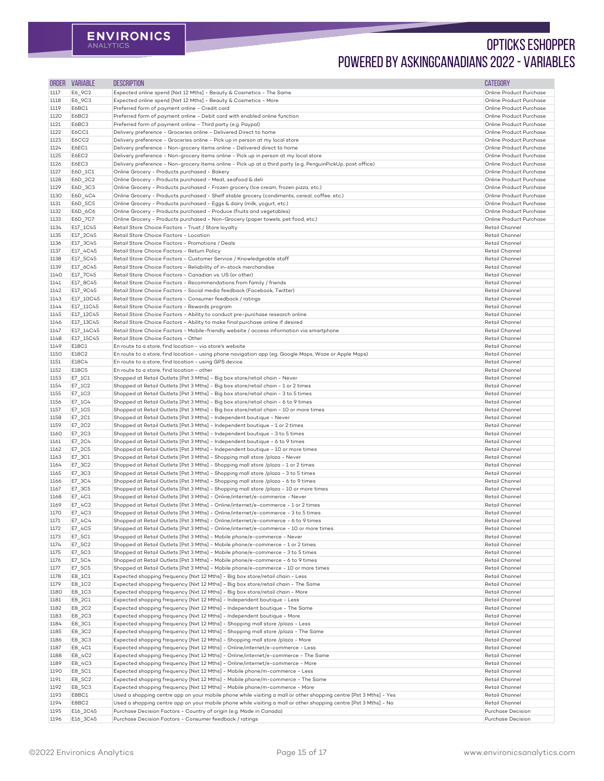| <b>ORDER</b> | <b>VARIABLE</b>    | <b>DESCRIPTION</b>                                                                                                                                                 | <b>CATEGORY</b>                                    |
|--------------|--------------------|--------------------------------------------------------------------------------------------------------------------------------------------------------------------|----------------------------------------------------|
| 1117         | E6_9C2             | Expected online spend [Nxt 12 Mths] - Beauty & Cosmetics - The Same                                                                                                | Online Product Purchase                            |
| 1118         | E6_9C3             | Expected online spend [Nxt 12 Mths] - Beauty & Cosmetics - More                                                                                                    | Online Product Purchase                            |
| 1119         | E6BC1              | Preferred form of payment online - Credit card                                                                                                                     | Online Product Purchase                            |
| 1120         | E6BC2              | Preferred form of payment online - Debit card with enabled online function                                                                                         | Online Product Purchase                            |
| 1121         | E6BC3              | Preferred form of payment online - Third party (e.g. Paypal)                                                                                                       | Online Product Purchase                            |
| 1122         | E6CC1              | Delivery preference - Groceries online - Delivered Direct to home                                                                                                  | Online Product Purchase                            |
| 1123         | <b>E6CC2</b>       | Delivery preference - Groceries online - Pick up in person at my local store                                                                                       | Online Product Purchase                            |
| 1124         | E6EC1              | Delivery preference - Non-grocery items online - Delivered direct to home                                                                                          | Online Product Purchase                            |
| 1125         | E6EC2              | Delivery preference - Non-grocery items online - Pick up in person at my local store                                                                               | Online Product Purchase                            |
| 1126         | E6EC3              | Delivery preference - Non-grocery items online - Pick up at a third party (e.g. PenguinPickUp, post office)                                                        | Online Product Purchase                            |
| 1127         | E6D_1C1            | Online Grocery - Products purchased - Bakery                                                                                                                       | Online Product Purchase                            |
| 1128         | E6D_2C2            | Online Grocery - Products purchased - Meat, seafood & deli                                                                                                         | Online Product Purchase                            |
| 1129         | E6D_3C3            | Online Grocery - Products purchased - Frozen grocery (Ice cream, frozen pizza, etc.)                                                                               | Online Product Purchase                            |
| 1130         | E6D_4C4            | Online Grocery - Products purchased - Shelf stable grocery (condiments, cereal, coffee, etc.)                                                                      | Online Product Purchase                            |
| 1131<br>1132 | E6D_5C5<br>E6D_6C6 | Online Grocery - Products purchased - Eggs & dairy (milk, yogurt, etc.)<br>Online Grocery - Products purchased - Produce (fruits and vegetables)                   | Online Product Purchase<br>Online Product Purchase |
| 1133         | E6D_7C7            | Online Grocery - Products purchased - Non-Grocery (paper towels, pet food, etc.)                                                                                   | Online Product Purchase                            |
| 1134         | E17_1C45           | Retail Store Choice Factors - Trust / Store loyalty                                                                                                                | Retail Channel                                     |
| 1135         | E17_2C45           | Retail Store Choice Factors - Location                                                                                                                             | Retail Channel                                     |
| 1136         | E17_3C45           | Retail Store Choice Factors - Promotions / Deals                                                                                                                   | Retail Channel                                     |
| 1137         | E17_4C45           | Retail Store Choice Factors - Return Policy                                                                                                                        | <b>Retail Channel</b>                              |
| 1138         | E17_5C45           | Retail Store Choice Factors - Customer Service / Knowledgeable staff                                                                                               | Retail Channel                                     |
| 1139         | E17_6C45           | Retail Store Choice Factors - Reliability of in-stock merchandise                                                                                                  | <b>Retail Channel</b>                              |
| 1140         | E17_7C45           | Retail Store Choice Factors - Canadian vs. US (or other)                                                                                                           | Retail Channel                                     |
| 1141         | E17_8C45           | Retail Store Choice Factors - Recommendations from family / friends                                                                                                | <b>Retail Channel</b>                              |
| 1142         | E17_9C45           | Retail Store Choice Factors - Social media feedback (Facebook, Twitter)                                                                                            | <b>Retail Channel</b>                              |
| 1143         | E17_10C45          | Retail Store Choice Factors - Consumer feedback / ratings                                                                                                          | Retail Channel                                     |
| 1144         | E17_11C45          | Retail Store Choice Factors - Rewards program                                                                                                                      | Retail Channel                                     |
| 1145         | E17_12C45          | Retail Store Choice Factors - Ability to conduct pre-purchase research online                                                                                      | Retail Channel                                     |
| 1146         | E17_13C45          | Retail Store Choice Factors - Ability to make final purchase online if desired                                                                                     | Retail Channel                                     |
| 1147         | E17_14C45          | Retail Store Choice Factors - Mobile-friendly website / access information via smartphone                                                                          | Retail Channel                                     |
| 1148         | E17_15C45          | Retail Store Choice Factors - Other                                                                                                                                | Retail Channel                                     |
| 1149         | E18C1              | En route to a store, find location - via store's website                                                                                                           | Retail Channel                                     |
| 1150         | E18C2              | En route to a store, find location - using phone navigation app (eg. Google Maps, Waze or Apple Maps)                                                              | Retail Channel                                     |
| 1151         | E18C4              | En route to a store, find location - using GPS device.                                                                                                             | Retail Channel                                     |
| 1152         | E18C5              | En route to a store, find location - other                                                                                                                         | Retail Channel                                     |
| 1153         | E7_1C1             | Shopped at Retail Outlets [Pst 3 Mths] - Big box store/retail chain - Never                                                                                        | Retail Channel                                     |
| 1154         | E7_1C2             | Shopped at Retail Outlets [Pst 3 Mths] - Big box store/retail chain - 1 or 2 times                                                                                 | Retail Channel                                     |
| 1155         | E7_1C3             | Shopped at Retail Outlets [Pst 3 Mths] - Big box store/retail chain - 3 to 5 times                                                                                 | Retail Channel                                     |
| 1156         | E7_1C4             | Shopped at Retail Outlets [Pst 3 Mths] - Big box store/retail chain - 6 to 9 times                                                                                 | <b>Retail Channel</b>                              |
| 1157         | $E7$ _1C5          | Shopped at Retail Outlets [Pst 3 Mths] - Big box store/retail chain - 10 or more times                                                                             | Retail Channel                                     |
| 1158         | $E7$ _2C1          | Shopped at Retail Outlets [Pst 3 Mths] - Independent boutique - Never                                                                                              | <b>Retail Channel</b><br>Retail Channel            |
| 1159<br>1160 | E7_2C2<br>E7_2C3   | Shopped at Retail Outlets [Pst 3 Mths] - Independent boutique - 1 or 2 times<br>Shopped at Retail Outlets [Pst 3 Mths] - Independent boutique - 3 to 5 times       | Retail Channel                                     |
| 1161         | E7_2C4             | Shopped at Retail Outlets [Pst 3 Mths] - Independent boutique - 6 to 9 times                                                                                       | Retail Channel                                     |
| 1162         | E7_2C5             | Shopped at Retail Outlets [Pst 3 Mths] - Independent boutique - 10 or more times                                                                                   | Retail Channel                                     |
| 1163         | E7_3C1             | Shopped at Retail Outlets [Pst 3 Mths] - Shopping mall store /plaza - Never                                                                                        | Retail Channel                                     |
| 1164         | E7_3C2             | Shopped at Retail Outlets [Pst 3 Mths] - Shopping mall store /plaza - 1 or 2 times                                                                                 | Retail Channel                                     |
| 1165         | E7_3C3             | Shopped at Retail Outlets [Pst 3 Mths] - Shopping mall store /plaza - 3 to 5 times                                                                                 | Retail Channel                                     |
| 1166         | E7_3C4             | Shopped at Retail Outlets [Pst 3 Mths] - Shopping mall store /plaza - 6 to 9 times                                                                                 | Retail Channel                                     |
| 1167         | E7_3C5             | Shopped at Retail Outlets [Pst 3 Mths] - Shopping mall store /plaza - 10 or more times                                                                             | Retail Channel                                     |
| 1168         | E7_4C1             | Shopped at Retail Outlets [Pst 3 Mths] - Online/internet/e-commerce - Never                                                                                        | Retail Channel                                     |
| 1169         | E7_4C2             | Shopped at Retail Outlets [Pst 3 Mths] - Online/internet/e-commerce - 1 or 2 times                                                                                 | Retail Channel                                     |
| 1170         | E7_4C3             | Shopped at Retail Outlets [Pst 3 Mths] - Online/internet/e-commerce - 3 to 5 times                                                                                 | Retail Channel                                     |
| 1171         | E7_4C4             | Shopped at Retail Outlets [Pst 3 Mths] - Online/internet/e-commerce - 6 to 9 times                                                                                 | Retail Channel                                     |
| 1172         | $E7$ _4C5          | Shopped at Retail Outlets [Pst 3 Mths] - Online/internet/e-commerce - 10 or more times                                                                             | Retail Channel                                     |
| 1173         | $E7$ _5C1          | Shopped at Retail Outlets [Pst 3 Mths] - Mobile phone/e-commerce - Never                                                                                           | Retail Channel                                     |
| 1174         | E7_5C2             | Shopped at Retail Outlets [Pst 3 Mths] - Mobile phone/e-commerce - 1 or 2 times                                                                                    | Retail Channel                                     |
| 1175         | E7_5C3             | Shopped at Retail Outlets [Pst 3 Mths] - Mobile phone/e-commerce - 3 to 5 times                                                                                    | Retail Channel                                     |
| 1176         | E7_5C4             | Shopped at Retail Outlets [Pst 3 Mths] - Mobile phone/e-commerce - 6 to 9 times                                                                                    | Retail Channel                                     |
| 1177         | E7_5C5             | Shopped at Retail Outlets [Pst 3 Mths] - Mobile phone/e-commerce - 10 or more times                                                                                | Retail Channel                                     |
| 1178         | E8_1C1             | Expected shopping frequency [Nxt 12 Mths] - Big box store/retail chain - Less                                                                                      | Retail Channel                                     |
| 1179         | E8_1C2             | Expected shopping frequency [Nxt 12 Mths] - Big box store/retail chain - The Same                                                                                  | Retail Channel                                     |
| 1180         | E8_1C3             | Expected shopping frequency [Nxt 12 Mths] - Big box store/retail chain - More                                                                                      | Retail Channel                                     |
| 1181         | E8_2C1             | Expected shopping frequency [Nxt 12 Mths] - Independent boutique - Less                                                                                            | Retail Channel                                     |
| 1182         | E8_2C2             | Expected shopping frequency [Nxt 12 Mths] - Independent boutique - The Same                                                                                        | Retail Channel                                     |
| 1183         | E8_2C3             | Expected shopping frequency [Nxt 12 Mths] - Independent boutique - More                                                                                            | Retail Channel                                     |
| 1184         | E8_3C1             | Expected shopping frequency [Nxt 12 Mths] - Shopping mall store /plaza - Less                                                                                      | Retail Channel                                     |
| 1185<br>1186 | E8_3C2<br>E8_3C3   | Expected shopping frequency [Nxt 12 Mths] - Shopping mall store /plaza - The Same<br>Expected shopping frequency [Nxt 12 Mths] - Shopping mall store /plaza - More | Retail Channel<br>Retail Channel                   |
| 1187         | E8_4C1             | Expected shopping frequency [Nxt 12 Mths] - Online/internet/e-commerce - Less                                                                                      | Retail Channel                                     |
| 1188         | E8_4C2             | Expected shopping frequency [Nxt 12 Mths] - Online/internet/e-commerce - The Same                                                                                  | Retail Channel                                     |
| 1189         | E8_4C3             | Expected shopping frequency [Nxt 12 Mths] - Online/internet/e-commerce - More                                                                                      | Retail Channel                                     |
| 1190         | E8_5C1             | Expected shopping frequency [Nxt 12 Mths] - Mobile phone/m-commerce - Less                                                                                         | Retail Channel                                     |
| 1191         | E8_5C2             | Expected shopping frequency [Nxt 12 Mths] - Mobile phone/m-commerce - The Same                                                                                     | Retail Channel                                     |
| 1192         | E8_5C3             | Expected shopping frequency [Nxt 12 Mths] - Mobile phone/m-commerce - More                                                                                         | Retail Channel                                     |
| 1193         | E8BC1              | Used a shopping centre app on your mobile phone while visiting a mall or other shopping centre [Pst 3 Mths] - Yes                                                  | Retail Channel                                     |
| 1194         | E8BC2              | Used a shopping centre app on your mobile phone while visiting a mall or other shopping centre [Pst 3 Mths] - No                                                   | Retail Channel                                     |
| 1195         | E16_2C45           | Purchase Decision Factors - Country of origin (e.g. Made in Canada)                                                                                                | Purchase Decision                                  |
| 1196         | E16_3C45           | Purchase Decision Factors - Consumer feedback / ratings                                                                                                            | Purchase Decision                                  |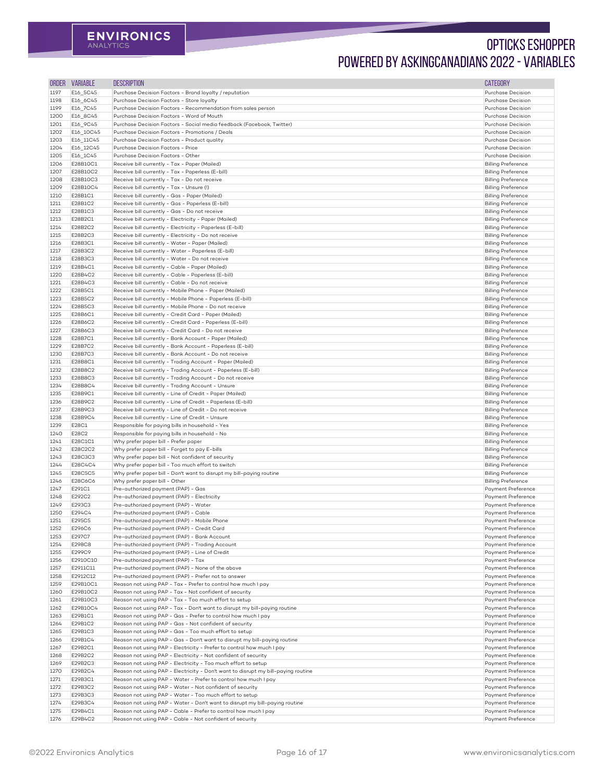| ORDER        | <b>VARIABLE</b>       | <b>DESCRIPTION</b>                                                                                                          | <b>CATEGORY</b>                                        |
|--------------|-----------------------|-----------------------------------------------------------------------------------------------------------------------------|--------------------------------------------------------|
| 1197         | E16_5C45              | Purchase Decision Factors - Brand loyalty / reputation                                                                      | Purchase Decision                                      |
| 1198         | E16_6C45              | Purchase Decision Factors - Store loyalty                                                                                   | Purchase Decision                                      |
| 1199         | E16_7C45              | Purchase Decision Factors - Recommendation from sales person                                                                | Purchase Decision                                      |
| 1200         | E16_8C45              | Purchase Decision Factors - Word of Mouth                                                                                   | Purchase Decision                                      |
| 1201<br>1202 | E16_9C45<br>E16_10C45 | Purchase Decision Factors - Social media feedback (Facebook, Twitter)<br>Purchase Decision Factors - Promotions / Deals     | Purchase Decision<br>Purchase Decision                 |
| 1203         | E16_11C45             | Purchase Decision Factors - Product quality                                                                                 | Purchase Decision                                      |
| 1204         | E16_12C45             | Purchase Decision Factors - Price                                                                                           | Purchase Decision                                      |
| 1205         | E16_1C45              | Purchase Decision Factors - Other                                                                                           | Purchase Decision                                      |
| 1206         | E28B10C1              | Receive bill currently - Tax - Paper (Mailed)                                                                               | <b>Billing Preference</b>                              |
| 1207         | E28B10C2              | Receive bill currently - Tax - Paperless (E-bill)                                                                           | <b>Billing Preference</b>                              |
| 1208         | E28B10C3              | Receive bill currently - Tax - Do not receive                                                                               | <b>Billing Preference</b>                              |
| 1209         | E28B10C4              | Receive bill currently - Tax - Unsure (!)                                                                                   | <b>Billing Preference</b>                              |
| 1210         | E28B1C1               | Receive bill currently - Gas - Paper (Mailed)                                                                               | <b>Billing Preference</b>                              |
| 1211<br>1212 | E28B1C2<br>E28B1C3    | Receive bill currently - Gas - Paperless (E-bill)<br>Receive bill currently - Gas - Do not receive                          | <b>Billing Preference</b><br><b>Billing Preference</b> |
| 1213         | E28B2C1               | Receive bill currently - Electricity - Paper (Mailed)                                                                       | <b>Billing Preference</b>                              |
| 1214         | E28B2C2               | Receive bill currently - Electricity - Paperless (E-bill)                                                                   | <b>Billing Preference</b>                              |
| 1215         | E28B2C3               | Receive bill currently - Electricity - Do not receive                                                                       | <b>Billing Preference</b>                              |
| 1216         | E28B3C1               | Receive bill currently - Water - Paper (Mailed)                                                                             | <b>Billing Preference</b>                              |
| 1217         | E28B3C2               | Receive bill currently - Water - Paperless (E-bill)                                                                         | <b>Billing Preference</b>                              |
| 1218         | E28B3C3               | Receive bill currently - Water - Do not receive                                                                             | <b>Billing Preference</b>                              |
| 1219         | E28B4C1               | Receive bill currently - Cable - Paper (Mailed)                                                                             | <b>Billing Preference</b>                              |
| 1220         | E28B4C2               | Receive bill currently - Cable - Paperless (E-bill)                                                                         | <b>Billing Preference</b>                              |
| 1221<br>1222 | E28B4C3<br>E28B5C1    | Receive bill currently - Cable - Do not receive<br>Receive bill currently - Mobile Phone - Paper (Mailed)                   | <b>Billing Preference</b><br><b>Billing Preference</b> |
| 1223         | E28B5C2               | Receive bill currently - Mobile Phone - Paperless (E-bill)                                                                  | <b>Billing Preference</b>                              |
| 1224         | E28B5C3               | Receive bill currently - Mobile Phone - Do not receive                                                                      | <b>Billing Preference</b>                              |
| 1225         | E28B6C1               | Receive bill currently - Credit Card - Paper (Mailed)                                                                       | <b>Billing Preference</b>                              |
| 1226         | E28B6C2               | Receive bill currently - Credit Card - Paperless (E-bill)                                                                   | <b>Billing Preference</b>                              |
| 1227         | E28B6C3               | Receive bill currently - Credit Card - Do not receive                                                                       | <b>Billing Preference</b>                              |
| 1228         | E28B7C1               | Receive bill currently - Bank Account - Paper (Mailed)                                                                      | <b>Billing Preference</b>                              |
| 1229         | E28B7C2               | Receive bill currently - Bank Account - Paperless (E-bill)                                                                  | <b>Billing Preference</b>                              |
| 1230         | E28B7C3               | Receive bill currently - Bank Account - Do not receive<br>Receive bill currently - Trading Account - Paper (Mailed)         | <b>Billing Preference</b><br><b>Billing Preference</b> |
| 1231<br>1232 | E28B8C1<br>E28B8C2    | Receive bill currently - Trading Account - Paperless (E-bill)                                                               | <b>Billing Preference</b>                              |
| 1233         | E28B8C3               | Receive bill currently - Trading Account - Do not receive                                                                   | <b>Billing Preference</b>                              |
| 1234         | E28B8C4               | Receive bill currently - Trading Account - Unsure                                                                           | <b>Billing Preference</b>                              |
| 1235         | E28B9C1               | Receive bill currently - Line of Credit - Paper (Mailed)                                                                    | <b>Billing Preference</b>                              |
| 1236         | E28B9C2               | Receive bill currently - Line of Credit - Paperless (E-bill)                                                                | <b>Billing Preference</b>                              |
| 1237         | E28B9C3               | Receive bill currently - Line of Credit - Do not receive                                                                    | <b>Billing Preference</b>                              |
| 1238         | E28B9C4               | Receive bill currently - Line of Credit - Unsure                                                                            | <b>Billing Preference</b>                              |
| 1239         | E28C1                 | Responsible for paying bills in household - Yes                                                                             | <b>Billing Preference</b>                              |
| 1240<br>1241 | E28C2<br>E28C1C1      | Responsible for paying bills in household - No<br>Why prefer paper bill - Prefer paper                                      | <b>Billing Preference</b><br><b>Billing Preference</b> |
| 1242         | E28C2C2               | Why prefer paper bill - Forget to pay E-bills                                                                               | <b>Billing Preference</b>                              |
| 1243         | E28C3C3               | Why prefer paper bill - Not confident of security                                                                           | <b>Billing Preference</b>                              |
| 1244         | E28C4C4               | Why prefer paper bill - Too much effort to switch                                                                           | <b>Billing Preference</b>                              |
| 1245         | E28C5C5               | Why prefer paper bill - Don't want to disrupt my bill-paying routine                                                        | <b>Billing Preference</b>                              |
| 1246         | E28C6C6               | Why prefer paper bill - Other                                                                                               | <b>Billing Preference</b>                              |
| 1247         | E291C1                | Pre-authorized payment (PAP) - Gas                                                                                          | Payment Preference                                     |
| 1248         | E292C2                | Pre-authorized payment (PAP) - Electricity                                                                                  | Payment Preference                                     |
| 1249         | E293C3                | Pre-authorized payment (PAP) - Water                                                                                        | Payment Preference                                     |
| 1250<br>1251 | E294C4<br>E295C5      | Pre-authorized payment (PAP) - Cable<br>Pre-authorized payment (PAP) - Mobile Phone                                         | Payment Preference<br>Payment Preference               |
| 1252         | E296C6                | Pre-authorized payment (PAP) - Credit Card                                                                                  | <b>Payment Preference</b>                              |
| 1253         | E297C7                | Pre-authorized payment (PAP) - Bank Account                                                                                 | Payment Preference                                     |
| 1254         | E298C8                | Pre-authorized payment (PAP) - Trading Account                                                                              | <b>Payment Preference</b>                              |
| 1255         | E299C9                | Pre-authorized payment (PAP) - Line of Credit                                                                               | Payment Preference                                     |
| 1256         | E2910C10              | Pre-authorized payment (PAP) - Tax                                                                                          | Payment Preference                                     |
| 1257         | E2911C11              | Pre-authorized payment (PAP) - None of the above                                                                            | <b>Payment Preference</b>                              |
| 1258         | E2912C12              | Pre-authorized payment (PAP) - Prefer not to answer                                                                         | Payment Preference                                     |
| 1259         | E29B10C1              | Reason not using PAP - Tax - Prefer to control how much I pay                                                               | Payment Preference                                     |
| 1260<br>1261 | E29B10C2<br>E29B10C3  | Reason not using PAP - Tax - Not confident of security<br>Reason not using PAP - Tax - Too much effort to setup             | Payment Preference<br>Payment Preference               |
| 1262         | E29B10C4              | Reason not using PAP - Tax - Don't want to disrupt my bill-paying routine                                                   | <b>Payment Preference</b>                              |
| 1263         | E29B1C1               | Reason not using PAP - Gas - Prefer to control how much I pay                                                               | Payment Preference                                     |
| 1264         | E29B1C2               | Reason not using PAP - Gas - Not confident of security                                                                      | <b>Payment Preference</b>                              |
| 1265         | E29B1C3               | Reason not using PAP - Gas - Too much effort to setup                                                                       | Payment Preference                                     |
| 1266         | E29B1C4               | Reason not using PAP - Gas - Don't want to disrupt my bill-paying routine                                                   | Payment Preference                                     |
| 1267         | E29B2C1               | Reason not using PAP - Electricity - Prefer to control how much I pay                                                       | Payment Preference                                     |
| 1268         | E29B2C2               | Reason not using PAP - Electricity - Not confident of security                                                              | <b>Payment Preference</b>                              |
| 1269         | E29B2C3               | Reason not using PAP - Electricity - Too much effort to setup                                                               | Payment Preference                                     |
| 1270         | E29B2C4               | Reason not using PAP - Electricity - Don't want to disrupt my bill-paying routine                                           | Payment Preference                                     |
| 1271<br>1272 | E29B3C1<br>E29B3C2    | Reason not using PAP - Water - Prefer to control how much I pay<br>Reason not using PAP - Water - Not confident of security | <b>Payment Preference</b><br>Payment Preference        |
| 1273         | E29B3C3               | Reason not using PAP - Water - Too much effort to setup                                                                     | Payment Preference                                     |
| 1274         | E29B3C4               | Reason not using PAP - Water - Don't want to disrupt my bill-paying routine                                                 | Payment Preference                                     |
| 1275         | E29B4C1               | Reason not using PAP - Cable - Prefer to control how much I pay                                                             | Payment Preference                                     |
| 1276         | E29B4C2               | Reason not using PAP - Cable - Not confident of security                                                                    | Payment Preference                                     |